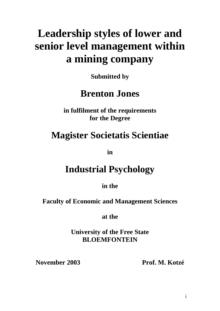# **Leadership styles of lower and senior level management within a mining company**

**Submitted by** 

# **Brenton Jones**

**in fulfilment of the requirements for the Degree**

# **Magister Societatis Scientiae**

**in**

# **Industrial Psychology**

**in the**

**Faculty of Economic and Management Sciences**

**at the**

**University of the Free State BLOEMFONTEIN** 

**November 2003 Prof. M. Kotzé**

i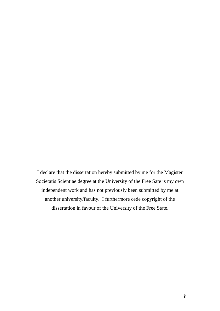I declare that the dissertation hereby submitted by me for the Magister Societatis Scientiae degree at the University of the Free Sate is my own independent work and has not previously been submitted by me at another university/faculty. I furthermore cede copyright of the dissertation in favour of the University of the Free State.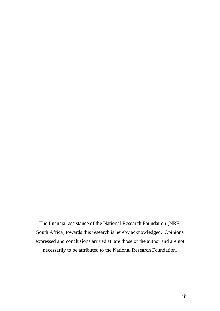The financial assistance of the National Research Foundation (NRF, South Africa) towards this research is hereby acknowledged. Opinions expressed and conclusions arrived at, are those of the author and are not necessarily to be attributed to the National Research Foundation.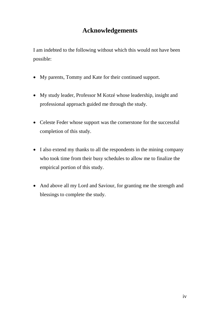# **Acknowledgements**

I am indebted to the following without which this would not have been possible:

- My parents, Tommy and Kate for their continued support.
- My study leader, Professor M Kotzé whose leadership, insight and professional approach guided me through the study.
- Celeste Feder whose support was the cornerstone for the successful completion of this study.
- I also extend my thanks to all the respondents in the mining company who took time from their busy schedules to allow me to finalize the empirical portion of this study.
- And above all my Lord and Saviour, for granting me the strength and blessings to complete the study.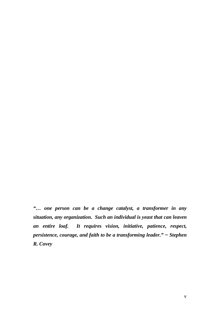*"… one person can be a change catalyst, a transformer in any situation, any organization. Such an individual is yeast that can leaven an entire loaf. It requires vision, initiative, patience, respect, persistence, courage, and faith to be a transforming leader." ~ Stephen R. Covey*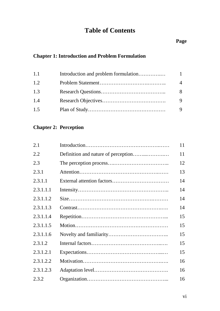# **Table of Contents**

# **Page**

# **Chapter 1: Introduction and Problem Formulation**

| 1.1 | $\mathbf{1}$   |
|-----|----------------|
| 1.2 | $\overline{4}$ |
| 1.3 | 8              |
| 1.4 | 9              |
| 1.5 |                |

### **Chapter 2: Perception**

| 2.1       | 11 |
|-----------|----|
| 2.2       | 11 |
| 2.3       | 12 |
| 2.3.1     | 13 |
| 2.3.1.1   | 14 |
| 2.3.1.1.1 | 14 |
| 2.3.1.1.2 | 14 |
| 2.3.1.1.3 | 14 |
| 2.3.1.1.4 | 15 |
| 2.3.1.1.5 | 15 |
| 2.3.1.1.6 | 15 |
| 2.3.1.2   | 15 |
| 2.3.1.2.1 | 15 |
| 2.3.1.2.2 | 16 |
| 2.3.1.2.3 | 16 |
| 2.3.2     | 16 |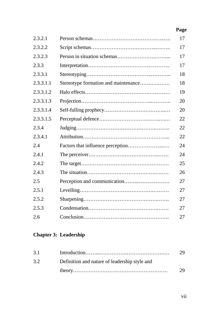| 2.3.2.1   |                                      | 17 |
|-----------|--------------------------------------|----|
| 2.3.2.2   |                                      | 17 |
| 2.3.2.3   |                                      | 17 |
| 2.3.3     |                                      | 17 |
| 2.3.3.1   |                                      | 18 |
| 2.3.3.1.1 | Stereotype formation and maintenance | 18 |
| 2.3.3.1.2 |                                      | 19 |
| 2.3.3.1.3 |                                      | 20 |
| 2.3.3.1.4 |                                      | 20 |
| 2.3.3.1.5 |                                      | 22 |
| 2.3.4     |                                      | 22 |
| 2.3.4.1   |                                      | 22 |
| 2.4       |                                      | 24 |
| 2.4.1     |                                      | 24 |
| 2.4.2     |                                      | 25 |
| 2.4.3     |                                      | 26 |
| 2.5       |                                      | 27 |
| 2.5.1     |                                      | 27 |
| 2.5.2     |                                      | 27 |
| 2.5.3     |                                      | 27 |
| 2.6       |                                      | 27 |

# **Chapter 3: Leadership**

| 3.1 |                                               | 29 |
|-----|-----------------------------------------------|----|
| 3.2 | Definition and nature of leadership style and |    |
|     |                                               | 29 |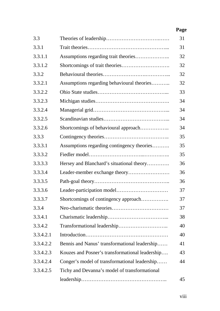| 3.3       |                                                 | 31 |
|-----------|-------------------------------------------------|----|
| 3.3.1     |                                                 | 31 |
| 3.3.1.1   |                                                 | 32 |
| 3.3.1.2   |                                                 | 32 |
| 3.3.2     |                                                 | 32 |
| 3.3.2.1   | Assumptions regarding behavioural theories      | 32 |
| 3.3.2.2   |                                                 | 33 |
| 3.3.2.3   |                                                 | 34 |
| 3.3.2.4   |                                                 | 34 |
| 3.3.2.5   |                                                 | 34 |
| 3.3.2.6   | Shortcomings of behavioural approach            | 34 |
| 3.3.3     |                                                 | 35 |
| 3.3.3.1   | Assumptions regarding contingency theories      | 35 |
| 3.3.3.2   |                                                 | 35 |
| 3.3.3.3   | Hersey and Blanchard's situational theory       | 36 |
| 3.3.3.4   |                                                 | 36 |
| 3.3.3.5   |                                                 | 36 |
| 3.3.3.6   |                                                 | 37 |
| 3.3.3.7   | Shortcomings of contingency approach            | 37 |
| 3.3.4     |                                                 | 37 |
| 3.3.4.1   |                                                 | 38 |
| 3.3.4.2   |                                                 | 40 |
| 3.3.4.2.1 |                                                 | 40 |
| 3.3.4.2.2 | Bennis and Nanus' transformational leadership   | 41 |
| 3.3.4.2.3 | Kouzes and Posner's transformational leadership | 43 |
| 3.3.4.2.4 | Conger's model of transformational leadership   | 44 |
| 3.3.4.2.5 | Tichy and Devanna's model of transformational   |    |
|           |                                                 | 45 |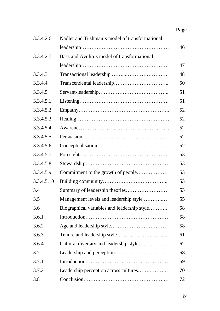| 3.3.4.2.6  | Nadler and Tushman's model of transformational |    |
|------------|------------------------------------------------|----|
|            |                                                | 46 |
| 3.3.4.2.7  | Bass and Avolio's model of transformational    |    |
|            |                                                | 47 |
| 3.3.4.3    |                                                | 48 |
| 3.3.4.4    |                                                | 50 |
| 3.3.4.5    |                                                | 51 |
| 3.3.4.5.1  |                                                | 51 |
| 3.3.4.5.2  |                                                | 52 |
| 3.3.4.5.3  |                                                | 52 |
| 3.3.4.5.4  |                                                | 52 |
| 3.3.4.5.5  |                                                | 52 |
| 3.3.4.5.6  |                                                | 52 |
| 3.3.4.5.7  |                                                | 53 |
| 3.3.4.5.8  |                                                | 53 |
| 3.3.4.5.9  | Commitment to the growth of people             | 53 |
| 3.3.4.5.10 |                                                | 53 |
| 3.4        |                                                | 53 |
| 3.5        | Management levels and leadership style         | 55 |
| 3.6        | Biographical variables and leadership style    | 58 |
| 3.6.1      |                                                | 58 |
| 3.6.2      |                                                | 58 |
| 3.6.3      |                                                | 61 |
| 3.6.4      | Cultural diversity and leadership style        | 62 |
| 3.7        |                                                | 68 |
| 3.7.1      |                                                | 69 |
| 3.7.2      | Leadership perception across cultures          | 70 |
| 3.8        |                                                | 72 |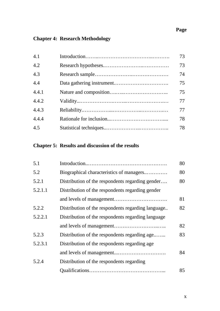# **Chapter 4: Research Methodology**

| 4.1   | 73 |
|-------|----|
| 4.2   | 73 |
| 4.3   | 74 |
| 4.4   | 75 |
| 4.4.1 | 75 |
| 4.4.2 | 77 |
| 4.4.3 | 77 |
| 4.4.4 | 78 |
| 4.5   | 78 |

# **Chapter 5: Results and discussion of the results**

| 5.1     |                                                    | 80 |
|---------|----------------------------------------------------|----|
| 5.2     | Biographical characteristics of managers           | 80 |
| 5.2.1   | Distribution of the respondents regarding gender   | 80 |
| 5.2.1.1 | Distribution of the respondents regarding gender   |    |
|         |                                                    | 81 |
| 5.2.2   | Distribution of the respondents regarding language | 82 |
| 5.2.2.1 | Distribution of the respondents regarding language |    |
|         |                                                    | 82 |
| 5.2.3   | Distribution of the respondents regarding age      | 83 |
| 5.2.3.1 | Distribution of the respondents regarding age.     |    |
|         |                                                    | 84 |
| 5.2.4   | Distribution of the respondents regarding          |    |
|         |                                                    | 85 |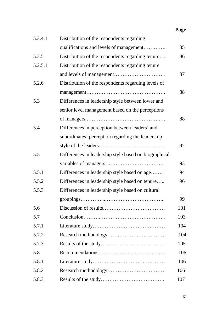| 5.2.4.1 | Distribution of the respondents regarding             |     |
|---------|-------------------------------------------------------|-----|
|         | qualifications and levels of management               | 85  |
| 5.2.5   | Distribution of the respondents regarding tenure      | 86  |
| 5.2.5.1 | Distribution of the respondents regarding tenure      |     |
|         |                                                       | 87  |
| 5.2.6   | Distribution of the respondents regarding levels of   |     |
|         |                                                       | 88  |
| 5.3     | Differences in leadership style between lower and     |     |
|         | senior level management based on the perceptions      |     |
|         |                                                       | 88  |
| 5.4     | Differences in perception between leaders' and        |     |
|         | subordinates' perception regarding the leadership     |     |
|         |                                                       | 92  |
| 5.5     | Differences in leadership style based on biographical |     |
|         |                                                       | 93  |
| 5.5.1   | Differences in leadership style based on age          | 94  |
| 5.5.2   | Differences in leadership style based on tenure       | 96  |
| 5.5.3   | Differences in leadership style based on cultural     |     |
|         |                                                       | 99  |
| 5.6     |                                                       | 101 |
| 5.7     |                                                       | 103 |
| 5.7.1   |                                                       | 104 |
| 5.7.2   |                                                       | 104 |
| 5.7.3   |                                                       | 105 |
| 5.8     |                                                       | 106 |
| 5.8.1   |                                                       | 106 |
| 5.8.2   |                                                       | 106 |
| 5.8.3   |                                                       | 107 |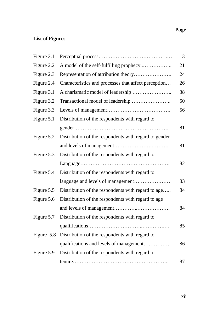# **List of Figures**

| Figure 2.1 |                                                           | 13 |
|------------|-----------------------------------------------------------|----|
| Figure 2.2 | A model of the self-fulfilling prophecy                   | 21 |
| Figure 2.3 | Representation of attribution theory                      | 24 |
| Figure 2.4 | Characteristics and processes that affect perception      | 26 |
| Figure 3.1 |                                                           | 38 |
| Figure 3.2 |                                                           | 50 |
| Figure 3.3 |                                                           | 56 |
| Figure 5.1 | Distribution of the respondents with regard to            |    |
|            |                                                           | 81 |
| Figure 5.2 | Distribution of the respondents with regard to gender     |    |
|            |                                                           | 81 |
| Figure 5.3 | Distribution of the respondents with regard to            |    |
|            |                                                           | 82 |
| Figure 5.4 | Distribution of the respondents with regard to            |    |
|            | language and levels of management                         | 83 |
| Figure 5.5 | Distribution of the respondents with regard to age        | 84 |
| Figure 5.6 | Distribution of the respondents with regard to age        |    |
|            |                                                           | 84 |
| Figure 5.7 | Distribution of the respondents with regard to            |    |
|            |                                                           | 85 |
|            | Figure 5.8 Distribution of the respondents with regard to |    |
|            | qualifications and levels of management                   | 86 |
| Figure 5.9 | Distribution of the respondents with regard to            |    |
|            |                                                           | 87 |
|            |                                                           |    |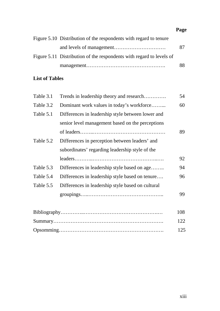| Figure 5.10 Distribution of the respondents with regard to tenure    |    |
|----------------------------------------------------------------------|----|
|                                                                      | 87 |
| Figure 5.11 Distribution of the respondents with regard to levels of |    |
|                                                                      | 88 |

### **List of Tables**

| Table 3.1 | Trends in leadership theory and research          | 54  |
|-----------|---------------------------------------------------|-----|
| Table 3.2 | Dominant work values in today's workforce         | 60  |
| Table 5.1 | Differences in leadership style between lower and |     |
|           | senior level management based on the perceptions  |     |
|           |                                                   | 89  |
| Table 5.2 | Differences in perception between leaders' and    |     |
|           | subordinates' regarding leadership style of the   |     |
|           |                                                   | 92  |
| Table 5.3 | Differences in leadership style based on age      | 94  |
| Table 5.4 | Differences in leadership style based on tenure   | 96  |
| Table 5.5 | Differences in leadership style based on cultural |     |
|           |                                                   | 99  |
|           |                                                   | 108 |

|  | - 122 |
|--|-------|
|  |       |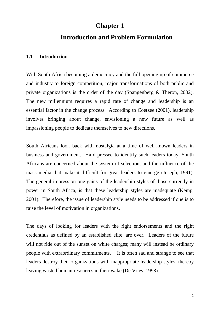### **Chapter 1**

### **Introduction and Problem Formulation**

#### **1.1 Introduction**

With South Africa becoming a democracy and the full opening up of commerce and industry to foreign competition, major transformations of both public and private organizations is the order of the day (Spangenberg & Theron, 2002). The new millennium requires a rapid rate of change and leadership is an essential factor in the change process. According to Coetzee (2001), leadership involves bringing about change, envisioning a new future as well as impassioning people to dedicate themselves to new directions.

South Africans look back with nostalgia at a time of well-known leaders in business and government. Hard-pressed to identify such leaders today, South Africans are concerned about the system of selection, and the influence of the mass media that make it difficult for great leaders to emerge (Joseph, 1991). The general impression one gains of the leadership styles of those currently in power in South Africa, is that these leadership styles are inadequate (Kemp, 2001). Therefore, the issue of leadership style needs to be addressed if one is to raise the level of motivation in organizations.

The days of looking for leaders with the right endorsements and the right credentials as defined by an established elite, are over. Leaders of the future will not ride out of the sunset on white charges; many will instead be ordinary people with extraordinary commitments. It is often sad and strange to see that leaders destroy their organizations with inappropriate leadership styles, thereby leaving wasted human resources in their wake (De Vries, 1998).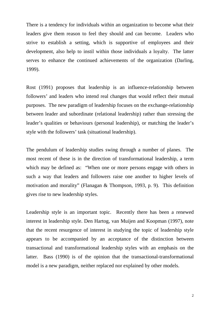There is a tendency for individuals within an organization to become what their leaders give them reason to feel they should and can become. Leaders who strive to establish a setting, which is supportive of employees and their development, also help to instil within those individuals a loyalty. The latter serves to enhance the continued achievements of the organization (Darling, 1999).

Rost (1991) proposes that leadership is an influence-relationship between followers' and leaders who intend real changes that would reflect their mutual purposes. The new paradigm of leadership focuses on the exchange-relationship between leader and subordinate (relational leadership) rather than stressing the leader's qualities or behaviours (personal leadership), or matching the leader's style with the followers' task (situational leadership).

The pendulum of leadership studies swing through a number of planes. The most recent of these is in the direction of transformational leadership, a term which may be defined as: "When one or more persons engage with others in such a way that leaders and followers raise one another to higher levels of motivation and morality" (Flanagan & Thompson, 1993, p. 9). This definition gives rise to new leadership styles.

Leadership style is an important topic. Recently there has been a renewed interest in leadership style. Den Hartog, van Muijen and Koopman (1997), note that the recent resurgence of interest in studying the topic of leadership style appears to be accompanied by an acceptance of the distinction between transactional and transformational leadership styles with an emphasis on the latter. Bass (1990) is of the opinion that the transactional-transformational model is a new paradigm, neither replaced nor explained by other models.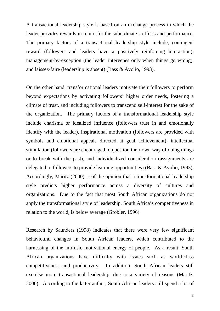A transactional leadership style is based on an exchange process in which the leader provides rewards in return for the subordinate's efforts and performance. The primary factors of a transactional leadership style include, contingent reward (followers and leaders have a positively reinforcing interaction), management-by-exception (the leader intervenes only when things go wrong), and laissez-faire (leadership is absent) (Bass & Avolio, 1993).

On the other hand, transformational leaders motivate their followers to perform beyond expectations by activating followers' higher order needs, fostering a climate of trust, and including followers to transcend self-interest for the sake of the organization. The primary factors of a transformational leadership style include charisma or idealized influence (followers trust in and emotionally identify with the leader), inspirational motivation (followers are provided with symbols and emotional appeals directed at goal achievement), intellectual stimulation (followers are encouraged to question their own way of doing things or to break with the past), and individualized consideration (assignments are delegated to followers to provide learning opportunities) (Bass & Avolio, 1993). Accordingly, Maritz (2000) is of the opinion that a transformational leadership style predicts higher performance across a diversity of cultures and organizations. Due to the fact that most South African organizations do not apply the transformational style of leadership, South Africa's competitiveness in relation to the world, is below average (Grobler, 1996).

Research by Saunders (1998) indicates that there were very few significant behavioural changes in South African leaders, which contributed to the harnessing of the intrinsic motivational energy of people. As a result, South African organizations have difficulty with issues such as world-class competitiveness and productivity. In addition, South African leaders still exercise more transactional leadership, due to a variety of reasons (Maritz, 2000). According to the latter author, South African leaders still spend a lot of

3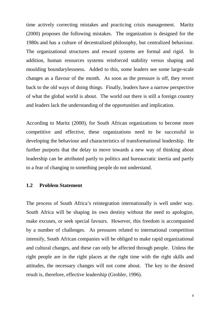time actively correcting mistakes and practicing crisis management. Maritz (2000) proposes the following mistakes. The organization is designed for the 1980s and has a culture of decentralized philosophy, but centralized behaviour. The organizational structures and reward systems are formal and rigid. In addition, human resources systems reinforced stability versus shaping and moulding boundarylessness. Added to this, some leaders see some large-scale changes as a flavour of the month. As soon as the pressure is off, they revert back to the old ways of doing things. Finally, leaders have a narrow perspective of what the global world is about. The world out there is still a foreign country and leaders lack the understanding of the opportunities and implication.

According to Maritz (2000), for South African organizations to become more competitive and effective, these organizations need to be successful in developing the behaviour and characteristics of transformational leadership. He further purports that the delay to move towards a new way of thinking about leadership can be attributed partly to politics and bureaucratic inertia and partly to a fear of changing to something people do not understand.

#### **1.2 Problem Statement**

The process of South Africa's reintegration internationally is well under way. South Africa will be shaping its own destiny without the need to apologize, make excuses, or seek special favours. However, this freedom is accompanied by a number of challenges. As pressures related to international competition intensify, South African companies will be obliged to make rapid organizational and cultural changes, and these can only be affected through people. Unless the right people are in the right places at the right time with the right skills and attitudes, the necessary changes will not come about. The key to the desired result is, therefore, effective leadership (Grobler, 1996).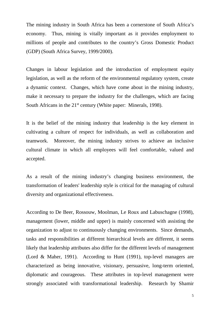The mining industry in South Africa has been a cornerstone of South Africa's economy. Thus, mining is vitally important as it provides employment to millions of people and contributes to the country's Gross Domestic Product (GDP) (South Africa Survey, 1999/2000).

Changes in labour legislation and the introduction of employment equity legislation, as well as the reform of the environmental regulatory system, create a dynamic context. Changes, which have come about in the mining industry, make it necessary to prepare the industry for the challenges, which are facing South Africans in the 21<sup>st</sup> century (White paper: Minerals, 1998).

It is the belief of the mining industry that leadership is the key element in cultivating a culture of respect for individuals, as well as collaboration and teamwork. Moreover, the mining industry strives to achieve an inclusive cultural climate in which all employees will feel comfortable, valued and accepted.

As a result of the mining industry's changing business environment, the transformation of leaders' leadership style is critical for the managing of cultural diversity and organizational effectiveness.

According to De Beer, Rossouw, Moolman, Le Roux and Labuschagne (1998), management (lower, middle and upper) is mainly concerned with assisting the organization to adjust to continuously changing environments. Since demands, tasks and responsibilities at different hierarchical levels are different, it seems likely that leadership attributes also differ for the different levels of management (Lord & Maher, 1991). According to Hunt (1991), top-level managers are characterized as being innovative, visionary, persuasive, long-term oriented, diplomatic and courageous. These attributes in top-level management were strongly associated with transformational leadership. Research by Shamir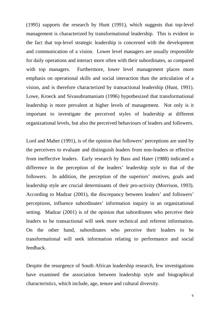(1995) supports the research by Hunt (1991), which suggests that top-level management is characterized by transformational leadership. This is evident in the fact that top-level strategic leadership is concerned with the development and communication of a vision. Lower level managers are usually responsible for daily operations and interact more often with their subordinates, as compared with top managers. Furthermore, lower level management places more emphasis on operational skills and social interaction than the articulation of a vision, and is therefore characterized by transactional leadership (Hunt, 1991). Lowe, Kroeck and Sivasubramaniam (1996) hypothesized that transformational leadership is more prevalent at higher levels of management. Not only is it important to investigate the perceived styles of leadership at different organizational levels, but also the perceived behaviours of leaders and followers.

Lord and Maher (1991), is of the opinion that followers' perceptions are used by the perceivers to evaluate and distinguish leaders from non-leaders or effective from ineffective leaders. Early research by Bass and Hater (1988) indicated a difference in the perception of the leaders' leadership style to that of the followers. In addition, the perception of the superiors' motives, goals and leadership style are crucial determinants of their pro-activity (Morrison, 1993). According to Madzar (2001), the discrepancy between leaders' and followers' perceptions, influence subordinates' information inquiry in an organizational setting. Madzar (2001) is of the opinion that subordinates who perceive their leaders to be transactional will seek more technical and referent information. On the other hand, subordinates who perceive their leaders to be transformational will seek information relating to performance and social feedback.

Despite the resurgence of South African leadership research, few investigations have examined the association between leadership style and biographical characteristics, which include, age, tenure and cultural diversity.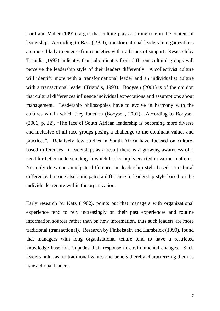Lord and Maher (1991), argue that culture plays a strong role in the content of leadership. According to Bass (1990), transformational leaders in organizations are more likely to emerge from societies with traditions of support. Research by Triandis (1993) indicates that subordinates from different cultural groups will perceive the leadership style of their leaders differently. A collectivist culture will identify more with a transformational leader and an individualist culture with a transactional leader (Triandis, 1993). Booysen (2001) is of the opinion that cultural differences influence individual expectations and assumptions about management. Leadership philosophies have to evolve in harmony with the cultures within which they function (Booysen, 2001). According to Booysen (2001, p. 32), "The face of South African leadership is becoming more diverse and inclusive of all race groups posing a challenge to the dominant values and practices". Relatively few studies in South Africa have focused on culturebased differences in leadership; as a result there is a growing awareness of a need for better understanding in which leadership is enacted in various cultures. Not only does one anticipate differences in leadership style based on cultural difference, but one also anticipates a difference in leadership style based on the individuals' tenure within the organization.

Early research by Katz (1982), points out that managers with organizational experience tend to rely increasingly on their past experiences and routine information sources rather than on new information, thus such leaders are more traditional (transactional). Research by Finkelstein and Hambrick (1990), found that managers with long organizational tenure tend to have a restricted knowledge base that impedes their response to environmental changes. Such leaders hold fast to traditional values and beliefs thereby characterizing them as transactional leaders.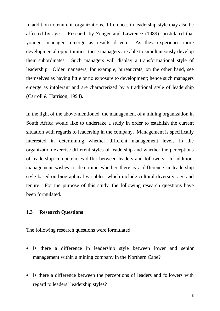In addition to tenure in organizations, differences in leadership style may also be affected by age. Research by Zenger and Lawrence (1989), postulated that younger managers emerge as results driven. As they experience more developmental opportunities, these managers are able to simultaneously develop their subordinates. Such managers will display a transformational style of leadership. Older managers, for example, bureaucrats, on the other hand, see themselves as having little or no exposure to development; hence such managers emerge as intolerant and are characterized by a traditional style of leadership (Carroll & Harrison, 1994).

In the light of the above-mentioned, the management of a mining organization in South Africa would like to undertake a study in order to establish the current situation with regards to leadership in the company. Management is specifically interested in determining whether different management levels in the organization exercise different styles of leadership and whether the perceptions of leadership competencies differ between leaders and followers. In addition, management wishes to determine whether there is a difference in leadership style based on biographical variables, which include cultural diversity, age and tenure. For the purpose of this study, the following research questions have been formulated.

#### **1.3 Research Questions**

The following research questions were formulated.

- Is there a difference in leadership style between lower and senior management within a mining company in the Northern Cape?
- Is there a difference between the perceptions of leaders and followers with regard to leaders' leadership styles?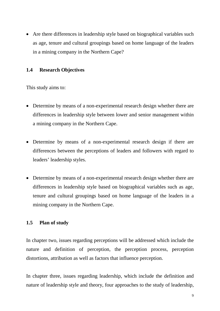• Are there differences in leadership style based on biographical variables such as age, tenure and cultural groupings based on home language of the leaders in a mining company in the Northern Cape?

#### **1.4 Research Objectives**

This study aims to:

- Determine by means of a non-experimental research design whether there are differences in leadership style between lower and senior management within a mining company in the Northern Cape.
- Determine by means of a non-experimental research design if there are differences between the perceptions of leaders and followers with regard to leaders' leadership styles.
- Determine by means of a non-experimental research design whether there are differences in leadership style based on biographical variables such as age, tenure and cultural groupings based on home language of the leaders in a mining company in the Northern Cape.

#### **1.5 Plan of study**

In chapter two, issues regarding perceptions will be addressed which include the nature and definition of perception, the perception process, perception distortions, attribution as well as factors that influence perception.

In chapter three, issues regarding leadership, which include the definition and nature of leadership style and theory, four approaches to the study of leadership,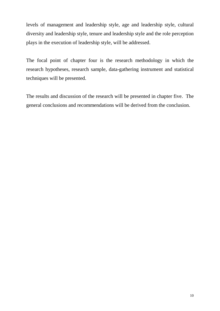levels of management and leadership style, age and leadership style, cultural diversity and leadership style, tenure and leadership style and the role perception plays in the execution of leadership style, will be addressed.

The focal point of chapter four is the research methodology in which the research hypotheses, research sample, data-gathering instrument and statistical techniques will be presented.

The results and discussion of the research will be presented in chapter five. The general conclusions and recommendations will be derived from the conclusion.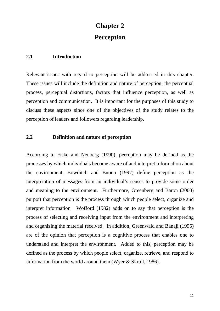# **Chapter 2 Perception**

#### **2.1 Introduction**

Relevant issues with regard to perception will be addressed in this chapter. These issues will include the definition and nature of perception, the perceptual process, perceptual distortions, factors that influence perception, as well as perception and communication. It is important for the purposes of this study to discuss these aspects since one of the objectives of the study relates to the perception of leaders and followers regarding leadership.

#### **2.2 Definition and nature of perception**

According to Fiske and Neuberg (1990), perception may be defined as the processes by which individuals become aware of and interpret information about the environment. Bowditch and Buono (1997) define perception as the interpretation of messages from an individual's senses to provide some order and meaning to the environment. Furthermore, Greenberg and Baron (2000) purport that perception is the process through which people select, organize and interpret information. Wofford (1982) adds on to say that perception is the process of selecting and receiving input from the environment and interpreting and organizing the material received. In addition, Greenwald and Banaji (1995) are of the opinion that perception is a cognitive process that enables one to understand and interpret the environment. Added to this, perception may be defined as the process by which people select, organize, retrieve, and respond to information from the world around them (Wyer & Skrull, 1986).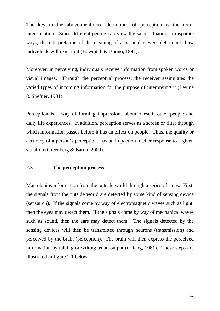The key to the above-mentioned definitions of perception is the term, interpretation. Since different people can view the same situation in disparate ways, the interpretation of the meaning of a particular event determines how individuals will react to it (Bowditch & Buono, 1997).

Moreover, in perceiving, individuals receive information from spoken words or visual images. Through the perceptual process, the receiver assimilates the varied types of incoming information for the purpose of interpreting it (Levine & Shefner, 1981).

Perception is a way of forming impressions about oneself, other people and daily life experiences. In addition, perception serves as a screen or filter through which information passes before it has an effect on people. Thus, the quality or accuracy of a person's perceptions has an impact on his/her response to a given situation (Greenberg & Baron, 2000).

#### **2.3 The perception process**

Man obtains information from the outside world through a series of steps. First, the signals from the outside world are detected by some kind of sensing device (sensation). If the signals come by way of electromagnetic waves such as light, then the eyes may detect them. If the signals come by way of mechanical waves such as sound, then the ears may detect them. The signals detected by the sensing devices will then be transmitted through neurons (transmission) and perceived by the brain (perception). The brain will then express the perceived information by talking or writing as an output (Chiang, 1981). These steps are illustrated in figure 2.1 below: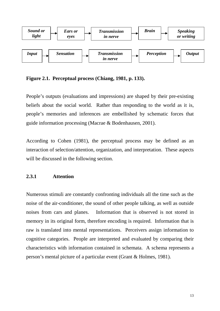

**Figure 2.1. Perceptual process (Chiang, 1981, p. 133).**

People's outputs (evaluations and impressions) are shaped by their pre-existing beliefs about the social world. Rather than responding to the world as it is, people's memories and inferences are embellished by schematic forces that guide information processing (Macrae & Bodenhausen, 2001).

According to Cohen (1981), the perceptual process may be defined as an interaction of selection/attention, organization, and interpretation. These aspects will be discussed in the following section.

#### **2.3.1 Attention**

Numerous stimuli are constantly confronting individuals all the time such as the noise of the air-conditioner, the sound of other people talking, as well as outside noises from cars and planes. Information that is observed is not stored in memory in its original form, therefore encoding is required. Information that is raw is translated into mental representations. Perceivers assign information to cognitive categories. People are interpreted and evaluated by comparing their characteristics with information contained in schemata. A schema represents a person's mental picture of a particular event (Grant & Holmes, 1981).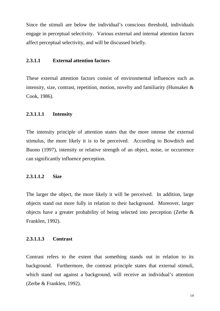Since the stimuli are below the individual's conscious threshold, individuals engage in perceptual selectivity. Various external and internal attention factors affect perceptual selectivity, and will be discussed briefly.

#### **2.3.1.1 External attention factors**

These external attention factors consist of environmental influences such as intensity, size, contrast, repetition, motion, novelty and familiarity (Hunsaker & Cook, 1986).

#### **2.3.1.1.1 Intensity**

The intensity principle of attention states that the more intense the external stimulus, the more likely it is to be perceived. According to Bowditch and Buono (1997), intensity or relative strength of an object, noise, or occurrence can significantly influence perception.

#### **2.3.1.1.2 Size**

The larger the object, the more likely it will be perceived. In addition, large objects stand out more fully in relation to their background. Moreover, larger objects have a greater probability of being selected into perception (Zerbe & Franklen, 1992).

#### **2.3.1.1.3 Contrast**

Contrast refers to the extent that something stands out in relation to its background. Furthermore, the contrast principle states that external stimuli, which stand out against a background, will receive an individual's attention (Zerbe & Franklen, 1992).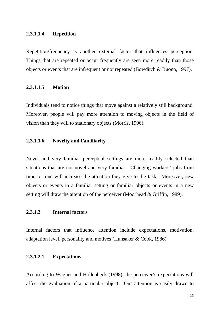#### **2.3.1.1.4 Repetition**

Repetition/frequency is another external factor that influences perception. Things that are repeated or occur frequently are seen more readily than those objects or events that are infrequent or not repeated (Bowditch & Buono, 1997).

#### **2.3.1.1.5 Motion**

Individuals tend to notice things that move against a relatively still background. Moreover, people will pay more attention to moving objects in the field of vision than they will to stationary objects (Morris, 1996).

#### **2.3.1.1.6 Novelty and Familiarity**

Novel and very familiar perceptual settings are more readily selected than situations that are not novel and very familiar. Changing workers' jobs from time to time will increase the attention they give to the task. Moreover, new objects or events in a familiar setting or familiar objects or events in a new setting will draw the attention of the perceiver (Moorhead & Griffin, 1989).

#### **2.3.1.2 Internal factors**

Internal factors that influence attention include expectations, motivation, adaptation level, personality and motives (Hunsaker & Cook, 1986).

#### **2.3.1.2.1 Expectations**

According to Wagner and Hollenbeck (1998), the perceiver's expectations will affect the evaluation of a particular object. Our attention is easily drawn to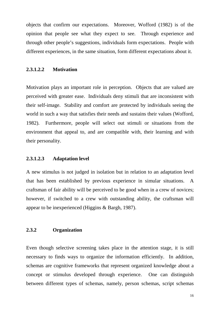objects that confirm our expectations. Moreover, Wofford (1982) is of the opinion that people see what they expect to see. Through experience and through other people's suggestions, individuals form expectations. People with different experiences, in the same situation, form different expectations about it.

#### **2.3.1.2.2 Motivation**

Motivation plays an important role in perception. Objects that are valued are perceived with greater ease. Individuals deny stimuli that are inconsistent with their self-image. Stability and comfort are protected by individuals seeing the world in such a way that satisfies their needs and sustains their values (Wofford, 1982). Furthermore, people will select out stimuli or situations from the environment that appeal to, and are compatible with, their learning and with their personality.

#### **2.3.1.2.3 Adaptation level**

A new stimulus is not judged in isolation but in relation to an adaptation level that has been established by previous experience in simular situations. A craftsman of fair ability will be perceived to be good when in a crew of novices; however, if switched to a crew with outstanding ability, the craftsman will appear to be inexperienced (Higgins & Bargh, 1987).

#### **2.3.2 Organization**

Even though selective screening takes place in the attention stage, it is still necessary to finds ways to organize the information efficiently. In addition, schemas are cognitive frameworks that represent organized knowledge about a concept or stimulus developed through experience. One can distinguish between different types of schemas, namely, person schemas, script schemas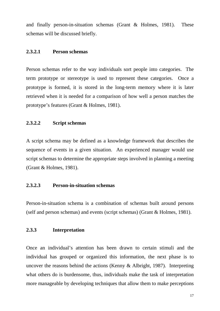and finally person-in-situation schemas (Grant & Holmes, 1981). These schemas will be discussed briefly.

#### **2.3.2.1 Person schemas**

Person schemas refer to the way individuals sort people into categories. The term prototype or stereotype is used to represent these categories. Once a prototype is formed, it is stored in the long-term memory where it is later retrieved when it is needed for a comparison of how well a person matches the prototype's features (Grant & Holmes, 1981).

#### **2.3.2.2 Script schemas**

A script schema may be defined as a knowledge framework that describes the sequence of events in a given situation. An experienced manager would use script schemas to determine the appropriate steps involved in planning a meeting (Grant & Holmes, 1981).

#### **2.3.2.3 Person-in-situation schemas**

Person-in-situation schema is a combination of schemas built around persons (self and person schemas) and events (script schemas) (Grant & Holmes, 1981).

#### **2.3.3 Interpretation**

Once an individual's attention has been drawn to certain stimuli and the individual has grouped or organized this information, the next phase is to uncover the reasons behind the actions (Kenny & Albright, 1987). Interpreting what others do is burdensome, thus, individuals make the task of interpretation more manageable by developing techniques that allow them to make perceptions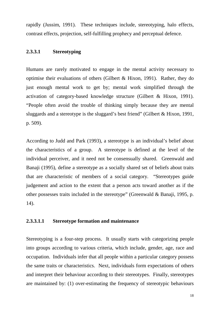rapidly (Jussim, 1991). These techniques include, stereotyping, halo effects, contrast effects, projection, self-fulfilling prophecy and perceptual defence.

#### **2.3.3.1 Stereotyping**

Humans are rarely motivated to engage in the mental activity necessary to optimise their evaluations of others (Gilbert & Hixon, 1991). Rather, they do just enough mental work to get by; mental work simplified through the activation of category-based knowledge structure (Gilbert & Hixon, 1991). "People often avoid the trouble of thinking simply because they are mental sluggards and a stereotype is the sluggard's best friend" (Gilbert & Hixon, 1991, p. 509).

According to Judd and Park (1993), a stereotype is an individual's belief about the characteristics of a group. A stereotype is defined at the level of the individual perceiver, and it need not be consensually shared. Greenwald and Banaji (1995), define a stereotype as a socially shared set of beliefs about traits that are characteristic of members of a social category. "Stereotypes guide judgement and action to the extent that a person acts toward another as if the other possesses traits included in the stereotype" (Greenwald & Banaji, 1995, p. 14).

#### **2.3.3.1.1 Stereotype formation and maintenance**

Stereotyping is a four-step process. It usually starts with categorizing people into groups according to various criteria, which include, gender, age, race and occupation. Individuals infer that all people within a particular category possess the same traits or characteristics. Next, individuals form expectations of others and interpret their behaviour according to their stereotypes. Finally, stereotypes are maintained by: (1) over-estimating the frequency of stereotypic behaviours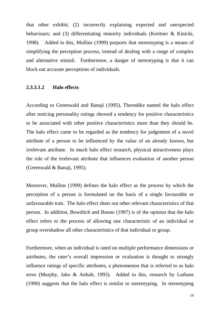that other exhibit; (2) incorrectly explaining expected and unexpected behaviours; and (3) differentiating minority individuals (Kreitner & Kinicki, 1998). Added to this, Mullins (1999) purports that stereotyping is a means of simplifying the perception process, instead of dealing with a range of complex and alternative stimuli. Furthermore, a danger of stereotyping is that it can block out accurate perceptions of individuals.

#### **2.3.3.1.2 Halo effects**

According to Greenwald and Banaji (1995), Thorndike named the halo effect after noticing personality ratings showed a tendency for positive characteristics to be associated with other positive characteristics more than they should be. The halo effect came to be regarded as the tendency for judgement of a novel attribute of a person to be influenced by the value of an already known, but irrelevant attribute. In much halo effect research, physical attractiveness plays the role of the irrelevant attribute that influences evaluation of another person (Greenwald & Banaji, 1995).

Moreover, Mullins (1999) defines the halo effect as the process by which the perception of a person is formulated on the basis of a single favourable or unfavourable trait. The halo effect shuts out other relevant characteristics of that person. In addition, Bowditch and Buono (1997) is of the opinion that the halo effect refers to the process of allowing one characteristic of an individual or group overshadow all other characteristics of that individual or group.

Furthermore, when an individual is rated on multiple performance dimensions or attributes, the rater's overall impression or evaluation is thought to strongly influence ratings of specific attributes, a phenomenon that is referred to as halo error (Murphy, Jako & Anhalt, 1993). Added to this, research by Luthans (1990) suggests that the halo effect is similar to stereotyping. In stereotyping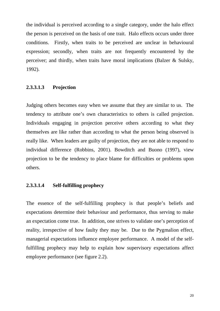the individual is perceived according to a single category, under the halo effect the person is perceived on the basis of one trait. Halo effects occurs under three conditions. Firstly, when traits to be perceived are unclear in behavioural expression; secondly, when traits are not frequently encountered by the perceiver; and thirdly, when traits have moral implications (Balzer & Sulsky, 1992).

#### **2.3.3.1.3 Projection**

Judging others becomes easy when we assume that they are similar to us. The tendency to attribute one's own characteristics to others is called projection. Individuals engaging in projection perceive others according to what they themselves are like rather than according to what the person being observed is really like. When leaders are guilty of projection, they are not able to respond to individual difference (Robbins, 2001). Bowditch and Buono (1997), view projection to be the tendency to place blame for difficulties or problems upon others.

#### **2.3.3.1.4 Self-fulfilling prophecy**

The essence of the self-fulfilling prophecy is that people's beliefs and expectations determine their behaviour and performance, thus serving to make an expectation come true. In addition, one strives to validate one's perception of reality, irrespective of how faulty they may be. Due to the Pygmalion effect, managerial expectations influence employee performance. A model of the selffulfilling prophecy may help to explain how supervisory expectations affect employee performance (see figure 2.2).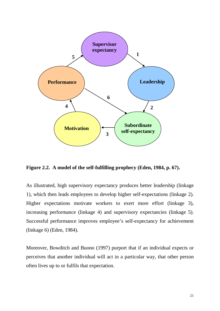

**Figure 2.2. A model of the self-fulfilling prophecy (Eden, 1984, p. 67).** 

As illustrated, high supervisory expectancy produces better leadership (linkage 1), which then leads employees to develop higher self-expectations (linkage 2). Higher expectations motivate workers to exert more effort (linkage 3), increasing performance (linkage 4) and supervisory expectancies (linkage 5). Successful performance improves employee's self-expectancy for achievement (linkage 6) (Eden, 1984).

Moreover, Bowditch and Buono (1997) purport that if an individual expects or perceives that another individual will act in a particular way, that other person often lives up to or fulfils that expectation.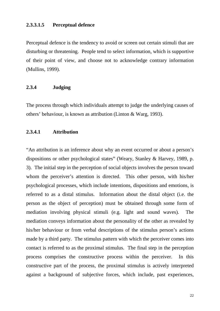#### **2.3.3.1.5 Perceptual defence**

Perceptual defence is the tendency to avoid or screen out certain stimuli that are disturbing or threatening. People tend to select information, which is supportive of their point of view, and choose not to acknowledge contrary information (Mullins, 1999).

#### **2.3.4 Judging**

The process through which individuals attempt to judge the underlying causes of others' behaviour, is known as attribution (Linton & Warg, 1993).

#### **2.3.4.1 Attribution**

"An attribution is an inference about why an event occurred or about a person's dispositions or other psychological states" (Weary, Stanley & Harvey, 1989, p. 3). The initial step in the perception of social objects involves the person toward whom the perceiver's attention is directed. This other person, with his/her psychological processes, which include intentions, dispositions and emotions, is referred to as a distal stimulus. Information about the distal object (i.e. the person as the object of perception) must be obtained through some form of mediation involving physical stimuli (e.g. light and sound waves). The mediation conveys information about the personality of the other as revealed by his/her behaviour or from verbal descriptions of the stimulus person's actions made by a third party. The stimulus pattern with which the perceiver comes into contact is referred to as the proximal stimulus. The final step in the perception process comprises the constructive process within the perceiver. In this constructive part of the process, the proximal stimulus is actively interpreted against a background of subjective forces, which include, past experiences,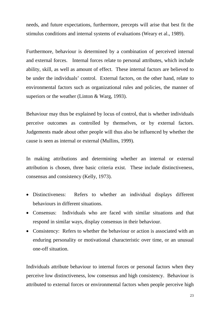needs, and future expectations, furthermore, precepts will arise that best fit the stimulus conditions and internal systems of evaluations (Weary et al., 1989).

Furthermore, behaviour is determined by a combination of perceived internal and external forces. Internal forces relate to personal attributes, which include ability, skill, as well as amount of effect. These internal factors are believed to be under the individuals' control. External factors, on the other hand, relate to environmental factors such as organizational rules and policies, the manner of superiors or the weather (Linton & Warg, 1993).

Behaviour may thus be explained by locus of control, that is whether individuals perceive outcomes as controlled by themselves, or by external factors. Judgements made about other people will thus also be influenced by whether the cause is seen as internal or external (Mullins, 1999).

In making attributions and determining whether an internal or external attribution is chosen, three basic criteria exist. These include distinctiveness, consensus and consistency (Kelly, 1973).

- Distinctiveness: Refers to whether an individual displays different behaviours in different situations.
- Consensus: Individuals who are faced with similar situations and that respond in similar ways, display consensus in their behaviour.
- Consistency: Refers to whether the behaviour or action is associated with an enduring personality or motivational characteristic over time, or an unusual one-off situation.

Individuals attribute behaviour to internal forces or personal factors when they perceive low distinctiveness, low consensus and high consistency. Behaviour is attributed to external forces or environmental factors when people perceive high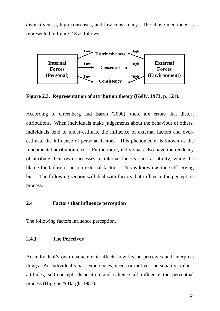distinctiveness, high consensus, and low consistency. The above-mentioned is represented in figure 2.3 as follows:



**Figure 2.3. Representation of attribution theory (Kelly, 1973, p. 121).** 

According to Greenberg and Baron (2000), there are errors that distort attributions. When individuals make judgements about the behaviour of others, individuals tend to under-estimate the influence of external factors and overestimate the influence of personal factors. This phenomenon is known as the fundamental attribution error. Furthermore, individuals also have the tendency of attribute their own successes to internal factors such as ability, while the blame for failure is put on external factors. This is known as the self-serving bias. The following section will deal with factors that influence the perception process.

# **2.4 Factors that influence perception**

The following factors influence perception.

## **2.4.1 The Perceiver**

An individual's own characteristic affects how he/she perceives and interprets things. An individual's past experiences, needs or motives, personality, values, attitudes, self-concept, disposition and salience all influence the perceptual process (Higgins & Bargh, 1987).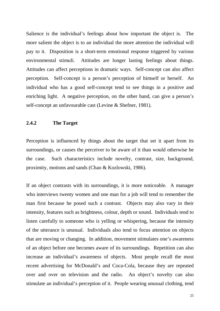Salience is the individual's feelings about how important the object is. The more salient the object is to an individual the more attention the individual will pay to it. Disposition is a short-term emotional response triggered by various environmental stimuli. Attitudes are longer lasting feelings about things. Attitudes can affect perceptions in dramatic ways. Self-concept can also affect perception. Self-concept is a person's perception of himself or herself. An individual who has a good self-concept tend to see things in a positive and enriching light. A negative perception, on the other hand, can give a person's self-concept an unfavourable cast (Levine & Shefner, 1981).

# **2.4.2 The Target**

Perception is influenced by things about the target that set it apart from its surroundings, or causes the perceiver to be aware of it than would otherwise be the case. Such characteristics include novelty, contrast, size, background, proximity, motions and sands (Chao & Kozlowski, 1986).

If an object contrasts with its surroundings, it is more noticeable. A manager who interviews twenty women and one man for a job will tend to remember the man first because he posed such a contrast. Objects may also vary in their intensity, features such as brightness, colour, depth or sound. Individuals tend to listen carefully to someone who is yelling or whispering, because the intensity of the utterance is unusual. Individuals also tend to focus attention on objects that are moving or changing. In addition, movement stimulates one's awareness of an object before one becomes aware of its surroundings. Repetition can also increase an individual's awareness of objects. Most people recall the most recent advertising for McDonald's and Coca-Cola, because they are repeated over and over on television and the radio. An object's novelty can also stimulate an individual's perception of it. People wearing unusual clothing, tend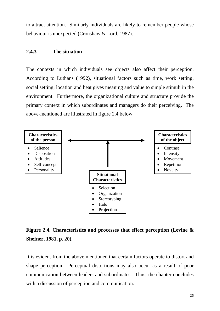to attract attention. Similarly individuals are likely to remember people whose behaviour is unexpected (Cronshaw & Lord, 1987).

# **2.4.3 The situation**

The contexts in which individuals see objects also affect their perception. According to Luthans (1992), situational factors such as time, work setting, social setting, location and heat gives meaning and value to simple stimuli in the environment. Furthermore, the organizational culture and structure provide the primary context in which subordinates and managers do their perceiving. The above-mentioned are illustrated in figure 2.4 below.



# **Figure 2.4. Characteristics and processes that effect perception (Levine & Shefner, 1981, p. 20).**

It is evident from the above mentioned that certain factors operate to distort and shape perception. Perceptual distortions may also occur as a result of poor communication between leaders and subordinates. Thus, the chapter concludes with a discussion of perception and communication.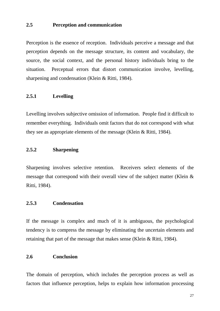# **2.5 Perception and communication**

Perception is the essence of reception. Individuals perceive a message and that perception depends on the message structure, its content and vocabulary, the source, the social context, and the personal history individuals bring to the situation. Perceptual errors that distort communication involve, levelling, sharpening and condensation (Klein & Ritti, 1984).

# **2.5.1 Levelling**

Levelling involves subjective omission of information. People find it difficult to remember everything. Individuals omit factors that do not correspond with what they see as appropriate elements of the message (Klein & Ritti, 1984).

# **2.5.2 Sharpening**

Sharpening involves selective retention. Receivers select elements of the message that correspond with their overall view of the subject matter (Klein & Ritti, 1984).

# **2.5.3 Condensation**

If the message is complex and much of it is ambiguous, the psychological tendency is to compress the message by eliminating the uncertain elements and retaining that part of the message that makes sense (Klein & Ritti, 1984).

# **2.6 Conclusion**

The domain of perception, which includes the perception process as well as factors that influence perception, helps to explain how information processing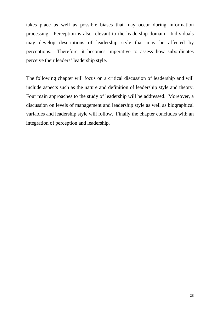takes place as well as possible biases that may occur during information processing. Perception is also relevant to the leadership domain. Individuals may develop descriptions of leadership style that may be affected by perceptions. Therefore, it becomes imperative to assess how subordinates perceive their leaders' leadership style.

The following chapter will focus on a critical discussion of leadership and will include aspects such as the nature and definition of leadership style and theory. Four main approaches to the study of leadership will be addressed. Moreover, a discussion on levels of management and leadership style as well as biographical variables and leadership style will follow. Finally the chapter concludes with an integration of perception and leadership.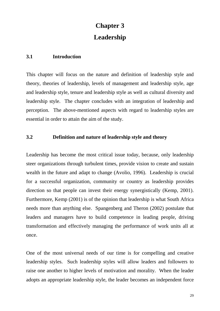# **Chapter 3 Leadership**

# **3.1 Introduction**

This chapter will focus on the nature and definition of leadership style and theory, theories of leadership, levels of management and leadership style, age and leadership style, tenure and leadership style as well as cultural diversity and leadership style. The chapter concludes with an integration of leadership and perception. The above-mentioned aspects with regard to leadership styles are essential in order to attain the aim of the study.

# **3.2 Definition and nature of leadership style and theory**

Leadership has become the most critical issue today, because, only leadership steer organizations through turbulent times, provide vision to create and sustain wealth in the future and adapt to change (Avolio, 1996). Leadership is crucial for a successful organization, community or country as leadership provides direction so that people can invest their energy synergistically (Kemp, 2001). Furthermore, Kemp (2001) is of the opinion that leadership is what South Africa needs more than anything else. Spangenberg and Theron (2002) postulate that leaders and managers have to build competence in leading people, driving transformation and effectively managing the performance of work units all at once.

One of the most universal needs of our time is for compelling and creative leadership styles. Such leadership styles will allow leaders and followers to raise one another to higher levels of motivation and morality. When the leader adopts an appropriate leadership style, the leader becomes an independent force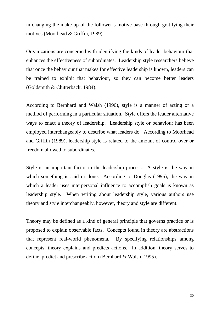in changing the make-up of the follower's motive base through gratifying their motives (Moorhead & Griffin, 1989).

Organizations are concerned with identifying the kinds of leader behaviour that enhances the effectiveness of subordinates. Leadership style researchers believe that once the behaviour that makes for effective leadership is known, leaders can be trained to exhibit that behaviour, so they can become better leaders (Goldsmith & Clutterback, 1984).

According to Bernhard and Walsh (1996), style is a manner of acting or a method of performing in a particular situation. Style offers the leader alternative ways to enact a theory of leadership. Leadership style or behaviour has been employed interchangeably to describe what leaders do. According to Moorhead and Griffin (1989), leadership style is related to the amount of control over or freedom allowed to subordinates.

Style is an important factor in the leadership process. A style is the way in which something is said or done. According to Douglas (1996), the way in which a leader uses interpersonal influence to accomplish goals is known as leadership style. When writing about leadership style, various authors use theory and style interchangeably, however, theory and style are different.

Theory may be defined as a kind of general principle that governs practice or is proposed to explain observable facts. Concepts found in theory are abstractions that represent real-world phenomena. By specifying relationships among concepts, theory explains and predicts actions. In addition, theory serves to define, predict and prescribe action (Bernhard & Walsh, 1995).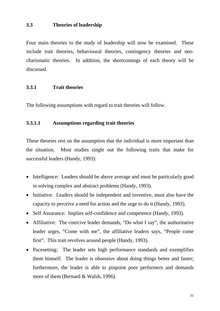# **3.3 Theories of leadership**

Four main theories to the study of leadership will now be examined. These include trait theories, behavioural theories, contingency theories and neocharismatic theories. In addition, the shortcomings of each theory will be discussed.

# **3.3.1 Trait theories**

The following assumptions with regard to trait theories will follow.

# **3.3.1.1 Assumptions regarding trait theories**

These theories rest on the assumption that the individual is more important than the situation. Most studies single out the following traits that make for successful leaders (Handy, 1993):

- Intelligence: Leaders should be above average and must be particularly good in solving complex and abstract problems (Handy, 1993).
- Initiative: Leaders should be independent and inventive, must also have the capacity to perceive a need for action and the urge to do it (Handy, 1993).
- Self Assurance: Implies self-confidence and competence (Handy, 1993).
- Affiliative: The coercive leader demands, "Do what I say", the authoritative leader urges, "Come with me", the affiliative leaders says, "People come first". This trait revolves around people (Handy, 1993).
- Pacesetting: The leader sets high performance standards and exemplifies them himself. The leader is obsessive about doing things better and faster; furthermore, the leader is able to pinpoint poor performers and demands more of them (Bernard & Walsh, 1996).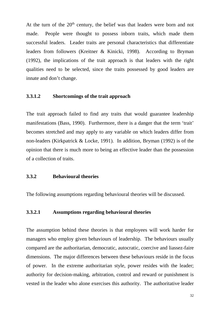At the turn of the 20<sup>th</sup> century, the belief was that leaders were born and not made. People were thought to possess inborn traits, which made them successful leaders. Leader traits are personal characteristics that differentiate leaders from followers (Kreitner & Kinicki, 1998). According to Bryman (1992), the implications of the trait approach is that leaders with the right qualities need to be selected, since the traits possessed by good leaders are innate and don't change.

#### **3.3.1.2 Shortcomings of the trait approach**

The trait approach failed to find any traits that would guarantee leadership manifestations (Bass, 1990). Furthermore, there is a danger that the term 'trait' becomes stretched and may apply to any variable on which leaders differ from non-leaders (Kirkpatrick & Locke, 1991). In addition, Bryman (1992) is of the opinion that there is much more to being an effective leader than the possession of a collection of traits.

# **3.3.2 Behavioural theories**

The following assumptions regarding behavioural theories will be discussed.

### **3.3.2.1 Assumptions regarding behavioural theories**

The assumption behind these theories is that employees will work harder for managers who employ given behaviours of leadership. The behaviours usually compared are the authoritarian, democratic, autocratic, coercive and liassez-faire dimensions. The major differences between these behaviours reside in the focus of power. In the extreme authoritarian style, power resides with the leader; authority for decision-making, arbitration, control and reward or punishment is vested in the leader who alone exercises this authority. The authoritative leader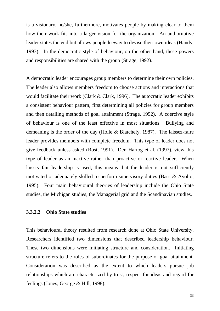is a visionary, he/she, furthermore, motivates people by making clear to them how their work fits into a larger vision for the organization. An authoritative leader states the end but allows people leeway to devise their own ideas (Handy, 1993). In the democratic style of behaviour, on the other hand, these powers and responsibilities are shared with the group (Strage, 1992).

A democratic leader encourages group members to determine their own policies. The leader also allows members freedom to choose actions and interactions that would facilitate their work (Clark & Clark, 1996). The autocratic leader exhibits a consistent behaviour pattern, first determining all policies for group members and then detailing methods of goal attainment (Strage, 1992). A coercive style of behaviour is one of the least effective in most situations. Bullying and demeaning is the order of the day (Holle & Blatchely, 1987). The laissez-faire leader provides members with complete freedom. This type of leader does not give feedback unless asked (Rost, 1991). Den Hartog et al. (1997), view this type of leader as an inactive rather than proactive or reactive leader. When laissez-fair leadership is used, this means that the leader is not sufficiently motivated or adequately skilled to perform supervisory duties (Bass & Avolio, 1995). Four main behavioural theories of leadership include the Ohio State studies, the Michigan studies, the Managerial grid and the Scandinavian studies.

### **3.3.2.2 Ohio State studies**

This behavioural theory resulted from research done at Ohio State University. Researchers identified two dimensions that described leadership behaviour. These two dimensions were initiating structure and consideration. Initiating structure refers to the roles of subordinates for the purpose of goal attainment. Consideration was described as the extent to which leaders pursue job relationships which are characterized by trust, respect for ideas and regard for feelings (Jones, George & Hill, 1998).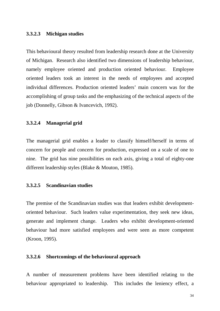#### **3.3.2.3 Michigan studies**

This behavioural theory resulted from leadership research done at the University of Michigan. Research also identified two dimensions of leadership behaviour, namely employee oriented and production oriented behaviour. Employee oriented leaders took an interest in the needs of employees and accepted individual differences. Production oriented leaders' main concern was for the accomplishing of group tasks and the emphasizing of the technical aspects of the job (Donnelly, Gibson & Ivancevich, 1992).

#### **3.3.2.4 Managerial grid**

The managerial grid enables a leader to classify himself/herself in terms of concern for people and concern for production, expressed on a scale of one to nine. The grid has nine possibilities on each axis, giving a total of eighty-one different leadership styles (Blake & Mouton, 1985).

# **3.3.2.5 Scandinavian studies**

The premise of the Scandinavian studies was that leaders exhibit developmentoriented behaviour. Such leaders value experimentation, they seek new ideas, generate and implement change. Leaders who exhibit development-oriented behaviour had more satisfied employees and were seen as more competent (Kroon, 1995).

#### **3.3.2.6 Shortcomings of the behavioural approach**

A number of measurement problems have been identified relating to the behaviour appropriated to leadership. This includes the leniency effect, a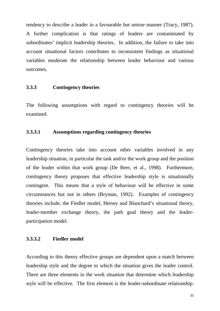tendency to describe a leader in a favourable but untrue manner (Tracy, 1987). A further complication is that ratings of leaders are contaminated by subordinates' implicit leadership theories. In addition, the failure to take into account situational factors contributes to inconsistent findings as situational variables moderate the relationship between leader behaviour and various outcomes.

# **3.3.3 Contingency theories**

The following assumptions with regard to contingency theories will be examined.

# **3.3.3.1 Assumptions regarding contingency theories**

Contingency theories take into account other variables involved in any leadership situation, in particular the task and/or the work group and the position of the leader within that work group (De Beer, et al., 1998). Furthermore, contingency theory proposes that effective leadership style is situationally contingent. This means that a style of behaviour will be effective in some circumstances but not in others (Bryman, 1992). Examples of contingency theories include, the Fiedler model, Hersey and Blanchard's situational theory, leader-member exchange theory, the path goal theory and the leaderparticipation model.

## **3.3.3.2 Fiedler model**

According to this theory effective groups are dependent upon a match between leadership style and the degree to which the situation gives the leader control. There are three elements in the work situation that determine which leadership style will be effective. The first element is the leader-subordinate relationship.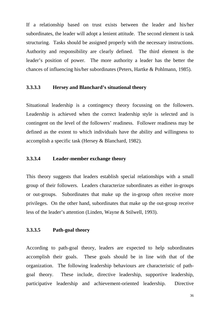If a relationship based on trust exists between the leader and his/her subordinates, the leader will adopt a lenient attitude. The second element is task structuring. Tasks should be assigned properly with the necessary instructions. Authority and responsibility are clearly defined. The third element is the leader's position of power. The more authority a leader has the better the chances of influencing his/her subordinates (Peters, Hartke & Pohlmann, 1985).

# **3.3.3.3 Hersey and Blanchard's situational theory**

Situational leadership is a contingency theory focussing on the followers. Leadership is achieved when the correct leadership style is selected and is contingent on the level of the followers' readiness. Follower readiness may be defined as the extent to which individuals have the ability and willingness to accomplish a specific task (Hersey & Blanchard, 1982).

#### **3.3.3.4 Leader-member exchange theory**

This theory suggests that leaders establish special relationships with a small group of their followers. Leaders characterize subordinates as either in-groups or out-groups. Subordinates that make up the in-group often receive more privileges. On the other hand, subordinates that make up the out-group receive less of the leader's attention (Linden, Wayne & Stilwell, 1993).

# **3.3.3.5 Path-goal theory**

According to path-goal theory, leaders are expected to help subordinates accomplish their goals. These goals should be in line with that of the organization. The following leadership behaviours are characteristic of pathgoal theory. These include, directive leadership, supportive leadership, participative leadership and achievement-oriented leadership. Directive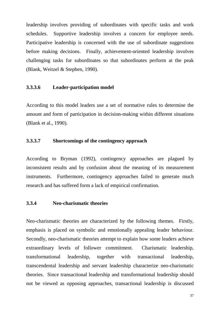leadership involves providing of subordinates with specific tasks and work schedules. Supportive leadership involves a concern for employee needs. Participative leadership is concerned with the use of subordinate suggestions before making decisions. Finally, achievement-oriented leadership involves challenging tasks for subordinates so that subordinates perform at the peak (Blank, Weitzel & Stephen, 1990).

# **3.3.3.6 Leader-participation model**

According to this model leaders use a set of normative rules to determine the amount and form of participation in decision-making within different situations (Blank et al., 1990).

# **3.3.3.7 Shortcomings of the contingency approach**

According to Bryman (1992), contingency approaches are plagued by inconsistent results and by confusion about the meaning of its measurement instruments. Furthermore, contingency approaches failed to generate much research and has suffered form a lack of empirical confirmation.

# **3.3.4 Neo-charismatic theories**

Neo-charismatic theories are characterized by the following themes. Firstly, emphasis is placed on symbolic and emotionally appealing leader behaviour. Secondly, neo-charismatic theories attempt to explain how some leaders achieve extraordinary levels of follower commitment. Charismatic leadership, transformational leadership, together with transactional leadership, transcendental leadership and servant leadership characterize neo-charismatic theories. Since transactional leadership and transformational leadership should not be viewed as opposing approaches, transactional leadership is discussed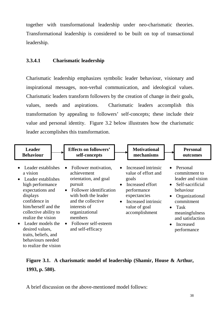together with transformational leadership under neo-charismatic theories. Transformational leadership is considered to be built on top of transactional leadership.

# **3.3.4.1 Charismatic leadership**

Charismatic leadership emphasizes symbolic leader behaviour, visionary and inspirational messages, non-verbal communication, and ideological values. Charismatic leaders transform followers by the creation of change in their goals, values, needs and aspirations. Charismatic leaders accomplish this transformation by appealing to followers' self-concepts; these include their value and personal identity. Figure 3.2 below illustrates how the charismatic leader accomplishes this transformation.

| <b>Leader</b>                                                                                                                                                                                                                                                                                          | <b>Effects on followers'</b>                                                                                                                                                                                                                                           | <b>Motivational</b>                                                                                                                                                                                     | <b>Personal</b>                                                                                                                                                                                                                                 |
|--------------------------------------------------------------------------------------------------------------------------------------------------------------------------------------------------------------------------------------------------------------------------------------------------------|------------------------------------------------------------------------------------------------------------------------------------------------------------------------------------------------------------------------------------------------------------------------|---------------------------------------------------------------------------------------------------------------------------------------------------------------------------------------------------------|-------------------------------------------------------------------------------------------------------------------------------------------------------------------------------------------------------------------------------------------------|
| <b>Behaviour</b>                                                                                                                                                                                                                                                                                       | self-concepts                                                                                                                                                                                                                                                          | mechanisms                                                                                                                                                                                              | outcomes                                                                                                                                                                                                                                        |
| Leader establishes<br>$\bullet$<br>a vision<br>Leader establishes<br>$\bullet$<br>high performance<br>expectations and<br>displays<br>confidence in<br>him/herself and the<br>collective ability to<br>realize the vision<br>Leader models the<br>$\bullet$<br>desired values,<br>traits, beliefs, and | Follower motivation,<br>$\bullet$<br>achievement<br>orientation, and goal<br>pursuit<br>Follower identification<br>$\bullet$<br>with both the leader<br>and the collective<br>interests of<br>organizational<br>members<br>• Follower self-esteem<br>and self-efficacy | Increased intrinsic<br>$\bullet$<br>value of effort and<br>goals<br>Increased effort<br>$\bullet$<br>performance<br>expectancies<br>Increased intrinsic<br>$\bullet$<br>value of goal<br>accomplishment | Personal<br>$\bullet$<br>commitment to<br>leader and vision<br>• Self-sacrificial<br>behaviour<br>Organizational<br>$\bullet$<br>commitment<br>Task<br>$\bullet$<br>meaningfulness<br>and satisfaction<br>Increased<br>$\bullet$<br>performance |

# **Figure 3.1. A charismatic model of leadership (Shamir, House & Arthur, 1993, p. 580).**

A brief discussion on the above-mentioned model follows:

behaviours needed to realize the vision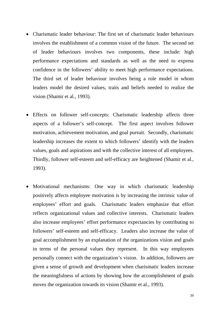- Charismatic leader behaviour: The first set of charismatic leader behaviours involves the establishment of a common vision of the future. The second set of leader behaviours involves two components, these include: high performance expectations and standards as well as the need to express confidence in the followers' ability to meet high performance expectations. The third set of leader behaviour involves being a role model in whom leaders model the desired values, traits and beliefs needed to realize the vision (Shamir et al., 1993).
- Effects on follower self-concepts: Charismatic leadership affects three aspects of a follower's self-concept. The first aspect involves follower motivation, achievement motivation, and goal pursuit. Secondly, charismatic leadership increases the extent to which followers' identify with the leaders values, goals and aspirations and with the collective interest of all employees. Thirdly, follower self-esteem and self-efficacy are heightened (Shamir et al., 1993).
- Motivational mechanisms: One way in which charismatic leadership positively affects employee motivation is by increasing the intrinsic value of employees' effort and goals. Charismatic leaders emphasize that effort reflects organizational values and collective interests. Charismatic leaders also increase employees' effort performance expectancies by contributing to followers' self-esteem and self-efficacy. Leaders also increase the value of goal accomplishment by an explanation of the organizations vision and goals in terms of the personal values they represent. In this way employees personally connect with the organization's vision. In addition, followers are given a sense of growth and development when charismatic leaders increase the meaningfulness of actions by showing how the accomplishment of goals moves the organization towards its vision (Shamir et al., 1993).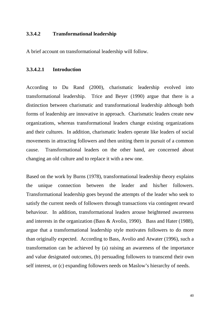# **3.3.4.2 Transformational leadership**

A brief account on transformational leadership will follow.

#### **3.3.4.2.1 Introduction**

According to Du Rand (2000), charismatic leadership evolved into transformational leadership. Trice and Beyer (1990) argue that there is a distinction between charismatic and transformational leadership although both forms of leadership are innovative in approach. Charismatic leaders create new organizations, whereas transformational leaders change existing organizations and their cultures. In addition, charismatic leaders operate like leaders of social movements in attracting followers and then uniting them in pursuit of a common cause. Transformational leaders on the other hand, are concerned about changing an old culture and to replace it with a new one.

Based on the work by Burns (1978), transformational leadership theory explains the unique connection between the leader and his/her followers. Transformational leadership goes beyond the attempts of the leader who seek to satisfy the current needs of followers through transactions via contingent reward behaviour. In addition, transformational leaders arouse heightened awareness and interests in the organization (Bass & Avolio, 1990). Bass and Hater (1988), argue that a transformational leadership style motivates followers to do more than originally expected. According to Bass, Avolio and Atwater (1996), such a transformation can be achieved by (a) raising an awareness of the importance and value designated outcomes, (b) persuading followers to transcend their own self interest, or (c) expanding followers needs on Maslow's hierarchy of needs.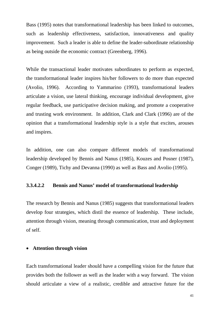Bass (1995) notes that transformational leadership has been linked to outcomes, such as leadership effectiveness, satisfaction, innovativeness and quality improvement. Such a leader is able to define the leader-subordinate relationship as being outside the economic contract (Greenberg, 1996).

While the transactional leader motivates subordinates to perform as expected, the transformational leader inspires his/her followers to do more than expected (Avolio, 1996). According to Yammarino (1993), transformational leaders articulate a vision, use lateral thinking, encourage individual development, give regular feedback, use participative decision making, and promote a cooperative and trusting work environment. In addition, Clark and Clark (1996) are of the opinion that a transformational leadership style is a style that excites, arouses and inspires.

In addition, one can also compare different models of transformational leadership developed by Bennis and Nanus (1985), Kouzes and Posner (1987), Conger (1989), Tichy and Devanna (1990) as well as Bass and Avolio (1995).

# **3.3.4.2.2 Bennis and Nanus' model of transformational leadership**

The research by Bennis and Nanus (1985) suggests that transformational leaders develop four strategies, which distil the essence of leadership. These include, attention through vision, meaning through communication, trust and deployment of self.

## • **Attention through vision**

Each transformational leader should have a compelling vision for the future that provides both the follower as well as the leader with a way forward. The vision should articulate a view of a realistic, credible and attractive future for the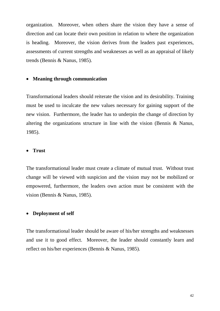organization. Moreover, when others share the vision they have a sense of direction and can locate their own position in relation to where the organization is heading. Moreover, the vision derives from the leaders past experiences, assessments of current strengths and weaknesses as well as an appraisal of likely trends (Bennis & Nanus, 1985).

# • **Meaning through communication**

Transformational leaders should reiterate the vision and its desirability. Training must be used to inculcate the new values necessary for gaining support of the new vision. Furthermore, the leader has to underpin the change of direction by altering the organizations structure in line with the vision (Bennis & Nanus, 1985).

#### • **Trust**

The transformational leader must create a climate of mutual trust. Without trust change will be viewed with suspicion and the vision may not be mobilized or empowered, furthermore, the leaders own action must be consistent with the vision (Bennis & Nanus, 1985).

# • **Deployment of self**

The transformational leader should be aware of his/her strengths and weaknesses and use it to good effect. Moreover, the leader should constantly learn and reflect on his/her experiences (Bennis & Nanus, 1985).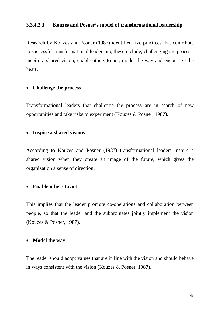# **3.3.4.2.3 Kouzes and Posner's model of transformational leadership**

Research by Kouzes and Posner (1987) identified five practices that contribute to successful transformational leadership, these include, challenging the process, inspire a shared vision, enable others to act, model the way and encourage the heart.

# • **Challenge the process**

Transformational leaders that challenge the process are in search of new opportunities and take risks to experiment (Kouzes & Posner, 1987).

# • **Inspire a shared visions**

According to Kouzes and Posner (1987) transformational leaders inspire a shared vision when they create an image of the future, which gives the organization a sense of direction.

# • **Enable others to act**

This implies that the leader promote co-operations and collaboration between people, so that the leader and the subordinates jointly implement the vision (Kouzes & Posner, 1987).

#### • **Model the way**

The leader should adopt values that are in line with the vision and should behave in ways consistent with the vision (Kouzes & Posner, 1987).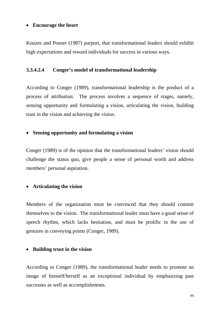# • **Encourage the heart**

Kouzes and Posner (1987) purport, that transformational leaders should exhibit high expectations and reward individuals for success in various ways.

#### **3.3.4.2.4 Conger's model of transformational leadership**

According to Conger (1989), transformational leadership is the product of a process of attribution. The process involves a sequence of stages, namely, sensing opportunity and formulating a vision, articulating the vision, building trust in the vision and achieving the vision.

# • **Sensing opportunity and formulating a vision**

Conger (1989) is of the opinion that the transformational leaders' vision should challenge the status quo, give people a sense of personal worth and address members' personal aspiration.

# • **Articulating the vision**

Members of the organization must be convinced that they should commit themselves to the vision. The transformational leader must have a good sense of speech rhythm, which lacks hesitation, and must be prolific in the use of gestures in conveying points (Conger, 1989).

# • **Building trust in the vision**

According to Conger (1989), the transformational leader needs to promote an image of himself/herself as an exceptional individual by emphasizing past successes as well as accomplishments.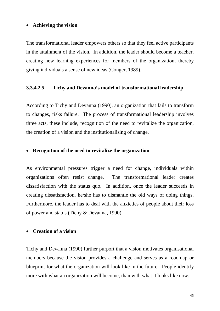#### • **Achieving the vision**

The transformational leader empowers others so that they feel active participants in the attainment of the vision. In addition, the leader should become a teacher, creating new learning experiences for members of the organization, thereby giving individuals a sense of new ideas (Conger, 1989).

# **3.3.4.2.5 Tichy and Devanna's model of transformational leadership**

According to Tichy and Devanna (1990), an organization that fails to transform to changes, risks failure. The process of transformational leadership involves three acts, these include, recognition of the need to revitalize the organization, the creation of a vision and the institutionalising of change.

#### • **Recognition of the need to revitalize the organization**

As environmental pressures trigger a need for change, individuals within organizations often resist change. The transformational leader creates dissatisfaction with the status quo. In addition, once the leader succeeds in creating dissatisfaction, he/she has to dismantle the old ways of doing things. Furthermore, the leader has to deal with the anxieties of people about their loss of power and status (Tichy & Devanna, 1990).

# • **Creation of a vision**

Tichy and Devanna (1990) further purport that a vision motivates organisational members because the vision provides a challenge and serves as a roadmap or blueprint for what the organization will look like in the future. People identify more with what an organization will become, than with what it looks like now.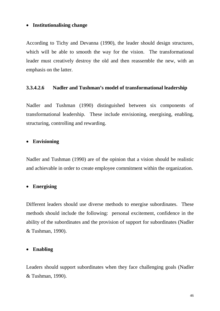# • **Institutionalising change**

According to Tichy and Devanna (1990), the leader should design structures, which will be able to smooth the way for the vision. The transformational leader must creatively destroy the old and then reassemble the new, with an emphasis on the latter.

# **3.3.4.2.6 Nadler and Tushman's model of transformational leadership**

Nadler and Tushman (1990) distinguished between six components of transformational leadership. These include envisioning, energising, enabling, structuring, controlling and rewarding.

## • **Envisioning**

Nadler and Tushman (1990) are of the opinion that a vision should be realistic and achievable in order to create employee commitment within the organization.

#### • **Energising**

Different leaders should use diverse methods to energise subordinates. These methods should include the following: personal excitement, confidence in the ability of the subordinates and the provision of support for subordinates (Nadler & Tushman, 1990).

# • **Enabling**

Leaders should support subordinates when they face challenging goals (Nadler & Tushman, 1990).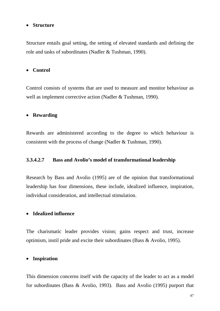# • **Structure**

Structure entails goal setting, the setting of elevated standards and defining the role and tasks of subordinates (Nadler & Tushman, 1990).

#### • **Control**

Control consists of systems that are used to measure and monitor behaviour as well as implement corrective action (Nadler & Tushman, 1990).

#### • **Rewarding**

Rewards are administered according to the degree to which behaviour is consistent with the process of change (Nadler & Tushman, 1990).

# **3.3.4.2.7 Bass and Avolio's model of transformational leadership**

Research by Bass and Avolio (1995) are of the opinion that transformational leadership has four dimensions, these include, idealized influence, inspiration, individual consideration, and intellectual stimulation.

## • **Idealized influence**

The charismatic leader provides vision; gains respect and trust, increase optimism, instil pride and excite their subordinates (Bass & Avolio, 1995).

# • **Inspiration**

This dimension concerns itself with the capacity of the leader to act as a model for subordinates (Bass & Avolio, 1993). Bass and Avolio (1995) purport that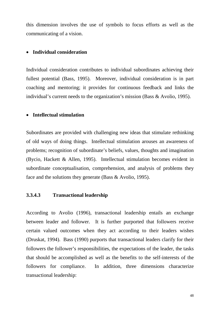this dimension involves the use of symbols to focus efforts as well as the communicating of a vision.

# • **Individual consideration**

Individual consideration contributes to individual subordinates achieving their fullest potential (Bass, 1995). Moreover, individual consideration is in part coaching and mentoring; it provides for continuous feedback and links the individual's current needs to the organization's mission (Bass & Avolio, 1995).

# • **Intellectual stimulation**

Subordinates are provided with challenging new ideas that stimulate rethinking of old ways of doing things. Intellectual stimulation arouses an awareness of problems; recognition of subordinate's beliefs, values, thoughts and imagination (Bycio, Hackett & Allen, 1995). Intellectual stimulation becomes evident in subordinate conceptualisation, comprehension, and analysis of problems they face and the solutions they generate (Bass & Avolio, 1995).

# **3.3.4.3 Transactional leadership**

According to Avolio (1996), transactional leadership entails an exchange between leader and follower. It is further purported that followers receive certain valued outcomes when they act according to their leaders wishes (Druskat, 1994). Bass (1990) purports that transactional leaders clarify for their followers the follower's responsibilities, the expectations of the leader, the tasks that should be accomplished as well as the benefits to the self-interests of the followers for compliance. In addition, three dimensions characterize transactional leadership: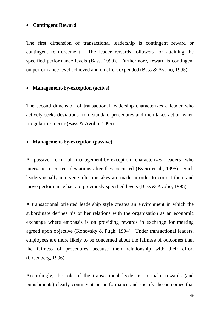#### • **Contingent Reward**

The first dimension of transactional leadership is contingent reward or contingent reinforcement. The leader rewards followers for attaining the specified performance levels (Bass, 1990). Furthermore, reward is contingent on performance level achieved and on effort expended (Bass & Avolio, 1995).

## • **Management-by-exception (active)**

The second dimension of transactional leadership characterizes a leader who actively seeks deviations from standard procedures and then takes action when irregularities occur (Bass & Avolio, 1995).

#### • **Management-by-exception (passive)**

A passive form of management-by-exception characterizes leaders who intervene to correct deviations after they occurred (Bycio et al., 1995). Such leaders usually intervene after mistakes are made in order to correct them and move performance back to previously specified levels (Bass & Avolio, 1995).

A transactional oriented leadership style creates an environment in which the subordinate defines his or her relations with the organization as an economic exchange where emphasis is on providing rewards in exchange for meeting agreed upon objective (Konovsky & Pugh, 1994). Under transactional leaders, employees are more likely to be concerned about the fairness of outcomes than the fairness of procedures because their relationship with their effort (Greenberg, 1996).

Accordingly, the role of the transactional leader is to make rewards (and punishments) clearly contingent on performance and specify the outcomes that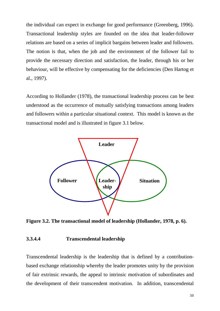the individual can expect in exchange for good performance (Greenberg, 1996). Transactional leadership styles are founded on the idea that leader-follower relations are based on a series of implicit bargains between leader and followers. The notion is that, when the job and the environment of the follower fail to provide the necessary direction and satisfaction, the leader, through his or her behaviour, will be effective by compensating for the deficiencies (Den Hartog et al., 1997).

According to Hollander (1978), the transactional leadership process can be best understood as the occurrence of mutually satisfying transactions among leaders and followers within a particular situational context. This model is known as the transactional model and is illustrated in figure 3.1 below.



**Figure 3.2. The transactional model of leadership (Hollander, 1978, p. 6).**

## **3.3.4.4 Transcendental leadership**

Transcendental leadership is the leadership that is defined by a contributionbased exchange relationship whereby the leader promotes unity by the provision of fair extrinsic rewards, the appeal to intrinsic motivation of subordinates and the development of their transcendent motivation. In addition, transcendental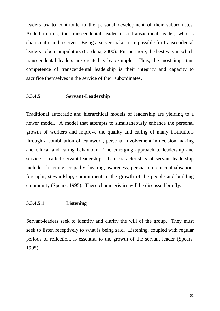leaders try to contribute to the personal development of their subordinates. Added to this, the transcendental leader is a transactional leader, who is charismatic and a server. Being a server makes it impossible for transcendental leaders to be manipulators (Cardona, 2000). Furthermore, the best way in which transcendental leaders are created is by example. Thus, the most important competence of transcendental leadership is their integrity and capacity to sacrifice themselves in the service of their subordinates.

# **3.3.4.5 Servant-Leadership**

Traditional autocratic and hierarchical models of leadership are yielding to a newer model. A model that attempts to simultaneously enhance the personal growth of workers and improve the quality and caring of many institutions through a combination of teamwork, personal involvement in decision making and ethical and caring behaviour. The emerging approach to leadership and service is called servant-leadership. Ten characteristics of servant-leadership include: listening, empathy, healing, awareness, persuasion, conceptualisation, foresight, stewardship, commitment to the growth of the people and building community (Spears, 1995). These characteristics will be discussed briefly.

# **3.3.4.5.1 Listening**

Servant-leaders seek to identify and clarify the will of the group. They must seek to listen receptively to what is being said. Listening, coupled with regular periods of reflection, is essential to the growth of the servant leader (Spears, 1995).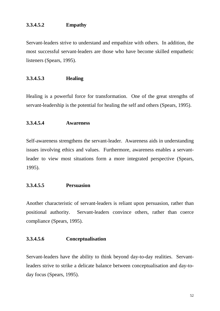# **3.3.4.5.2 Empathy**

Servant-leaders strive to understand and empathize with others. In addition, the most successful servant-leaders are those who have become skilled empathetic listeners (Spears, 1995).

# **3.3.4.5.3 Healing**

Healing is a powerful force for transformation. One of the great strengths of servant-leadership is the potential for healing the self and others (Spears, 1995).

#### **3.3.4.5.4 Awareness**

Self-awareness strengthens the servant-leader. Awareness aids in understanding issues involving ethics and values. Furthermore, awareness enables a servantleader to view most situations form a more integrated perspective (Spears, 1995).

# **3.3.4.5.5 Persuasion**

Another characteristic of servant-leaders is reliant upon persuasion, rather than positional authority. Servant-leaders convince others, rather than coerce compliance (Spears, 1995).

## **3.3.4.5.6 Conceptualisation**

Servant-leaders have the ability to think beyond day-to-day realities. Servantleaders strive to strike a delicate balance between conceptualisation and day-today focus (Spears, 1995).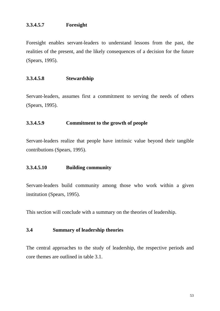# **3.3.4.5.7 Foresight**

Foresight enables servant-leaders to understand lessons from the past, the realities of the present, and the likely consequences of a decision for the future (Spears, 1995).

# **3.3.4.5.8 Stewardship**

Servant-leaders, assumes first a commitment to serving the needs of others (Spears, 1995).

# **3.3.4.5.9 Commitment to the growth of people**

Servant-leaders realize that people have intrinsic value beyond their tangible contributions (Spears, 1995).

#### **3.3.4.5.10 Building community**

Servant-leaders build community among those who work within a given institution (Spears, 1995).

This section will conclude with a summary on the theories of leadership.

# **3.4 Summary of leadership theories**

The central approaches to the study of leadership, the respective periods and core themes are outlined in table 3.1.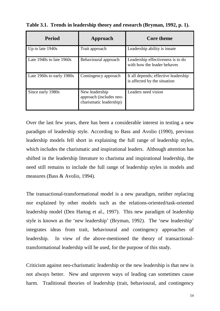| <b>Period</b>                | Approach                                                             | <b>Core theme</b>                                                    |
|------------------------------|----------------------------------------------------------------------|----------------------------------------------------------------------|
| Up to late 1940s             | Trait approach                                                       | Leadership ability is innate                                         |
| Late $1940s$ to late $1960s$ | Behavioural approach                                                 | Leadership effectiveness is to do<br>with how the leader behaves     |
| Late 1960s to early 1980s    | Contingency approach                                                 | It all depends; effective leadership<br>is affected by the situation |
| Since early 1980s            | New leadership<br>approach (includes neo-<br>charismatic leadership) | Leaders need vision                                                  |

**Table 3.1. Trends in leadership theory and research (Bryman, 1992, p. 1).**

Over the last few years, there has been a considerable interest in testing a new paradigm of leadership style. According to Bass and Avolio (1990), previous leadership models fell short in explaining the full range of leadership styles, which includes the charismatic and inspirational leaders. Although attention has shifted in the leadership literature to charisma and inspirational leadership, the need still remains to include the full range of leadership styles in models and measures (Bass & Avolio, 1994).

The transactional-transformational model is a new paradigm, neither replacing nor explained by other models such as the relations-oriented/task-oriented leadership model (Den Hartog et al., 1997). This new paradigm of leadership style is known as the 'new leadership' (Bryman, 1992). The 'new leadership' integrates ideas from trait, behavioural and contingency approaches of leadership. In view of the above-mentioned the theory of transactionaltransformational leadership will be used, for the purpose of this study.

Criticism against neo-charismatic leadership or the new leadership is that new is not always better. New and unproven ways of leading can sometimes cause harm. Traditional theories of leadership (trait, behavioural, and contingency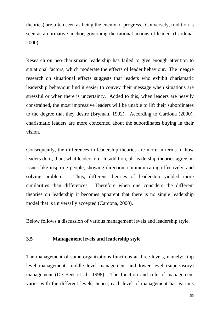theories) are often seen as being the enemy of progress. Conversely, tradition is seen as a normative anchor, governing the rational actions of leaders (Cardona, 2000).

Research on neo-charismatic leadership has failed to give enough attention to situational factors, which moderate the effects of leader behaviour. The meagre research on situational effects suggests that leaders who exhibit charismatic leadership behaviour find it easier to convey their message when situations are stressful or when there is uncertainty. Added to this, when leaders are heavily constrained, the most impressive leaders will be unable to lift their subordinates to the degree that they desire (Bryman, 1992). According to Cardona (2000), charismatic leaders are more concerned about the subordinates buying in their vision.

Consequently, the differences in leadership theories are more in terms of how leaders do it, than, what leaders do. In addition, all leadership theories agree on issues like inspiring people, showing direction, communicating effectively, and solving problems. Thus, different theories of leadership yielded more similarities than differences. Therefore when one considers the different theories on leadership it becomes apparent that there is no single leadership model that is universally accepted (Cardona, 2000).

Below follows a discussion of various management levels and leadership style.

# **3.5 Management levels and leadership style**

The management of some organizations functions at three levels, namely: top level management, middle level management and lower level (supervisory) management (De Beer et al., 1998). The function and role of management varies with the different levels, hence, each level of management has various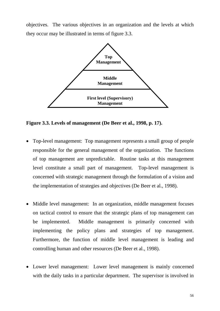objectives. The various objectives in an organization and the levels at which they occur may be illustrated in terms of figure 3.3.



**Figure 3.3. Levels of management (De Beer et al., 1998, p. 17).**

- Top-level management:Top management represents a small group of people responsible for the general management of the organization. The functions of top management are unpredictable. Routine tasks at this management level constitute a small part of management. Top-level management is concerned with strategic management through the formulation of a vision and the implementation of strategies and objectives (De Beer et al., 1998).
- Middle level management:In an organization, middle management focuses on tactical control to ensure that the strategic plans of top management can be implemented. Middle management is primarily concerned with implementing the policy plans and strategies of top management. Furthermore, the function of middle level management is leading and controlling human and other resources (De Beer et al., 1998).
- Lower level management:Lower level management is mainly concerned with the daily tasks in a particular department. The supervisor is involved in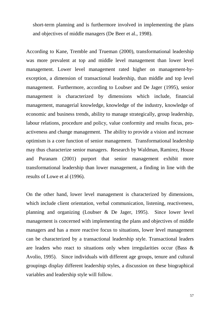short-term planning and is furthermore involved in implementing the plans and objectives of middle managers (De Beer et al., 1998).

According to Kane, Tremble and Trueman (2000), transformational leadership was more prevalent at top and middle level management than lower level management. Lower level management rated higher on management-byexception, a dimension of transactional leadership, than middle and top level management. Furthermore, according to Loubser and De Jager (1995), senior management is characterized by dimensions which include, financial management, managerial knowledge, knowledge of the industry, knowledge of economic and business trends, ability to manage strategically, group leadership, labour relations, procedure and policy, value conformity and results focus, proactiveness and change management. The ability to provide a vision and increase optimism is a core function of senior management. Transformational leadership may thus characterize senior managers. Research by Waldman, Ramirez, House and Puranam (2001) purport that senior management exhibit more transformational leadership than lower management, a finding in line with the results of Lowe et al (1996).

On the other hand, lower level management is characterized by dimensions, which include client orientation, verbal communication, listening, reactiveness, planning and organizing (Loubser & De Jager, 1995). Since lower level management is concerned with implementing the plans and objectives of middle managers and has a more reactive focus to situations, lower level management can be characterized by a transactional leadership style. Transactional leaders are leaders who react to situations only when irregularities occur (Bass & Avolio, 1995). Since individuals with different age groups, tenure and cultural groupings display different leadership styles, a discussion on these biographical variables and leadership style will follow.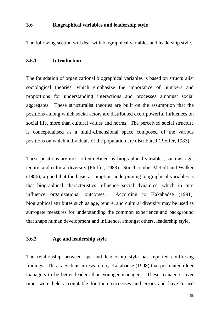# **3.6 Biographical variables and leadership style**

The following section will deal with biographical variables and leadership style.

# **3.6.1 Introduction**

The foundation of organizational biographical variables is based on structuralist sociological theories, which emphasize the importance of numbers and proportions for understanding interactions and processes amongst social aggregates. These structuralist theories are built on the assumption that the positions among which social actors are distributed exert powerful influences on social life, more than cultural values and norms. The perceived social structure is conceptualised as a multi-dimensional space composed of the various positions on which individuals of the population are distributed (Pfeffer, 1983).

These positions are most often defined by biographical variables, such as, age, tenure, and cultural diversity (Pfeffer, 1983). Stinchcombe, McDill and Walker (1986), argued that the basic assumption underpinning biographical variables is that biographical characteristics influence social dynamics, which in turn influence organizational outcomes. According to Kakabadse (1991), biographical attributes such as age, tenure, and cultural diversity may be used as surrogate measures for understanding the common experience and background that shape human development and influence, amongst others, leadership style.

# **3.6.2 Age and leadership style**

The relationship between age and leadership style has reported conflicting findings. This is evident in research by Kakabadse (1998) that postulated older managers to be better leaders than younger managers. These managers, over time, were held accountable for their successes and errors and have turned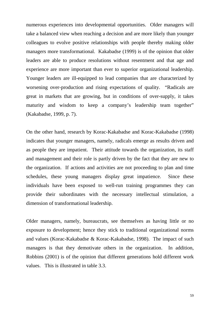numerous experiences into developmental opportunities. Older managers will take a balanced view when reaching a decision and are more likely than younger colleagues to evolve positive relationships with people thereby making older managers more transformational. Kakabadse (1999) is of the opinion that older leaders are able to produce resolutions without resentment and that age and experience are more important than ever to superior organizational leadership. Younger leaders are ill-equipped to lead companies that are characterized by worsening over-production and rising expectations of quality. "Radicals are great in markets that are growing, but in conditions of over-supply, it takes maturity and wisdom to keep a company's leadership team together" (Kakabadse, 1999, p. 7).

On the other hand, research by Korac-Kakabadse and Korac-Kakabadse (1998) indicates that younger managers, namely, radicals emerge as results driven and as people they are impatient. Their attitude towards the organization, its staff and management and their role is partly driven by the fact that they are new to the organization. If actions and activities are not proceeding to plan and time schedules, these young managers display great impatience. Since these individuals have been exposed to well-run training programmes they can provide their subordinates with the necessary intellectual stimulation, a dimension of transformational leadership.

Older managers, namely, bureaucrats, see themselves as having little or no exposure to development; hence they stick to traditional organizational norms and values (Korac-Kakabadse & Korac-Kakabadse, 1998). The impact of such managers is that they demotivate others in the organization. In addition, Robbins (2001) is of the opinion that different generations hold different work values. This is illustrated in table 3.3.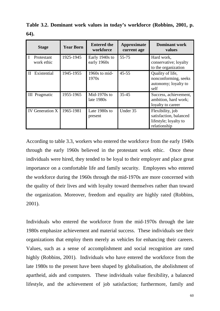| <b>Stage</b>                | <b>Year Born</b> | <b>Entered the</b><br>workforce | Approximate<br>current age | <b>Dominant work</b><br>values                                                      |
|-----------------------------|------------------|---------------------------------|----------------------------|-------------------------------------------------------------------------------------|
| Protestant<br>work ethic    | 1925-1945        | Early 1940s to<br>early 1960s   | 55-75                      | Hard work,<br>conservative; loyalty<br>to the organization                          |
| Existential<br>$\mathbf{H}$ | 1945-1955        | 1960s to mid-<br>1970s          | $45 - 55$                  | Quality of life,<br>nonconforming, seeks<br>autonomy; loyalty to<br>self            |
| <b>III</b> Pragmatic        | 1955-1965        | Mid-1970s to<br>late 1980s      | $35 - 45$                  | Success, achievement,<br>ambition, hard work;<br>loyalty to career                  |
| <b>IV</b> Generation X      | 1965-1981        | Late 1980s to<br>present        | Under 35                   | Flexibility, job<br>satisfaction, balanced<br>lifestyle; loyalty to<br>relationship |

**Table 3.2. Dominant work values in today's workforce (Robbins, 2001, p. 64).**

According to table 3.3, workers who entered the workforce from the early 1940s through the early 1960s believed in the protestant work ethic. Once these individuals were hired, they tended to be loyal to their employer and place great importance on a comfortable life and family security. Employees who entered the workforce during the 1960s through the mid-1970s are more concerned with the quality of their lives and with loyalty toward themselves rather than toward the organization. Moreover, freedom and equality are highly rated (Robbins, 2001).

Individuals who entered the workforce from the mid-1970s through the late 1980s emphasize achievement and material success. These individuals see their organizations that employ them merely as vehicles for enhancing their careers. Values, such as a sense of accomplishment and social recognition are rated highly (Robbins, 2001). Individuals who have entered the workforce from the late 1980s to the present have been shaped by globalisation, the abolishment of apartheid, aids and computers. These individuals value flexibility, a balanced lifestyle, and the achievement of job satisfaction; furthermore, family and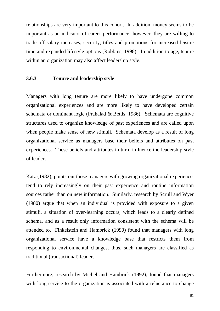relationships are very important to this cohort. In addition, money seems to be important as an indicator of career performance; however, they are willing to trade off salary increases, security, titles and promotions for increased leisure time and expanded lifestyle options (Robbins, 1998). In addition to age, tenure within an organization may also affect leadership style.

#### **3.6.3 Tenure and leadership style**

Managers with long tenure are more likely to have undergone common organizational experiences and are more likely to have developed certain schemata or dominant logic (Prahalad & Bettis, 1986). Schemata are cognitive structures used to organize knowledge of past experiences and are called upon when people make sense of new stimuli. Schemata develop as a result of long organizational service as managers base their beliefs and attributes on past experiences. These beliefs and attributes in turn, influence the leadership style of leaders.

Katz (1982), points out those managers with growing organizational experience, tend to rely increasingly on their past experience and routine information sources rather than on new information. Similarly, research by Scrull and Wyer (1980) argue that when an individual is provided with exposure to a given stimuli, a situation of over-learning occurs, which leads to a clearly defined schema, and as a result only information consistent with the schema will be attended to. Finkelstein and Hambrick (1990) found that managers with long organizational service have a knowledge base that restricts them from responding to environmental changes, thus, such managers are classified as traditional (transactional) leaders.

Furthermore, research by Michel and Hambrick (1992), found that managers with long service to the organization is associated with a reluctance to change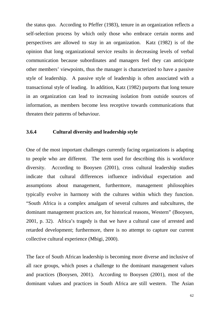the status quo. According to Pfeffer (1983), tenure in an organization reflects a self-selection process by which only those who embrace certain norms and perspectives are allowed to stay in an organization. Katz (1982) is of the opinion that long organizational service results in decreasing levels of verbal communication because subordinates and managers feel they can anticipate other members' viewpoints, thus the manager is characterized to have a passive style of leadership. A passive style of leadership is often associated with a transactional style of leading. In addition, Katz (1982) purports that long tenure in an organization can lead to increasing isolation from outside sources of information, as members become less receptive towards communications that threaten their patterns of behaviour.

### **3.6.4 Cultural diversity and leadership style**

One of the most important challenges currently facing organizations is adapting to people who are different. The term used for describing this is workforce diversity. According to Booysen (2001), cross cultural leadership studies indicate that cultural differences influence individual expectation and assumptions about management, furthermore, management philosophies typically evolve in harmony with the cultures within which they function. "South Africa is a complex amalgam of several cultures and subcultures, the dominant management practices are, for historical reasons, Western" (Booysen, 2001, p. 32). Africa's tragedy is that we have a cultural case of arrested and retarded development; furthermore, there is no attempt to capture our current collective cultural experience (Mbigi, 2000).

The face of South African leadership is becoming more diverse and inclusive of all race groups, which poses a challenge to the dominant management values and practices (Booysen, 2001). According to Booysen (2001), most of the dominant values and practices in South Africa are still western. The Asian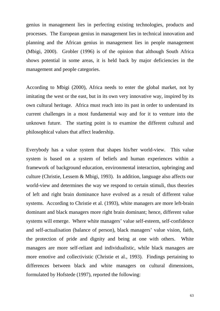genius in management lies in perfecting existing technologies, products and processes. The European genius in management lies in technical innovation and planning and the African genius in management lies in people management (Mbigi, 2000). Grobler (1996) is of the opinion that although South Africa shows potential in some areas, it is held back by major deficiencies in the management and people categories.

According to Mbigi (2000), Africa needs to enter the global market, not by imitating the west or the east, but in its own very innovative way, inspired by its own cultural heritage. Africa must reach into its past in order to understand its current challenges in a most fundamental way and for it to venture into the unknown future. The starting point is to examine the different cultural and philosophical values that affect leadership.

Everybody has a value system that shapes his/her world-view. This value system is based on a system of beliefs and human experiences within a framework of background education, environmental interaction, upbringing and culture (Christie, Lessem & Mbigi, 1993). In addition, language also affects our world-view and determines the way we respond to certain stimuli, thus theories of left and right brain dominance have evolved as a result of different value systems. According to Christie et al. (1993), white managers are more left-brain dominant and black managers more right brain dominant; hence, different value systems will emerge. Where white managers' value self-esteem, self-confidence and self-actualisation (balance of person), black managers' value vision, faith, the protection of pride and dignity and being at one with others. White managers are more self-reliant and individualistic, while black managers are more emotive and collectivistic (Christie et al., 1993). Findings pertaining to differences between black and white managers on cultural dimensions, formulated by Hofstede (1997), reported the following: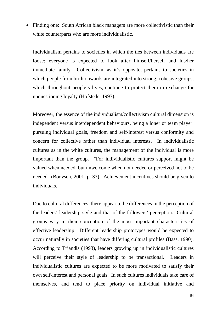• Finding one: South African black managers are more collectivistic than their white counterparts who are more individualistic.

Individualism pertains to societies in which the ties between individuals are loose: everyone is expected to look after himself/herself and his/her immediate family. Collectivism, as it's opposite, pertains to societies in which people from birth onwards are integrated into strong, cohesive groups, which throughout people's lives, continue to protect them in exchange for unquestioning loyalty (Hofstede, 1997).

Moreover, the essence of the individualism/collectivism cultural dimension is independent versus interdependent behaviours, being a loner or team player: pursuing individual goals, freedom and self-interest versus conformity and concern for collective rather than individual interests. In individualistic cultures as in the white cultures, the management of the individual is more important than the group. "For individualistic cultures support might be valued when needed, but unwelcome when not needed or perceived not to be needed" (Booysen, 2001, p. 33). Achievement incentives should be given to individuals.

Due to cultural differences, there appear to be differences in the perception of the leaders' leadership style and that of the followers' perception. Cultural groups vary in their conception of the most important characteristics of effective leadership. Different leadership prototypes would be expected to occur naturally in societies that have differing cultural profiles (Bass, 1990). According to Triandis (1993), leaders growing up in individualistic cultures will perceive their style of leadership to be transactional. Leaders in individualistic cultures are expected to be more motivated to satisfy their own self-interest and personal goals. In such cultures individuals take care of themselves, and tend to place priority on individual initiative and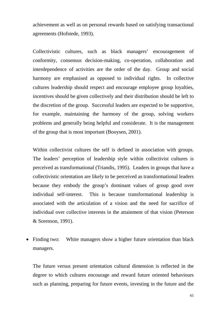achievement as well as on personal rewards based on satisfying transactional agreements (Hofstede, 1993).

Collectivistic cultures, such as black managers' encouragement of conformity, consensus decision-making, co-operation, collaboration and interdependence of activities are the order of the day. Group and social harmony are emphasised as opposed to individual rights. In collective cultures leadership should respect and encourage employee group loyalties, incentives should be given collectively and their distribution should be left to the discretion of the group. Successful leaders are expected to be supportive, for example, maintaining the harmony of the group, solving workers problems and generally being helpful and considerate. It is the management of the group that is most important (Booysen, 2001).

Within collectivist cultures the self is defined in association with groups. The leaders' perception of leadership style within collectivist cultures is perceived as transformational (Triandis, 1995). Leaders in groups that have a collectivistic orientation are likely to be perceived as transformational leaders because they embody the group's dominant values of group good over individual self-interest. This is because transformational leadership is associated with the articulation of a vision and the need for sacrifice of individual over collective interests in the attainment of that vision (Peterson & Sorenson, 1991).

• Finding two: White managers show a higher future orientation than black managers.

The future versus present orientation cultural dimension is reflected in the degree to which cultures encourage and reward future oriented behaviours such as planning, preparing for future events, investing in the future and the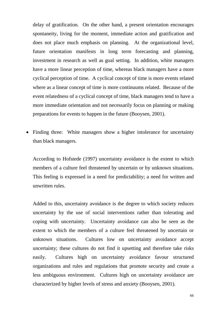delay of gratification. On the other hand, a present orientation encourages spontaneity, living for the moment, immediate action and gratification and does not place much emphasis on planning. At the organizational level, future orientation manifests in long term forecasting and planning, investment in research as well as goal setting. In addition, white managers have a more linear perception of time, whereas black managers have a more cyclical perception of time. A cyclical concept of time is more events related where as a linear concept of time is more continuums related. Because of the event relatedness of a cyclical concept of time, black managers tend to have a more immediate orientation and not necessarily focus on planning or making preparations for events to happen in the future (Booysen, 2001).

• Finding three: White managers show a higher intolerance for uncertainty than black managers.

According to Hofstede (1997) uncertainty avoidance is the extent to which members of a culture feel threatened by uncertain or by unknown situations. This feeling is expressed in a need for predictability; a need for written and unwritten rules.

Added to this, uncertainty avoidance is the degree to which society reduces uncertainty by the use of social interventions rather than tolerating and coping with uncertainty. Uncertainty avoidance can also be seen as the extent to which the members of a culture feel threatened by uncertain or unknown situations. Cultures low on uncertainty avoidance accept uncertainty; these cultures do not find it upsetting and therefore take risks easily. Cultures high on uncertainty avoidance favour structured organizations and rules and regulations that promote security and create a less ambiguous environment. Cultures high on uncertainty avoidance are characterized by higher levels of stress and anxiety (Booysen, 2001).

66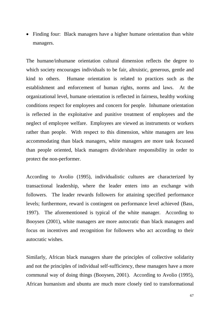• Finding four: Black managers have a higher humane orientation than white managers.

The humane/inhumane orientation cultural dimension reflects the degree to which society encourages individuals to be fair, altruistic, generous, gentle and kind to others. Humane orientation is related to practices such as the establishment and enforcement of human rights, norms and laws. At the organizational level, humane orientation is reflected in fairness, healthy working conditions respect for employees and concern for people. Inhumane orientation is reflected in the exploitative and punitive treatment of employees and the neglect of employee welfare. Employees are viewed as instruments or workers rather than people. With respect to this dimension, white managers are less accommodating than black managers, white managers are more task focussed than people oriented, black managers divide/share responsibility in order to protect the non-performer.

According to Avolio (1995), individualistic cultures are characterized by transactional leadership, where the leader enters into an exchange with followers. The leader rewards followers for attaining specified performance levels; furthermore, reward is contingent on performance level achieved (Bass, 1997). The aforementioned is typical of the white manager. According to Booysen (2001), white managers are more autocratic than black managers and focus on incentives and recognition for followers who act according to their autocratic wishes.

Similarly, African black managers share the principles of collective solidarity and not the principles of individual self-sufficiency, these managers have a more communal way of doing things (Booysen, 2001). According to Avolio (1995), African humanism and ubuntu are much more closely tied to transformational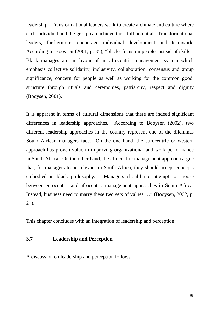leadership. Transformational leaders work to create a climate and culture where each individual and the group can achieve their full potential. Transformational leaders, furthermore, encourage individual development and teamwork. According to Booysen (2001, p. 35), "blacks focus on people instead of skills". Black manages are in favour of an afrocentric management system which emphasis collective solidarity, inclusivity, collaboration, consensus and group significance, concern for people as well as working for the common good, structure through rituals and ceremonies, patriarchy, respect and dignity (Booysen, 2001).

It is apparent in terms of cultural dimensions that there are indeed significant differences in leadership approaches. According to Booysen (2002), two different leadership approaches in the country represent one of the dilemmas South African managers face. On the one hand, the eurocentric or western approach has proven value in improving organizational and work performance in South Africa. On the other hand, the afrocentric management approach argue that, for managers to be relevant in South Africa, they should accept concepts embodied in black philosophy. "Managers should not attempt to choose between eurocentric and afrocentric management approaches in South Africa. Instead, business need to marry these two sets of values …" (Booysen, 2002, p. 21).

This chapter concludes with an integration of leadership and perception.

### **3.7 Leadership and Perception**

A discussion on leadership and perception follows.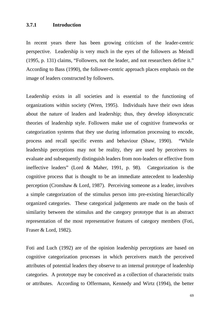#### **3.7.1 Introduction**

In recent years there has been growing criticism of the leader-centric perspective. Leadership is very much in the eyes of the followers as Meindl (1995, p. 131) claims, "Followers, not the leader, and not researchers define it." According to Bass (1990), the follower-centric approach places emphasis on the image of leaders constructed by followers.

Leadership exists in all societies and is essential to the functioning of organizations within society (Wren, 1995). Individuals have their own ideas about the nature of leaders and leadership; thus, they develop idiosyncratic theories of leadership style. Followers make use of cognitive frameworks or categorization systems that they use during information processing to encode, process and recall specific events and behaviour (Shaw, 1990). "While leadership perceptions may not be reality, they are used by perceivers to evaluate and subsequently distinguish leaders from non-leaders or effective from ineffective leaders" (Lord & Maher, 1991, p. 98). Categorization is the cognitive process that is thought to be an immediate antecedent to leadership perception (Cronshaw & Lord, 1987). Perceiving someone as a leader, involves a simple categorization of the stimulus person into pre-existing hierarchically organized categories. These categorical judgements are made on the basis of similarity between the stimulus and the category prototype that is an abstract representation of the most representative features of category members (Foti, Fraser & Lord, 1982).

Foti and Luch (1992) are of the opinion leadership perceptions are based on cognitive categorization processes in which perceivers match the perceived attributes of potential leaders they observe to an internal prototype of leadership categories. A prototype may be conceived as a collection of characteristic traits or attributes. According to Offermann, Kennedy and Wirtz (1994), the better

69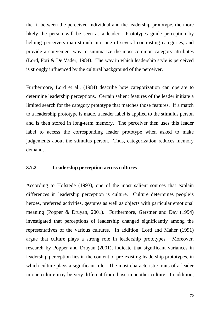the fit between the perceived individual and the leadership prototype, the more likely the person will be seen as a leader. Prototypes guide perception by helping perceivers map stimuli into one of several contrasting categories, and provide a convenient way to summarize the most common category attributes (Lord, Foti & De Vader, 1984). The way in which leadership style is perceived is strongly influenced by the cultural background of the perceiver.

Furthermore, Lord et al., (1984) describe how categorization can operate to determine leadership perceptions. Certain salient features of the leader initiate a limited search for the category prototype that matches those features. If a match to a leadership prototype is made, a leader label is applied to the stimulus person and is then stored in long-term memory. The perceiver then uses this leader label to access the corresponding leader prototype when asked to make judgements about the stimulus person. Thus, categorization reduces memory demands.

### **3.7.2 Leadership perception across cultures**

According to Hofstede (1993), one of the most salient sources that explain differences in leadership perception is culture. Culture determines people's heroes, preferred activities, gestures as well as objects with particular emotional meaning (Popper & Druyan, 2001). Furthermore, Gerstner and Day (1994) investigated that perceptions of leadership changed significantly among the representatives of the various cultures. In addition, Lord and Maher (1991) argue that culture plays a strong role in leadership prototypes. Moreover, research by Popper and Druyan (2001), indicate that significant variances in leadership perception lies in the content of pre-existing leadership prototypes, in which culture plays a significant role. The most characteristic traits of a leader in one culture may be very different from those in another culture. In addition,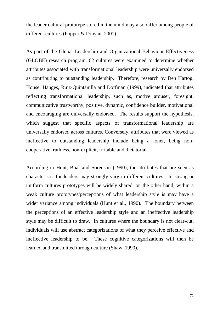the leader cultural prototype stored in the mind may also differ among people of different cultures (Popper & Druyan, 2001).

As part of the Global Leadership and Organizational Behaviour Effectiveness (GLOBE) research program, 62 cultures were examined to determine whether attributes associated with transformational leadership were universally endorsed as contributing to outstanding leadership. Therefore, research by Den Hartog, House, Hanges, Ruiz-Quintanilla and Dorfman (1999), indicated that attributes reflecting transformational leadership, such as, motive arouser, foresight, communicative trustworthy, positive, dynamic, confidence builder, motivational and encouraging are universally endorsed. The results support the hypothesis, which suggest that specific aspects of transformational leadership are universally endorsed across cultures. Conversely, attributes that were viewed as ineffective to outstanding leadership include being a loner, being noncooperative, ruthless, non-explicit, irritable and dictatorial.

According to Hunt, Boal and Sorenson (1990), the attributes that are seen as characteristic for leaders may strongly vary in different cultures. In strong or uniform cultures prototypes will be widely shared, on the other hand, within a weak culture prototypes/perceptions of what leadership style is may have a wider variance among individuals (Hunt et al., 1990). The boundary between the perceptions of an effective leadership style and an ineffective leadership style may be difficult to draw. In cultures where the boundary is not clear-cut, individuals will use abstract categorizations of what they perceive effective and ineffective leadership to be. These cognitive categorizations will then be learned and transmitted through culture (Shaw, 1990).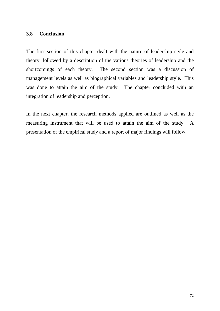### **3.8 Conclusion**

The first section of this chapter dealt with the nature of leadership style and theory, followed by a description of the various theories of leadership and the shortcomings of each theory. The second section was a discussion of management levels as well as biographical variables and leadership style. This was done to attain the aim of the study. The chapter concluded with an integration of leadership and perception.

In the next chapter, the research methods applied are outlined as well as the measuring instrument that will be used to attain the aim of the study. A presentation of the empirical study and a report of major findings will follow.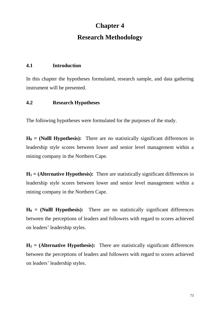# **Chapter 4 Research Methodology**

### **4.1 Introduction**

In this chapter the hypotheses formulated, research sample, and data gathering instrument will be presented.

### **4.2 Research Hypotheses**

The following hypotheses were formulated for the purposes of the study.

 $H_0$  = (Nulll Hypothesis): There are no statistically significant differences in leadership style scores between lower and senior level management within a mining company in the Northern Cape.

 $H_1$  = (Alternative Hypothesis): There are statistically significant differences in leadership style scores between lower and senior level management within a mining company in the Northern Cape.

 $H_0$  = (Nulll Hypothesis): There are no statistically significant differences between the perceptions of leaders and followers with regard to scores achieved on leaders' leadership styles.

 $H_2$  = (Alternative Hypothesis): There are statistically significant differences between the perceptions of leaders and followers with regard to scores achieved on leaders' leadership styles.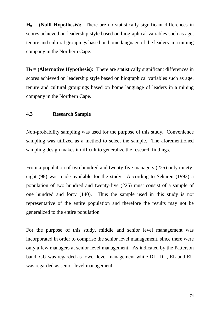$H_0 = (NullHypothesis)$ : There are no statistically significant differences in scores achieved on leadership style based on biographical variables such as age, tenure and cultural groupings based on home language of the leaders in a mining company in the Northern Cape.

 $H_3$  = (Alternative Hypothesis): There are statistically significant differences in scores achieved on leadership style based on biographical variables such as age, tenure and cultural groupings based on home language of leaders in a mining company in the Northern Cape.

### **4.3 Research Sample**

Non-probability sampling was used for the purpose of this study. Convenience sampling was utilized as a method to select the sample. The aforementioned sampling design makes it difficult to generalize the research findings.

From a population of two hundred and twenty-five managers (225) only ninetyeight (98) was made available for the study. According to Sekaren (1992) a population of two hundred and twenty-five (225) must consist of a sample of one hundred and forty (140). Thus the sample used in this study is not representative of the entire population and therefore the results may not be generalized to the entire population.

For the purpose of this study, middle and senior level management was incorporated in order to comprise the senior level management, since there were only a few managers at senior level management. As indicated by the Patterson band, CU was regarded as lower level management while DL, DU, EL and EU was regarded as senior level management.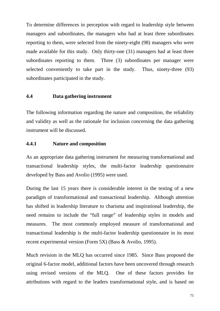To determine differences in perception with regard to leadership style between managers and subordinates, the managers who had at least three subordinates reporting to them, were selected from the ninety-eight (98) managers who were made available for this study. Only thirty-one (31) managers had at least three subordinates reporting to them. Three (3) subordinates per manager were selected conveniently to take part in the study. Thus, ninety-three (93) subordinates participated in the study.

#### **4.4 Data gathering instrument**

The following information regarding the nature and composition, the reliability and validity as well as the rationale for inclusion concerning the data gathering instrument will be discussed.

### **4.4.1 Nature and composition**

As an appropriate data gathering instrument for measuring transformational and transactional leadership styles, the multi-factor leadership questionnaire developed by Bass and Avolio (1995) were used.

During the last 15 years there is considerable interest in the testing of a new paradigm of transformational and transactional leadership. Although attention has shifted in leadership literature to charisma and inspirational leadership, the need remains to include the "full range" of leadership styles in models and measures. The most commonly employed measure of transformational and transactional leadership is the multi-factor leadership questionnaire in its most recent experimental version (Form 5X) (Bass & Avolio, 1995).

Much revision in the MLQ has occurred since 1985. Since Bass proposed the original 6-factor model, additional factors have been uncovered through research using revised versions of the MLQ. One of these factors provides for attributions with regard to the leaders transformational style, and is based on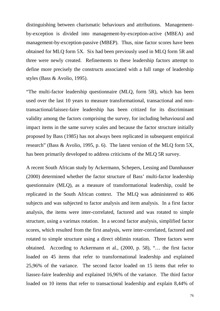distinguishing between charismatic behaviours and attributions. Managementby-exception is divided into management-by-exception-active (MBEA) and management-by-exception-passive (MBEP). Thus, nine factor scores have been obtained for MLQ form 5X. Six had been previously used in MLQ form 5R and three were newly created. Refinements to these leadership factors attempt to define more precisely the constructs associated with a full range of leadership styles (Bass & Avolio, 1995).

"The multi-factor leadership questionnaire (MLQ, form 5R), which has been used over the last 10 years to measure transformational, transactional and nontransactional/laissez-faire leadership has been critized for its discriminant validity among the factors comprising the survey, for including behavioural and impact items in the same survey scales and because the factor structure initially proposed by Bass (1985) has not always been replicated in subsequent empirical research" (Bass & Avolio, 1995, p. 6). The latest version of the MLQ form 5X, has been primarily developed to address criticisms of the MLQ 5R survey.

A recent South African study by Ackermann, Schepers, Lessing and Dannhauser (2000) determined whether the factor structure of Bass' multi-factor leadership questionnaire (MLQ), as a measure of transformational leadership, could be replicated in the South African context. The MLQ was administered to 406 subjects and was subjected to factor analysis and item analysis. In a first factor analysis, the items were inter-correlated, factored and was rotated to simple structure, using a varimax rotation. In a second factor analysis, simplified factor scores, which resulted from the first analysis, were inter-correlated, factored and rotated to simple structure using a direct oblimin rotation. Three factors were obtained. According to Ackermann et al., (2000, p. 58), "… the first factor loaded on 45 items that refer to transformational leadership and explained 25,96% of the variance. The second factor loaded on 15 items that refer to liassez-faire leadership and explained 16,96% of the variance. The third factor loaded on 10 items that refer to transactional leadership and explain 8,44% of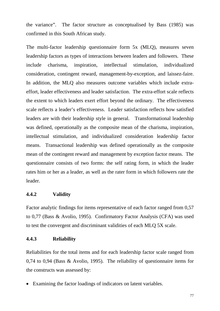the variance". The factor structure as conceptualised by Bass (1985) was confirmed in this South African study.

The multi-factor leadership questionnaire form 5x (MLQ), measures seven leadership factors as types of interactions between leaders and followers. These include charisma, inspiration, intellectual stimulation, individualized consideration, contingent reward, management-by-exception, and laissez-faire. In addition, the MLQ also measures outcome variables which include extraeffort, leader effectiveness and leader satisfaction. The extra-effort scale reflects the extent to which leaders exert effort beyond the ordinary. The effectiveness scale reflects a leader's effectiveness. Leader satisfaction reflects how satisfied leaders are with their leadership style in general. Transformational leadership was defined, operationally as the composite mean of the charisma, inspiration, intellectual stimulation, and individualized consideration leadership factor means. Transactional leadership was defined operationally as the composite mean of the contingent reward and management by exception factor means. The questionnaire consists of two forms: the self rating form, in which the leader rates him or her as a leader, as well as the rater form in which followers rate the leader.

### **4.4.2 Validity**

Factor analytic findings for items representative of each factor ranged from 0,57 to 0,77 (Bass & Avolio, 1995). Confirmatory Factor Analysis (CFA) was used to test the convergent and discriminant validities of each MLQ 5X scale.

### **4.4.3 Reliability**

Reliabilities for the total items and for each leadership factor scale ranged from 0,74 to 0,94 (Bass & Avolio, 1995). The reliability of questionnaire items for the constructs was assessed by:

• Examining the factor loadings of indicators on latent variables.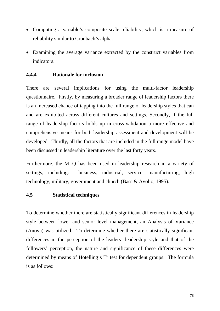- Computing a variable's composite scale reliability, which is a measure of reliability similar to Cronbach's alpha.
- Examining the average variance extracted by the construct variables from indicators.

### **4.4.4 Rationale for inclusion**

There are several implications for using the multi-factor leadership questionnaire. Firstly, by measuring a broader range of leadership factors there is an increased chance of tapping into the full range of leadership styles that can and are exhibited across different cultures and settings. Secondly, if the full range of leadership factors holds up in cross-validation a more effective and comprehensive means for both leadership assessment and development will be developed. Thirdly, all the factors that are included in the full range model have been discussed in leadership literature over the last forty years.

Furthermore, the MLQ has been used in leadership research in a variety of settings, including: business, industrial, service, manufacturing, high technology, military, government and church (Bass & Avolio, 1995).

#### **4.5 Statistical techniques**

To determine whether there are statistically significant differences in leadership style between lower and senior level management, an Analysis of Variance (Anova) was utilized. To determine whether there are statistically significant differences in the perception of the leaders' leadership style and that of the followers' perception, the nature and significance of these differences were determined by means of Hotelling's  $T^2$  test for dependent groups. The formula is as follows: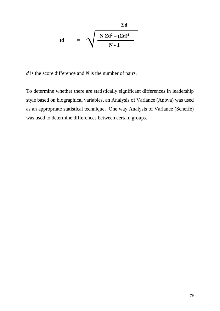$$
t d = \sqrt{\frac{N \Sigma d^2 - (\Sigma d)^2}{N - 1}}
$$

*d* is the score difference and *N* is the number of pairs.

To determine whether there are statistically significant differences in leadership style based on biographical variables, an Analysis of Variance (Anova) was used as an appropriate statistical technique. One way Analysis of Variance (Scheffé) was used to determine differences between certain groups.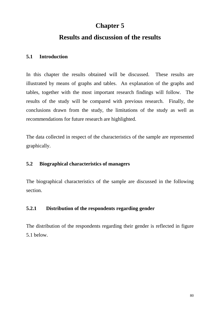## **Chapter 5**

## **Results and discussion of the results**

## **5.1 Introduction**

In this chapter the results obtained will be discussed. These results are illustrated by means of graphs and tables. An explanation of the graphs and tables, together with the most important research findings will follow. The results of the study will be compared with previous research. Finally, the conclusions drawn from the study, the limitations of the study as well as recommendations for future research are highlighted.

The data collected in respect of the characteristics of the sample are represented graphically.

## **5.2 Biographical characteristics of managers**

The biographical characteristics of the sample are discussed in the following section.

## **5.2.1 Distribution of the respondents regarding gender**

The distribution of the respondents regarding their gender is reflected in figure 5.1 below.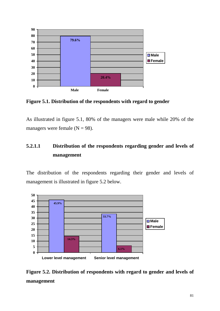

**Figure 5.1. Distribution of the respondents with regard to gender**

As illustrated in figure 5.1, 80% of the managers were male while 20% of the managers were female  $(N = 98)$ .

## **5.2.1.1 Distribution of the respondents regarding gender and levels of management**

The distribution of the respondents regarding their gender and levels of management is illustrated in figure 5.2 below.



**Figure 5.2. Distribution of respondents with regard to gender and levels of management**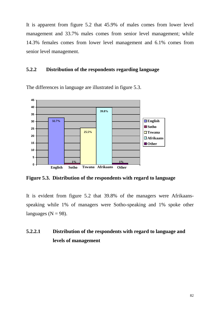It is apparent from figure 5.2 that 45.9% of males comes from lower level management and 33.7% males comes from senior level management; while 14.3% females comes from lower level management and 6.1% comes from senior level management.

## **5.2.2 Distribution of the respondents regarding language**



The differences in language are illustrated in figure 5.3.

**Figure 5.3. Distribution of the respondents with regard to language**

It is evident from figure 5.2 that 39.8% of the managers were Afrikaansspeaking while 1% of managers were Sotho-speaking and 1% spoke other languages ( $N = 98$ ).

## **5.2.2.1 Distribution of the respondents with regard to language and levels of management**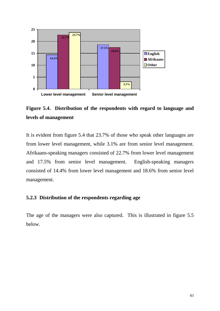



It is evident from figure 5.4 that 23.7% of those who speak other languages are from lower level management, while 3.1% are from senior level management. Afrikaans-speaking managers consisted of 22.7% from lower level management and 17.5% from senior level management. English-speaking managers consisted of 14.4% from lower level management and 18.6% from senior level management.

## **5.2.3 Distribution of the respondents regarding age**

The age of the managers were also captured. This is illustrated in figure 5.5 below.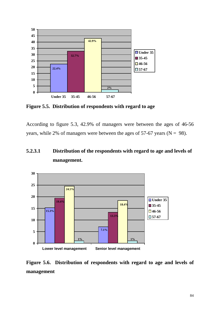

**Figure 5.5. Distribution of respondents with regard to age**

According to figure 5.3, 42.9% of managers were between the ages of 46-56 years, while 2% of managers were between the ages of 57-67 years ( $N = 98$ ).

## **5.2.3.1 Distribution of the respondents with regard to age and levels of management.**



**Figure 5.6. Distribution of respondents with regard to age and levels of management**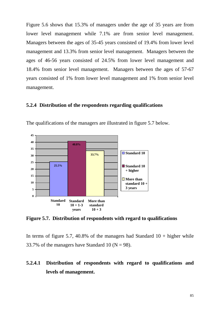Figure 5.6 shows that 15.3% of managers under the age of 35 years are from lower level management while 7.1% are from senior level management. Managers between the ages of 35-45 years consisted of 19.4% from lower level management and 13.3% from senior level management. Managers between the ages of 46-56 years consisted of 24.5% from lower level management and 18.4% from senior level management. Managers between the ages of 57-67 years consisted of 1% from lower level management and 1% from senior level management.

#### **5.2.4 Distribution of the respondents regarding qualifications**



The qualifications of the managers are illustrated in figure 5.7 below.

**Figure 5.7. Distribution of respondents with regard to qualifications**

In terms of figure 5.7, 40.8% of the managers had Standard  $10 +$  higher while 33.7% of the managers have Standard 10 ( $N = 98$ ).

## **5.2.4.1 Distribution of respondents with regard to qualifications and levels of management.**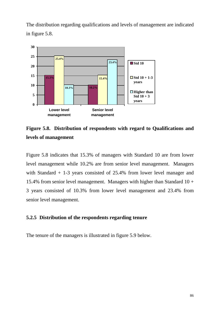The distribution regarding qualifications and levels of management are indicated in figure 5.8.



**Figure 5.8. Distribution of respondents with regard to Qualifications and levels of management**

Figure 5.8 indicates that 15.3% of managers with Standard 10 are from lower level management while 10.2% are from senior level management. Managers with Standard + 1-3 years consisted of 25.4% from lower level manager and 15.4% from senior level management. Managers with higher than Standard  $10 +$ 3 years consisted of 10.3% from lower level management and 23.4% from senior level management.

## **5.2.5 Distribution of the respondents regarding tenure**

The tenure of the managers is illustrated in figure 5.9 below.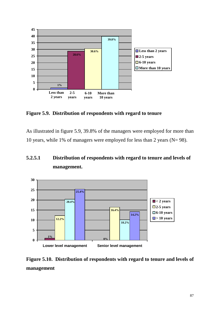

**Figure 5.9. Distribution of respondents with regard to tenure**

As illustrated in figure 5.9, 39.8% of the managers were employed for more than 10 years, while 1% of managers were employed for less than 2 years (N= 98).

## **5.2.5.1 Distribution of respondents with regard to tenure and levels of management.**



**Figure 5.10. Distribution of respondents with regard to tenure and levels of management**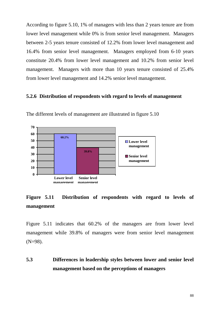According to figure 5.10, 1% of managers with less than 2 years tenure are from lower level management while 0% is from senior level management. Managers between 2-5 years tenure consisted of 12.2% from lower level management and 16.4% from senior level management. Managers employed from 6-10 years constitute 20.4% from lower level management and 10.2% from senior level management. Managers with more than 10 years tenure consisted of 25.4% from lower level management and 14.2% senior level management.

#### **5.2.6 Distribution of respondents with regard to levels of management**



The different levels of management are illustrated in figure 5.10

**Figure 5.11 Distribution of respondents with regard to levels of management**

Figure 5.11 indicates that 60.2% of the managers are from lower level management while 39.8% of managers were from senior level management (N=98).

**5.3 Differences in leadership styles between lower and senior level management based on the perceptions of managers**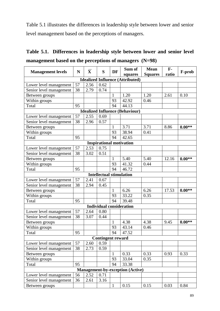Table 5.1 illustrates the differences in leadership style between lower and senior level management based on the perceptions of managers.

|  | Table 5.1. Differences in leadership style between lower and senior level |  |  |
|--|---------------------------------------------------------------------------|--|--|
|  | management based on the perceptions of managers $(N=98)$                  |  |  |

|                                        | $\mathbf{X}$<br>$\mathbf N$<br>S<br>DF |      |                                 | Sum of       | <b>Mean</b>                             | $\mathbf{F}$ - |       |          |  |  |  |
|----------------------------------------|----------------------------------------|------|---------------------------------|--------------|-----------------------------------------|----------------|-------|----------|--|--|--|
| <b>Management levels</b>               |                                        |      |                                 |              | squares                                 | <b>Squares</b> | ratio | F-prob   |  |  |  |
|                                        |                                        |      |                                 |              | <b>Idealized Influence (Attributed)</b> |                |       |          |  |  |  |
| Lower level management                 | 57                                     | 2.56 | 0.62                            |              |                                         |                |       |          |  |  |  |
| Senior level management                | 38                                     | 2.79 | 0.74                            |              |                                         |                |       |          |  |  |  |
| Between groups                         |                                        |      |                                 | $\mathbf{1}$ | 1.20                                    | 1.20           | 2.61  | 0.10     |  |  |  |
| Within groups                          |                                        |      |                                 | 93           | 42.92                                   | 0.46           |       |          |  |  |  |
| Total                                  | 95                                     |      |                                 | 94           | 44.13                                   |                |       |          |  |  |  |
| <b>Idealized Influence (Behaviour)</b> |                                        |      |                                 |              |                                         |                |       |          |  |  |  |
| Lower level management                 | 57                                     | 2.55 | 0.69                            |              |                                         |                |       |          |  |  |  |
| Senior level management                | 38                                     | 2.96 | 0.57                            |              |                                         |                |       |          |  |  |  |
| Between groups                         |                                        |      |                                 | 1            | 3.71                                    | 3.71           | 8.86  | $0.00**$ |  |  |  |
| Within groups                          |                                        |      |                                 | 93           | 38.94                                   | 0.41           |       |          |  |  |  |
| Total                                  | 95                                     |      |                                 | 94           | 42.65                                   |                |       |          |  |  |  |
|                                        |                                        |      |                                 |              | <b>Inspirational motivation</b>         |                |       |          |  |  |  |
| Lower level management                 | 57                                     | 2.53 | 0.75                            |              |                                         |                |       |          |  |  |  |
| Senior level management                | 38                                     | 3.02 | 0.51                            |              |                                         |                |       |          |  |  |  |
| Between groups                         |                                        |      |                                 | 1            | 5.40                                    | 5.40           | 12.16 | $0.00**$ |  |  |  |
| Within groups                          |                                        |      |                                 | 93           | 41.32                                   | 0.44           |       |          |  |  |  |
| Total                                  | 95                                     |      |                                 | 94           | 46.72                                   |                |       |          |  |  |  |
|                                        |                                        |      | <b>Intellectual stimulation</b> |              |                                         |                |       |          |  |  |  |
| Lower level management                 | 57                                     | 2.41 | 0.67                            |              |                                         |                |       |          |  |  |  |
| Senior level management                | 38                                     | 2.94 | 0.45                            |              |                                         |                |       |          |  |  |  |
| Between groups                         |                                        |      |                                 | $\mathbf{1}$ | 6.26                                    | 6.26           | 17.53 | $0.00**$ |  |  |  |
| Within groups                          |                                        |      |                                 | 93           | 33.22                                   | 0.35           |       |          |  |  |  |
| Total                                  | 95                                     |      |                                 | 94           | 39.48                                   |                |       |          |  |  |  |
|                                        |                                        |      |                                 |              | <b>Individual consideration</b>         |                |       |          |  |  |  |
| Lower level management                 | 57                                     | 2.64 | 0.80                            |              |                                         |                |       |          |  |  |  |
| Senior level management                | 38                                     | 3.07 | 0.44                            |              |                                         |                |       |          |  |  |  |
| Between groups                         |                                        |      |                                 | 1            | 4.38                                    | 4.38           | 9.45  | $0.00**$ |  |  |  |
| Within groups                          |                                        |      |                                 | 93           | 43.14                                   | 0.46           |       |          |  |  |  |
| Total                                  | 95                                     |      |                                 | 94           | 47.52                                   |                |       |          |  |  |  |
|                                        |                                        |      | Contingent reward               |              |                                         |                |       |          |  |  |  |
| Lower level management                 | 57                                     | 2.60 | 0.59                            |              |                                         |                |       |          |  |  |  |
| Senior level management                | 38                                     | 2.73 | 0.59                            |              |                                         |                |       |          |  |  |  |
| Between groups                         |                                        |      |                                 | $\mathbf{1}$ | 0.33                                    | 0.33           | 0.93  | 0.33     |  |  |  |
| Within groups                          |                                        |      |                                 | 93           | 33.04                                   | 0.35           |       |          |  |  |  |
| Total                                  | 95                                     |      |                                 | 94           | 33.38                                   |                |       |          |  |  |  |
|                                        |                                        |      |                                 |              | <b>Management-by-exception (Active)</b> |                |       |          |  |  |  |
| Lower level management                 | 56                                     | 2.52 | 0.71                            |              |                                         |                |       |          |  |  |  |
| Senior level management                | 36                                     | 2.61 | 3.16                            |              |                                         |                |       |          |  |  |  |
| Between groups                         |                                        |      |                                 | $\mathbf{1}$ | 0.15                                    | 0.15           | 0.03  | 0.84     |  |  |  |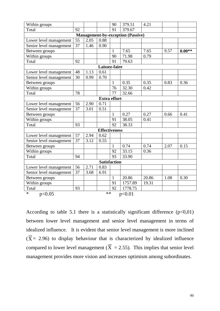| Within groups                            |    |      |                      | 90              | 379.51  | 4.21  |      |          |  |  |  |  |  |
|------------------------------------------|----|------|----------------------|-----------------|---------|-------|------|----------|--|--|--|--|--|
| Total                                    | 92 |      |                      | 91              | 379.67  |       |      |          |  |  |  |  |  |
| <b>Management-by-exception (Passive)</b> |    |      |                      |                 |         |       |      |          |  |  |  |  |  |
| Lower level management                   | 55 | 2.05 | 0.88                 |                 |         |       |      |          |  |  |  |  |  |
| Senior level management                  | 37 | 1.46 | 0.90                 |                 |         |       |      |          |  |  |  |  |  |
| Between groups                           |    |      |                      | $\mathbf{1}$    | 7.65    | 7.65  | 9.57 | $0.00**$ |  |  |  |  |  |
| Within groups                            |    |      |                      | 90              | 71.98   | 0.79  |      |          |  |  |  |  |  |
| Total                                    | 92 |      |                      | 91              | 79.63   |       |      |          |  |  |  |  |  |
| Laissez-faire                            |    |      |                      |                 |         |       |      |          |  |  |  |  |  |
| Lower level management                   | 48 | 1.13 | 0.61                 |                 |         |       |      |          |  |  |  |  |  |
| Senior level management                  | 30 | 0.99 | 0.70                 |                 |         |       |      |          |  |  |  |  |  |
| Between groups                           |    |      |                      | $\mathbf{1}$    | 0.35    | 0.35  | 0.83 | 0.36     |  |  |  |  |  |
| Within groups                            |    |      |                      | 76              | 32.30   | 0.42  |      |          |  |  |  |  |  |
| Total                                    | 78 |      |                      | 77              | 32.66   |       |      |          |  |  |  |  |  |
| <b>Extra effort</b>                      |    |      |                      |                 |         |       |      |          |  |  |  |  |  |
| Lower level management                   | 56 | 2.90 | 0.71                 |                 |         |       |      |          |  |  |  |  |  |
| Senior level management                  | 37 | 3.01 | 0.51                 |                 |         |       |      |          |  |  |  |  |  |
| Between groups                           |    |      |                      | $\mathbf{1}$    | 0.27    | 0.27  | 0.66 | 0.41     |  |  |  |  |  |
| Within groups                            |    |      |                      | 91              | 38.05   | 0.41  |      |          |  |  |  |  |  |
| Total                                    | 93 |      |                      | 92              | 38.33   |       |      |          |  |  |  |  |  |
|                                          |    |      | <b>Effectiveness</b> |                 |         |       |      |          |  |  |  |  |  |
| Lower level management                   | 57 | 2.94 | 0.62                 |                 |         |       |      |          |  |  |  |  |  |
| Senior level management                  | 37 | 3.12 | 0.55                 |                 |         |       |      |          |  |  |  |  |  |
| Between groups                           |    |      |                      | 1               | 0.74    | 0.74  | 2.07 | 0.15     |  |  |  |  |  |
| Within groups                            |    |      |                      | 92              | 33.15   | 0.36  |      |          |  |  |  |  |  |
| Total                                    | 94 |      |                      | $\overline{93}$ | 33.90   |       |      |          |  |  |  |  |  |
|                                          |    |      | <b>Satisfaction</b>  |                 |         |       |      |          |  |  |  |  |  |
| Lower level management                   | 56 | 2.71 | 0.83                 |                 |         |       |      |          |  |  |  |  |  |
| Senior level management                  | 37 | 3.68 | 6.91                 |                 |         |       |      |          |  |  |  |  |  |
| Between groups                           |    |      |                      | $\mathbf{1}$    | 20.86   | 20.86 | 1.08 | 0.30     |  |  |  |  |  |
| Within groups                            |    |      |                      | 91              | 1757.89 | 19.31 |      |          |  |  |  |  |  |
| Total                                    | 93 |      |                      | 92              | 1778.75 |       |      |          |  |  |  |  |  |
| $\ast$<br>p<0.05                         |    |      | $**$                 |                 | p<0.01  |       |      |          |  |  |  |  |  |

According to table 5.1 there is a statistically significant difference  $(p<0,01)$ between lower level management and senior level management in terms of idealized influence. It is evident that senior level management is more inclined  $(X = 2.96)$  to display behaviour that is characterized by idealized influence compared to lower level management  $(X = 2.55)$ . This implies that senior level management provides more vision and increases optimism among subordinates.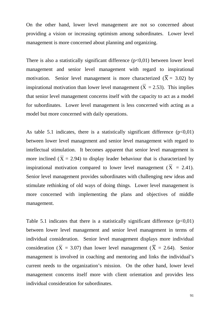On the other hand, lower level management are not so concerned about providing a vision or increasing optimism among subordinates. Lower level management is more concerned about planning and organizing.

There is also a statistically significant difference  $(p<0,01)$  between lower level management and senior level management with regard to inspirational motivation. Senior level management is more characterized  $(X = 3.02)$  by inspirational motivation than lower level management  $(X = 2.53)$ . This implies that senior level management concerns itself with the capacity to act as a model for subordinates. Lower level management is less concerned with acting as a model but more concerned with daily operations.

As table 5.1 indicates, there is a statistically significant difference  $(p<0.01)$ between lower level management and senior level management with regard to intellectual stimulation. It becomes apparent that senior level management is more inclined  $(X = 2.94)$  to display leader behaviour that is characterized by inspirational motivation compared to lower level management  $(X = 2.41)$ . Senior level management provides subordinates with challenging new ideas and stimulate rethinking of old ways of doing things. Lower level management is more concerned with implementing the plans and objectives of middle management.

Table 5.1 indicates that there is a statistically significant difference  $(p<0,01)$ between lower level management and senior level management in terms of individual consideration. Senior level management displays more individual consideration ( $X = 3.07$ ) than lower level management ( $X = 2.64$ ). Senior management is involved in coaching and mentoring and links the individual's current needs to the organization's mission. On the other hand, lower level management concerns itself more with client orientation and provides less individual consideration for subordinates.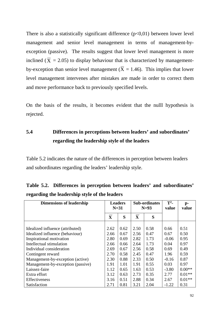There is also a statistically significant difference  $(p<0,01)$  between lower level management and senior level management in terms of management-byexception (passive). The results suggest that lower level management is more inclined ( $X = 2.05$ ) to display behaviour that is characterized by managementby-exception than senior level management  $(X = 1.46)$ . This implies that lower level management intervenes after mistakes are made in order to correct them and move performance back to previously specified levels.

On the basis of the results, it becomes evident that the nulll hypothesis is rejected.

## **5.4 Differences in perceptions between leaders' and subordinates' regarding the leadership style of the leaders**

Table 5.2 indicates the nature of the differences in perception between leaders and subordinates regarding the leaders' leadership style.

| <b>Dimensions of leadership</b>   |              | <b>Leaders</b><br>$N=31$ |                         | <b>Sub-ordinates</b><br>$N=93$ | $T^2$ -<br>value | $p-$<br>value |
|-----------------------------------|--------------|--------------------------|-------------------------|--------------------------------|------------------|---------------|
|                                   | $\mathbf{X}$ | S                        | $\overline{\mathbf{X}}$ | S                              |                  |               |
|                                   |              |                          |                         |                                |                  |               |
| Idealized influence (attributed)  | 2.62         | 0.62                     | 2.50                    | 0.58                           | 0.66             | 0.51          |
| Idealized influence (behaviour)   | 2.66         | 0.67                     | 2.56                    | 0.47                           | 0.67             | 0.50          |
| Inspirational motivation          | 2.80         | 0.69                     | 2.82                    | 1.73                           | $-0.06$          | 0.95          |
| Intellectual stimulation          | 2.66         | 0.66                     | 2.64                    | 1.73                           | 0.04             | 0.97          |
| Individual consideration          | 2.69         | 0.67                     | 2.56                    | 0.58                           | 0.69             | 0.49          |
| Contingent reward                 | 2.70         | 0.58                     | 2.45                    | 0.47                           | 1.96             | 0.59          |
| Management-by-exception (active)  | 2.30         | 0.88                     | 2.33                    | 0.50                           | $-0.16$          | 0.87          |
| Management-by-exception (passive) | 1.91         | 1.01                     | 1.91                    | 0.55                           | 0.03             | 0.97          |
| Laissez-faire                     | 1.12         | 0.65                     | 1.63                    | 0.53                           | $-3.80$          | $0.00**$      |
| Extra effort                      | 3.12         | 0.63                     | 2.73                    | 0.35                           | 2.77             | $0.01**$      |
| Effectiveness                     | 3.16         | 0.51                     | 2.88                    | 0.34                           | 2.67             | $0.01**$      |
| Satisfaction                      | 2.71         | 0.81                     | 3.21                    | 2.04                           | $-1.22$          | 0.31          |

|                                               |  |  | Table 5.2. Differences in perception between leaders' and subordinates' |
|-----------------------------------------------|--|--|-------------------------------------------------------------------------|
| regarding the leadership style of the leaders |  |  |                                                                         |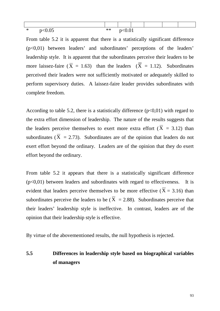| A.<br>≛ | $\Omega$ $\Omega$ $\sigma$<br>$\mathbf{r}$<br>w.v | $\ast\ast$ | $\Omega$ $\Omega$ <sup>1</sup><br><b>NU.VI</b> |  |  |
|---------|---------------------------------------------------|------------|------------------------------------------------|--|--|

From table 5.2 it is apparent that there is a statistically significant difference (p<0,01) between leaders' and subordinates' perceptions of the leaders' leadership style. It is apparent that the subordinates perceive their leaders to be more laissez-faire  $(X = 1.63)$  than the leaders  $(X = 1.12)$ . Subordinates perceived their leaders were not sufficiently motivated or adequately skilled to perform supervisory duties. A laissez-faire leader provides subordinates with complete freedom.

According to table 5.2, there is a statistically difference  $(p<0.01)$  with regard to the extra effort dimension of leadership. The nature of the results suggests that the leaders perceive themselves to exert more extra effort  $(X = 3.12)$  than subordinates  $(X = 2.73)$ . Subordinates are of the opinion that leaders do not exert effort beyond the ordinary. Leaders are of the opinion that they do exert effort beyond the ordinary.

From table 5.2 it appears that there is a statistically significant difference  $(p<0,01)$  between leaders and subordinates with regard to effectiveness. It is evident that leaders perceive themselves to be more effective  $(X = 3.16)$  than subordinates perceive the leaders to be  $(X = 2.88)$ . Subordinates perceive that their leaders' leadership style is ineffective. In contrast, leaders are of the opinion that their leadership style is effective.

By virtue of the abovementioned results, the null hypothesis is rejected.

## **5.5 Differences in leadership style based on biographical variables of managers**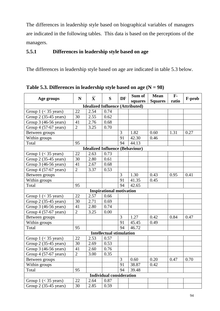The differences in leadership style based on biographical variables of managers are indicated in the following tables. This data is based on the perceptions of the managers.

## **5.5.1 Differences in leadership style based on age**

The differences in leadership style based on age are indicated in table 5.3 below.

| Age groups                             | $\mathbf N$    | $\overline{\mathbf{X}}$ | S                                       | DF | Sum of  | <b>Mean</b>    | $\mathbf{F}$ - | F-prob |  |  |  |  |
|----------------------------------------|----------------|-------------------------|-----------------------------------------|----|---------|----------------|----------------|--------|--|--|--|--|
|                                        |                |                         |                                         |    | squares | <b>Squares</b> | ratio          |        |  |  |  |  |
|                                        |                |                         | <b>Idealized Influence (Attributed)</b> |    |         |                |                |        |  |  |  |  |
| Group $1 \leq 35$ years)               | 22             | 2.54                    | 0.74                                    |    |         |                |                |        |  |  |  |  |
| Group 2 (35-45 years)                  | 30             | 2.55                    | 0.62                                    |    |         |                |                |        |  |  |  |  |
| Group 3 (46-56 years)                  | 41             | 2.76                    | 0.68                                    |    |         |                |                |        |  |  |  |  |
| Group 4 (57-67 years)                  | $\overline{2}$ | 3.25                    | 0.70                                    |    |         |                |                |        |  |  |  |  |
| Between groups                         |                |                         |                                         | 3  | 1.82    | 0.60           | 1.31           | 0.27   |  |  |  |  |
| Within groups                          |                |                         |                                         | 91 | 42.30   | 0.46           |                |        |  |  |  |  |
| Total                                  | 95             |                         |                                         | 94 | 44.13   |                |                |        |  |  |  |  |
| <b>Idealized Influence (Behaviour)</b> |                |                         |                                         |    |         |                |                |        |  |  |  |  |
| Group $1$ (< 35 years)                 | 22             | 2.63                    | 0.73                                    |    |         |                |                |        |  |  |  |  |
| Group 2 (35-45 years)                  | 30             | 2.80                    | 0.61                                    |    |         |                |                |        |  |  |  |  |
| Group 3 (46-56 years)                  | 41             | 2.67                    | 0.68                                    |    |         |                |                |        |  |  |  |  |
| Group 4 (57-67 years)                  | $\overline{2}$ | 3.37                    | 0.53                                    |    |         |                |                |        |  |  |  |  |
| Between groups                         |                |                         |                                         | 3  | 1.30    | 0.43           | 0.95           | 0.41   |  |  |  |  |
| Within groups                          |                |                         |                                         | 91 | 41.35   | 0.45           |                |        |  |  |  |  |
| Total                                  | 95             |                         |                                         | 94 | 42.65   |                |                |        |  |  |  |  |
|                                        |                |                         | <b>Inspirational motivation</b>         |    |         |                |                |        |  |  |  |  |
| Group $1 \leq 35$ years)               | 22             | 2.57                    | 0.66                                    |    |         |                |                |        |  |  |  |  |
| Group 2 (35-45 years)                  | 30             | 2.71                    | 0.69                                    |    |         |                |                |        |  |  |  |  |
| Group 3 (46-56 years)                  | 41             | 2.80                    | 0.74                                    |    |         |                |                |        |  |  |  |  |
| Group 4 (57-67 years)                  | $\overline{2}$ | 3.25                    | 0.00                                    |    |         |                |                |        |  |  |  |  |
| Between groups                         |                |                         |                                         | 3  | 1.27    | 0.42           | 0.84           | 0.47   |  |  |  |  |
| Within groups                          |                |                         |                                         | 91 | 45.45   | 0.49           |                |        |  |  |  |  |
| Total                                  | 95             |                         |                                         | 94 | 46.72   |                |                |        |  |  |  |  |
|                                        |                |                         | <b>Intellectual stimulation</b>         |    |         |                |                |        |  |  |  |  |
| Group $1 \leq 35$ years)               | 22             | 2.53                    | 0.57                                    |    |         |                |                |        |  |  |  |  |
| Group 2 (35-45 years)                  | 30             | 2.69                    | 0.53                                    |    |         |                |                |        |  |  |  |  |
| Group 3 (46-56 years)                  | 41             | 2.60                    | 0.76                                    |    |         |                |                |        |  |  |  |  |
| Group 4 (57-67 years)                  | $\overline{2}$ | 3.00                    | 0.35                                    |    |         |                |                |        |  |  |  |  |
| Between groups                         |                |                         |                                         | 3  | 0.60    | 0.20           | 0.47           | 0.70   |  |  |  |  |
| Within groups                          |                |                         |                                         | 91 | 38.87   | 0.42           |                |        |  |  |  |  |
| Total                                  | 95             |                         |                                         | 94 | 39.48   |                |                |        |  |  |  |  |
|                                        |                |                         | <b>Individual consideration</b>         |    |         |                |                |        |  |  |  |  |
| Group $1 \leq 35$ years)               | 22             | 2.64                    | 0.87                                    |    |         |                |                |        |  |  |  |  |
| Group 2 (35-45 years)                  | 30             | 2.85                    | 0.59                                    |    |         |                |                |        |  |  |  |  |

**Table 5.3. Differences in leadership style based on age (N = 98)**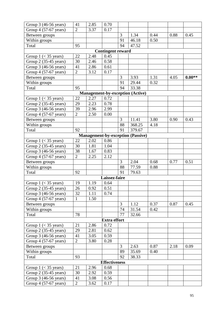| Group 3 (46-56 years)                                                                   | 41              | 2.85 | 0.70                 |    |                                          |      |      |          |  |  |  |  |  |
|-----------------------------------------------------------------------------------------|-----------------|------|----------------------|----|------------------------------------------|------|------|----------|--|--|--|--|--|
| Group 4 (57-67 years)                                                                   | $\overline{2}$  | 3.37 | 0.17                 |    |                                          |      |      |          |  |  |  |  |  |
| Between groups                                                                          |                 |      |                      | 3  | 1.34                                     | 0.44 | 0.88 | 0.45     |  |  |  |  |  |
| Within groups                                                                           |                 |      |                      | 91 | 46.18                                    | 0.50 |      |          |  |  |  |  |  |
| Total                                                                                   | 95              |      |                      | 94 | $\overline{47.52}$                       |      |      |          |  |  |  |  |  |
| <b>Contingent reward</b>                                                                |                 |      |                      |    |                                          |      |      |          |  |  |  |  |  |
| Group $1 \leq 35$ years)                                                                | 22              | 2.48 | 0.45                 |    |                                          |      |      |          |  |  |  |  |  |
| Group 2 (35-45 years)                                                                   | 30              | 2.46 | 0.58                 |    |                                          |      |      |          |  |  |  |  |  |
| Group 3 (46-56 years)                                                                   | 41              | 2.86 | 0.61                 |    |                                          |      |      |          |  |  |  |  |  |
| Group 4 (57-67 years)                                                                   | $\overline{2}$  | 3.12 | 0.17                 |    |                                          |      |      |          |  |  |  |  |  |
| Between groups                                                                          |                 |      |                      | 3  | 3.93                                     | 1.31 | 4.05 | $0.00**$ |  |  |  |  |  |
| Within groups                                                                           |                 |      |                      | 91 | 29.44                                    | 0.32 |      |          |  |  |  |  |  |
| Total                                                                                   | 95              |      |                      | 94 | 33.38                                    |      |      |          |  |  |  |  |  |
|                                                                                         |                 |      |                      |    |                                          |      |      |          |  |  |  |  |  |
| <b>Management-by-exception (Active)</b><br>22<br>2.27<br>0.72<br>Group $1$ (< 35 years) |                 |      |                      |    |                                          |      |      |          |  |  |  |  |  |
| Group 2 (35-45 years)                                                                   | 29              | 2.23 | 0.78                 |    |                                          |      |      |          |  |  |  |  |  |
| Group 3 (46-56 years)                                                                   | 39              | 2.96 | 2.99                 |    |                                          |      |      |          |  |  |  |  |  |
| Group 4 (57-67 years)                                                                   | $\overline{2}$  | 2.50 | 0.00                 |    |                                          |      |      |          |  |  |  |  |  |
| Between groups                                                                          |                 |      |                      | 3  | 11.41                                    | 3.80 | 0.90 | 0.43     |  |  |  |  |  |
| Within groups                                                                           |                 |      |                      | 88 | 368.25                                   | 4.18 |      |          |  |  |  |  |  |
| Total                                                                                   | 92              |      |                      | 91 | 379.67                                   |      |      |          |  |  |  |  |  |
|                                                                                         |                 |      |                      |    | <b>Management-by-exception (Passive)</b> |      |      |          |  |  |  |  |  |
| Group $1$ (< 35 years)                                                                  | 22              | 2.02 | 0.86                 |    |                                          |      |      |          |  |  |  |  |  |
| Group 2 (35-45 years)                                                                   | $\overline{30}$ | 1.81 | 1.04                 |    |                                          |      |      |          |  |  |  |  |  |
| Group 3 (46-56 years)                                                                   | 38              | 1.67 | 0.83                 |    |                                          |      |      |          |  |  |  |  |  |
| Group 4 (57-67 years)                                                                   | $\overline{2}$  | 2.25 | 2.12                 |    |                                          |      |      |          |  |  |  |  |  |
| Between groups                                                                          |                 |      |                      | 3  | 2.04                                     | 0.68 | 0.77 | 0.51     |  |  |  |  |  |
| Within groups                                                                           |                 |      |                      | 88 | 77.59                                    | 0.88 |      |          |  |  |  |  |  |
| Total                                                                                   | 92              |      |                      | 91 | 79.63                                    |      |      |          |  |  |  |  |  |
|                                                                                         |                 |      | Laissez-faire        |    |                                          |      |      |          |  |  |  |  |  |
| Group $1$ (< 35 years)                                                                  | 19              | 1.19 | 0.64                 |    |                                          |      |      |          |  |  |  |  |  |
| Group 2 (35-45 years)                                                                   | $\overline{26}$ | 0.92 | 0.51                 |    |                                          |      |      |          |  |  |  |  |  |
| Group 3 (46-56 years)                                                                   | 32              | 1.11 | 0.74                 |    |                                          |      |      |          |  |  |  |  |  |
| Group 4 (57-67 years)                                                                   | $\mathbf{1}$    | 1.50 |                      |    |                                          |      |      |          |  |  |  |  |  |
| Between groups                                                                          |                 |      |                      | 3  | 1.12                                     | 0.37 | 0.87 | 0.45     |  |  |  |  |  |
| Within groups                                                                           |                 |      |                      | 74 | 31.54                                    | 0.42 |      |          |  |  |  |  |  |
| Total                                                                                   | 78              |      |                      | 77 | 32.66                                    |      |      |          |  |  |  |  |  |
|                                                                                         |                 |      | <b>Extra effort</b>  |    |                                          |      |      |          |  |  |  |  |  |
| Group $1 \leq 35$ years)                                                                | 21              | 2.86 | 0.72                 |    |                                          |      |      |          |  |  |  |  |  |
| Group 2 (35-45 years)                                                                   | 29              | 2.81 | 0.62                 |    |                                          |      |      |          |  |  |  |  |  |
| Group 3 (46-56 years)                                                                   | 41              | 3.05 | 0.59                 |    |                                          |      |      |          |  |  |  |  |  |
| Group 4 (57-67 years)                                                                   | $\overline{2}$  | 3.80 | 0.28                 |    |                                          |      |      |          |  |  |  |  |  |
| Between groups                                                                          |                 |      |                      | 3  | 2.63                                     | 0.87 | 2.18 | 0.09     |  |  |  |  |  |
| Within groups                                                                           |                 |      |                      | 89 | 35.69                                    | 0.40 |      |          |  |  |  |  |  |
| Total                                                                                   | 93              |      |                      | 92 | 38.33                                    |      |      |          |  |  |  |  |  |
|                                                                                         |                 |      | <b>Effectiveness</b> |    |                                          |      |      |          |  |  |  |  |  |
| Group $1 \leq 35$ years)                                                                | 21              | 2.96 | 0.68                 |    |                                          |      |      |          |  |  |  |  |  |
| Group 2 (35-45 years)                                                                   | 30              | 2.92 | 0.59                 |    |                                          |      |      |          |  |  |  |  |  |
| Group 3 (46-56 years)                                                                   | 41              | 3.08 | 0.56                 |    |                                          |      |      |          |  |  |  |  |  |
| Group 4 (57-67 years)                                                                   | $\overline{2}$  | 3.62 | 0.17                 |    |                                          |      |      |          |  |  |  |  |  |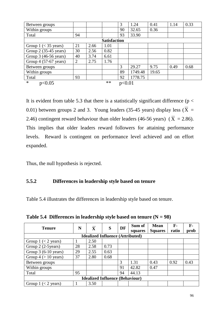| Between groups           |    |      |       | 3      | 1.24    | 0.41  | 1.14 | 0.33 |  |
|--------------------------|----|------|-------|--------|---------|-------|------|------|--|
| Within groups            |    |      |       | 90     | 32.65   | 0.36  |      |      |  |
| Total                    | 94 |      |       | 93     | 33.90   |       |      |      |  |
| <b>Satisfaction</b>      |    |      |       |        |         |       |      |      |  |
| Group $1 \leq 35$ years) | 21 | 2.66 | 1.01  |        |         |       |      |      |  |
| Group 2 (35-45 years)    | 30 | 2.56 | 0.82  |        |         |       |      |      |  |
| Group 3 (46-56 years)    | 40 | 3.74 | 6.61  |        |         |       |      |      |  |
| Group 4 (57-67 years)    | 2  | 2.75 | 1.76  |        |         |       |      |      |  |
| Between groups           |    |      |       | 3      | 29.27   | 9.75  | 0.49 | 0.68 |  |
| Within groups            |    |      |       | 89     | 1749.48 | 19.65 |      |      |  |
| Total                    | 93 |      |       | 92     | 1778.75 |       |      |      |  |
| $\ast$<br>p<0.05         |    |      | $***$ | p<0.01 |         |       |      |      |  |

It is evident from table 5.3 that there is a statistically significant difference ( $p <$ 0.01) between groups 2 and 3. Young leaders (35-45 years) display less ( $X =$ 2.46) contingent reward behaviour than older leaders (46-56 years)  $(X = 2.86)$ . This implies that older leaders reward followers for attaining performance levels. Reward is contingent on performance level achieved and on effort expanded.

Thus, the null hypothesis is rejected.

## **5.5.2 Differences in leadership style based on tenure**

Table 5.4 illustrates the differences in leadership style based on tenure.

Table 5.4 Differences in leadership style based on tenure  $(N = 98)$ 

| <b>Tenure</b>                           | $\overline{\mathbf{X}}$<br>N |      | DF   | Sum of | <b>Mean</b> | $F-$           | F-    |      |  |  |
|-----------------------------------------|------------------------------|------|------|--------|-------------|----------------|-------|------|--|--|
|                                         |                              |      | S    |        | squares     | <b>Squares</b> | ratio | prob |  |  |
| <b>Idealized Influence (Attributed)</b> |                              |      |      |        |             |                |       |      |  |  |
| Group $1 \leq 2$ years)                 |                              | 2.50 |      |        |             |                |       |      |  |  |
| Group 2 (2-5 years)                     | 28                           | 2.58 | 0.73 |        |             |                |       |      |  |  |
| Group $3(6-10 \text{ years})$           | 29                           | 2.55 | 0.63 |        |             |                |       |      |  |  |
| Group $4 (> 10$ years)                  | 37                           | 2.80 | 0.68 |        |             |                |       |      |  |  |
| Between groups                          |                              |      |      | 3      | 1.31        | 0.43           | 0.92  | 0.43 |  |  |
| Within groups                           |                              |      |      | 91     | 42.82       | 0.47           |       |      |  |  |
| Total                                   | 95                           |      |      | 94     | 44.13       |                |       |      |  |  |
| <b>Idealized Influence (Behaviour)</b>  |                              |      |      |        |             |                |       |      |  |  |
| Group $1 \leq 2$ years)                 |                              | 3.50 |      |        |             |                |       |      |  |  |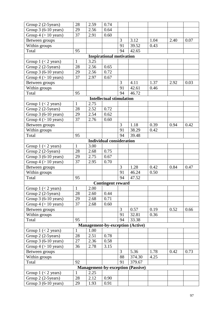| Group 2 (2-5 years)                     | 28              | 2.59 | 0.74                            |                |                                          |      |      |      |  |  |  |
|-----------------------------------------|-----------------|------|---------------------------------|----------------|------------------------------------------|------|------|------|--|--|--|
| Group 3 (6-10 years)                    | 29              | 2.56 | 0.64                            |                |                                          |      |      |      |  |  |  |
| Group $4 (> 10$ years)                  | 37              | 2.91 | 0.60                            |                |                                          |      |      |      |  |  |  |
| Between groups                          |                 |      |                                 | 3              | 3.12                                     | 1.04 | 2.40 | 0.07 |  |  |  |
| Within groups                           |                 |      |                                 | 91             | 39.52                                    | 0.43 |      |      |  |  |  |
| Total                                   | 95              |      |                                 | 94             | 42.65                                    |      |      |      |  |  |  |
| <b>Inspirational motivation</b>         |                 |      |                                 |                |                                          |      |      |      |  |  |  |
| Group $1 \leq 2$ years)                 | $\mathbf{1}$    | 3.25 |                                 |                |                                          |      |      |      |  |  |  |
| Group 2 (2-5 years)                     | 28              | 2.56 | 0.65                            |                |                                          |      |      |      |  |  |  |
| Group 3 (6-10 years)                    | 29              | 2.56 | 0.72                            |                |                                          |      |      |      |  |  |  |
| Group $4 (> 10$ years)                  | $\overline{37}$ | 2.97 | 0.67                            |                |                                          |      |      |      |  |  |  |
| Between groups                          |                 |      |                                 | 3              | 4.11                                     | 1.37 | 2.92 | 0.03 |  |  |  |
| Within groups                           |                 |      |                                 | 91             | 42.61                                    | 0.46 |      |      |  |  |  |
| Total                                   | 95              |      |                                 | 94             | 46.72                                    |      |      |      |  |  |  |
|                                         |                 |      | <b>Intellectual stimulation</b> |                |                                          |      |      |      |  |  |  |
| Group $1 \leq 2$ years)                 | $\mathbf{1}$    | 2.75 |                                 |                |                                          |      |      |      |  |  |  |
| Group 2 (2-5 years)                     | 28              | 2.52 | 0.72                            |                |                                          |      |      |      |  |  |  |
| Group $3(6-10 \text{ years})$           | 29              | 2.54 | 0.62                            |                |                                          |      |      |      |  |  |  |
| Group $4 (> 10$ years)                  | 37              | 2.76 | 0.60                            |                |                                          |      |      |      |  |  |  |
| Between groups                          |                 |      |                                 | 3              | 1.18                                     | 0.39 | 0.94 | 0.42 |  |  |  |
| Within groups                           |                 |      |                                 | 91             | 38.29                                    | 0.42 |      |      |  |  |  |
| Total                                   | 95              |      |                                 | 94             | 39.48                                    |      |      |      |  |  |  |
|                                         |                 |      | <b>Individual consideration</b> |                |                                          |      |      |      |  |  |  |
| Group $1 \leq 2$ years)                 | $\mathbf{1}$    | 3.00 |                                 |                |                                          |      |      |      |  |  |  |
| Group 2 (2-5 years)                     | 28              | 2.68 | 0.75                            |                |                                          |      |      |      |  |  |  |
| Group 3 (6-10 years)                    | 29              | 2.75 | 0.67                            |                |                                          |      |      |      |  |  |  |
| Group $4 (> 10 \text{ years})$          | 37              | 2.95 | 0.70                            |                |                                          |      |      |      |  |  |  |
| Between groups                          |                 |      |                                 | 3              | 1.28                                     | 0.42 | 0.84 | 0.47 |  |  |  |
| Within groups                           |                 |      |                                 | 91             | 46.24                                    | 0.50 |      |      |  |  |  |
| Total                                   | 95              |      |                                 | 94             | 47.52                                    |      |      |      |  |  |  |
|                                         |                 |      | <b>Contingent reward</b>        |                |                                          |      |      |      |  |  |  |
| Group $1$ (< 2 years)                   | $\overline{1}$  | 2.00 |                                 |                |                                          |      |      |      |  |  |  |
| Group 2 (2-5 years)                     | 28              | 2.60 | 0.44                            |                |                                          |      |      |      |  |  |  |
| Group $3(6-10 \text{ years})$           | 29              | 2.68 | 0.71                            |                |                                          |      |      |      |  |  |  |
| Group $4 (> 10$ years)                  | 37              | 2.68 | 0.60                            |                |                                          |      |      |      |  |  |  |
| Between groups                          |                 |      |                                 | $\overline{3}$ | 0.57                                     | 0.19 | 0.52 | 0.66 |  |  |  |
| Within groups                           |                 |      |                                 | 91             | 32.81                                    | 0.36 |      |      |  |  |  |
| Total                                   | 95              |      |                                 | 94             | 33.38                                    |      |      |      |  |  |  |
| <b>Management-by-exception (Active)</b> |                 |      |                                 |                |                                          |      |      |      |  |  |  |
| Group $1 \leq 2$ years)                 | 1               | 1.00 |                                 |                |                                          |      |      |      |  |  |  |
| Group 2 (2-5 years)                     | 28              | 2.51 | 0.78                            |                |                                          |      |      |      |  |  |  |
| Group $3(6-10 \text{ years})$           | 27              | 2.36 | 0.58                            |                |                                          |      |      |      |  |  |  |
| Group $4 (> 10 \text{ years})$          | 36              | 2.78 | 3.15                            |                |                                          |      |      |      |  |  |  |
| Between groups                          |                 |      |                                 | $\overline{3}$ | 5.36                                     | 1.78 | 0.42 | 0.73 |  |  |  |
| Within groups                           |                 |      |                                 | 88             | 374.30                                   | 4.25 |      |      |  |  |  |
| Total                                   | 92              |      |                                 | 91             | 379.67                                   |      |      |      |  |  |  |
|                                         |                 |      |                                 |                | <b>Management-by-exception (Passive)</b> |      |      |      |  |  |  |
| Group $1 \leq 2$ years)                 | 1               | 2.25 |                                 |                |                                          |      |      |      |  |  |  |
| Group 2 (2-5 years)                     | 28              | 2.12 | 0.90                            |                |                                          |      |      |      |  |  |  |
| Group 3 (6-10 years)                    | 29              | 1.93 | 0.91                            |                |                                          |      |      |      |  |  |  |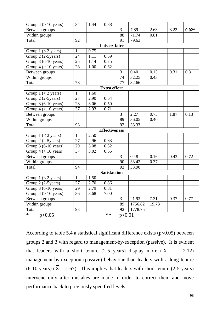| Group $4 (> 10$ years)        | 34              | 1.44 | 0.88                 |        |         |       |      |         |  |
|-------------------------------|-----------------|------|----------------------|--------|---------|-------|------|---------|--|
| Between groups                |                 |      |                      | 3      | 7.89    | 2.63  | 3.22 | $0.02*$ |  |
| Within groups                 |                 |      |                      | 88     | 71.74   | 0.81  |      |         |  |
| Total                         | 92              |      |                      | 91     | 79.63   |       |      |         |  |
|                               |                 |      | Laissez-faire        |        |         |       |      |         |  |
| Group $1 \leq 2$ years)       | $\mathbf{1}$    | 0.75 |                      |        |         |       |      |         |  |
| Group 2 (2-5 years)           | 24              | 1.11 | 0.59                 |        |         |       |      |         |  |
| Group 3 (6-10 years)          | 25              | 1.14 | 0.75                 |        |         |       |      |         |  |
| Group $4 (> 10$ years)        | 28              | 1.00 | 0.62                 |        |         |       |      |         |  |
| Between groups                |                 |      |                      | 3      | 0.40    | 0.13  | 0.31 | 0.81    |  |
| Within groups                 |                 |      |                      | 74     | 32.25   | 0.43  |      |         |  |
| Total                         | 78              |      |                      | 77     | 32.66   |       |      |         |  |
|                               |                 |      | <b>Extra effort</b>  |        |         |       |      |         |  |
| Group $1 \leq 2$ years)       | $\mathbf{1}$    | 1.60 |                      |        |         |       |      |         |  |
| Group 2 (2-5 years)           | 27              | 2.90 | 0.64                 |        |         |       |      |         |  |
| Group $3(6-10 \text{ years})$ | 28              | 3.06 | 0.50                 |        |         |       |      |         |  |
| Group $4 (> 10$ years)        | $\overline{37}$ | 2.93 | 0.71                 |        |         |       |      |         |  |
| Between groups                |                 |      |                      | 3      | 2.27    | 0.75  | 1.87 | 0.13    |  |
| Within groups                 |                 |      |                      | 89     | 36.05   | 0.40  |      |         |  |
| Total                         | 93              |      |                      | 92     | 38.33   |       |      |         |  |
|                               |                 |      | <b>Effectiveness</b> |        |         |       |      |         |  |
| Group $1 \leq 2$ years)       | $\mathbf{1}$    | 2.50 |                      |        |         |       |      |         |  |
| Group 2 (2-5 years)           | 27              | 2.96 | 0.63                 |        |         |       |      |         |  |
| Group 3 (6-10 years)          | 29              | 3.08 | 0.52                 |        |         |       |      |         |  |
| Group $4 (> 10$ years)        | 37              | 3.02 | 0.65                 |        |         |       |      |         |  |
| Between groups                |                 |      |                      | 3      | 0.48    | 0.16  | 0.43 | 0.72    |  |
| Within groups                 |                 |      |                      | 90     | 33.42   | 0.37  |      |         |  |
| Total                         | 94              |      |                      | 93     | 33.90   |       |      |         |  |
| <b>Satisfaction</b>           |                 |      |                      |        |         |       |      |         |  |
| Group $1 \leq 2$ years)       | $\mathbf{1}$    | 1.50 |                      |        |         |       |      |         |  |
| Group 2 (2-5 years)           | 27              | 2.70 | 0.86                 |        |         |       |      |         |  |
| Group $3(6-10 \text{ years})$ | 29              | 2.79 | 0.81                 |        |         |       |      |         |  |
| Group $4 (> 10$ years)        | 36              | 3.68 | 7.00                 |        |         |       |      |         |  |
| Between groups                |                 |      |                      | 3      | 21.93   | 7.31  | 0.37 | 0.77    |  |
| Within groups                 |                 |      |                      | 89     | 1756.82 | 19.73 |      |         |  |
| Total                         | 93              |      |                      | 92     | 1778.75 |       |      |         |  |
| $\ast$<br>p<0.05              |                 |      | $***$                | p<0.01 |         |       |      |         |  |

According to table 5.4 a statistical significant difference exists ( $p<0.05$ ) between groups 2 and 3 with regard to management-by-exception (passive). It is evident that leaders with a short tenure (2-5 years) display more  $(X = 2.12)$ management-by-exception (passive) behaviour than leaders with a long tenure  $(6\n-10 \text{ years})$   $(X = 1.67)$ . This implies that leaders with short tenure (2-5 years) intervene only after mistakes are made in order to correct them and move performance back to previously specified levels.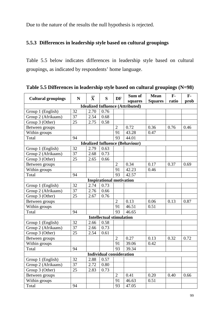Due to the nature of the results the null hypothesis is rejected.

## **5.5.3 Differences in leadership style based on cultural groupings**

Table 5.5 below indicates differences in leadership style based on cultural groupings, as indicated by respondents' home language.

|                                         |    |                         |                                 |                | Sum of  | <b>Mean</b>    | $F -$ | $F -$ |  |  |  |
|-----------------------------------------|----|-------------------------|---------------------------------|----------------|---------|----------------|-------|-------|--|--|--|
| <b>Cultural groupings</b>               | N  | $\overline{\mathbf{X}}$ | S                               | <b>DF</b>      | squares | <b>Squares</b> | ratio | prob  |  |  |  |
| <b>Idealized Influence (Attributed)</b> |    |                         |                                 |                |         |                |       |       |  |  |  |
| Group 1 (English)                       | 32 | 2.70                    | 0.76                            |                |         |                |       |       |  |  |  |
| Group 2 (Afrikaans)                     | 37 | 2.54                    | 0.68                            |                |         |                |       |       |  |  |  |
| Group 3 (Other)                         | 25 | 2.75                    | 0.58                            |                |         |                |       |       |  |  |  |
| Between groups                          |    |                         |                                 | $\overline{2}$ | 0.72    | 0.36           | 0.76  | 0.46  |  |  |  |
| Within groups                           |    |                         |                                 | 91             | 43.28   | 0.47           |       |       |  |  |  |
| Total                                   | 94 |                         |                                 | 93             | 44.01   |                |       |       |  |  |  |
| <b>Idealized Influence (Behaviour)</b>  |    |                         |                                 |                |         |                |       |       |  |  |  |
| Group 1 (English)                       | 32 | 2.79                    | 0.63                            |                |         |                |       |       |  |  |  |
| Group 2 (Afrikaans)                     | 37 | 2.68                    | 0.73                            |                |         |                |       |       |  |  |  |
| Group 3 (Other)                         | 25 | 2.65                    | 0.66                            |                |         |                |       |       |  |  |  |
| Between groups                          |    |                         |                                 | $\overline{2}$ | 0.34    | 0.17           | 0.37  | 0.69  |  |  |  |
| Within groups                           |    |                         |                                 | 91             | 42.23   | 0.46           |       |       |  |  |  |
| Total                                   | 94 |                         |                                 | 93             | 42.57   |                |       |       |  |  |  |
|                                         |    |                         | <b>Inspirational motivation</b> |                |         |                |       |       |  |  |  |
| Group 1 (English)                       | 32 | 2.74                    | 0.73                            |                |         |                |       |       |  |  |  |
| Group 2 (Afrikaans)                     | 37 | 2.76                    | 0.66                            |                |         |                |       |       |  |  |  |
| Group 3 (Other)                         | 25 | 2.67                    | 0.76                            |                |         |                |       |       |  |  |  |
| Between groups                          |    |                         |                                 | $\overline{2}$ | 0.13    | 0.06           | 0.13  | 0.87  |  |  |  |
| Within groups                           |    |                         |                                 | 91             | 46.51   | 0.51           |       |       |  |  |  |
| Total                                   | 94 |                         |                                 | 93             | 46.65   |                |       |       |  |  |  |
|                                         |    |                         | <b>Intellectual stimulation</b> |                |         |                |       |       |  |  |  |
| Group 1 (English)                       | 32 | 2.66                    | 0.58                            |                |         |                |       |       |  |  |  |
| Group 2 (Afrikaans)                     | 37 | 2.66                    | 0.73                            |                |         |                |       |       |  |  |  |
| Group 3 (Other)                         | 25 | 2.54                    | 0.61                            |                |         |                |       |       |  |  |  |
| Between groups                          |    |                         |                                 | $\overline{2}$ | 0.27    | 0.13           | 0.32  | 0.72  |  |  |  |
| Within groups                           |    |                         |                                 | 91             | 39.06   | 0.42           |       |       |  |  |  |
| Total                                   | 94 |                         |                                 | 93             | 39.34   |                |       |       |  |  |  |
| <b>Individual consideration</b>         |    |                         |                                 |                |         |                |       |       |  |  |  |
| Group 1 (English)                       | 32 | 2.88                    | 0.57                            |                |         |                |       |       |  |  |  |
| Group 2 (Afrikaans)                     | 37 | 2.72                    | 0.80                            |                |         |                |       |       |  |  |  |
| Group 3 (Other)                         | 25 | 2.83                    | 0.73                            |                |         |                |       |       |  |  |  |
| Between groups                          |    |                         |                                 | $\overline{2}$ | 0.41    | 0.20           | 0.40  | 0.66  |  |  |  |
| Within groups                           |    |                         |                                 | 91             | 46.63   | 0.51           |       |       |  |  |  |
| Total                                   | 94 |                         |                                 | 93             | 47.05   |                |       |       |  |  |  |

**Table 5.5 Differences in leadership style based on cultural groupings (N=98)**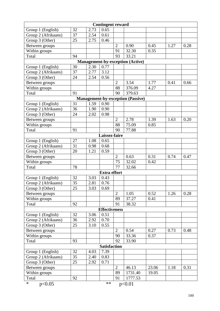| <b>Contingent reward</b>                |                 |      |                      |                |                                          |       |      |      |  |  |
|-----------------------------------------|-----------------|------|----------------------|----------------|------------------------------------------|-------|------|------|--|--|
| Group 1 (English)                       | 32              | 2.73 | 0.65                 |                |                                          |       |      |      |  |  |
| Group 2 (Afrikaans)                     | $\overline{37}$ | 2.54 | 0.61                 |                |                                          |       |      |      |  |  |
| Group 3 (Other)                         | 25              | 2.75 | 0.46                 |                |                                          |       |      |      |  |  |
| Between groups                          |                 |      |                      | $\overline{2}$ | 0.90                                     | 0.45  | 1.27 | 0.28 |  |  |
| Within groups                           |                 |      |                      | 91             | 32.30                                    | 0.35  |      |      |  |  |
| Total                                   | 94              |      |                      | 93             | 33.21                                    |       |      |      |  |  |
| <b>Management-by-exception (Active)</b> |                 |      |                      |                |                                          |       |      |      |  |  |
| Group 1 (English)                       | 30              | 2.30 | 0.77                 |                |                                          |       |      |      |  |  |
| Group 2 (Afrikaans)                     | 37              | 2.77 | 3.12                 |                |                                          |       |      |      |  |  |
| Group 3 (Other)                         | 24              | 2.54 | 0.56                 |                |                                          |       |      |      |  |  |
| Between groups                          |                 |      |                      | $\overline{2}$ | 3.54                                     | 1.77  | 0.41 | 0.66 |  |  |
| Within groups                           |                 |      |                      | 88             | 376.09                                   | 4.27  |      |      |  |  |
| Total                                   | 91              |      |                      | 90             | 379.63                                   |       |      |      |  |  |
|                                         |                 |      |                      |                | <b>Management-by-exception (Passive)</b> |       |      |      |  |  |
| Group 1 (English)                       | 31              | 1.59 | 0.90                 |                |                                          |       |      |      |  |  |
| Group 2 (Afrikaans)                     | 36              | 1.90 | 0.90                 |                |                                          |       |      |      |  |  |
| Group 3 (Other)                         | 24              | 2.02 | 0.98                 |                |                                          |       |      |      |  |  |
| Between groups                          |                 |      |                      | $\overline{2}$ | 2.78                                     | 1.39  | 1.63 | 0.20 |  |  |
| Within groups                           |                 |      |                      | 88             | 75.09                                    | 0.85  |      |      |  |  |
| Total                                   | 91              |      |                      | 90             | 77.88                                    |       |      |      |  |  |
|                                         |                 |      | Laissez-faire        |                |                                          |       |      |      |  |  |
| Group 1 (English)                       | 27              | 1.08 | 0.65                 |                |                                          |       |      |      |  |  |
| Group 2 (Afrikaans)                     | $\overline{31}$ | 0.98 | 0.68                 |                |                                          |       |      |      |  |  |
| Group 3 (Other)                         | 20              | 1.21 | 0.59                 |                |                                          |       |      |      |  |  |
| Between groups                          |                 |      |                      | $\overline{2}$ | 0.63                                     | 0.31  | 0.74 | 0.47 |  |  |
| Within groups                           |                 |      |                      | 75             | 32.02                                    | 0.42  |      |      |  |  |
| Total                                   | 78              |      |                      | 77             | 32.66                                    |       |      |      |  |  |
|                                         |                 |      | <b>Extra effort</b>  |                |                                          |       |      |      |  |  |
| Group 1 (English)                       | 32              | 3.03 | 0.43                 |                |                                          |       |      |      |  |  |
| Group 2 (Afrikaans)                     | 35              | 2.81 | 0.76                 |                |                                          |       |      |      |  |  |
| Group 3 (Other)                         | $\overline{25}$ | 3.03 | 0.69                 |                |                                          |       |      |      |  |  |
| Between groups                          |                 |      |                      | $\overline{2}$ | 1.05                                     | 0.52  | 1.26 | 0.28 |  |  |
| Within groups                           |                 |      |                      | 89             | 37.27                                    | 0.41  |      |      |  |  |
| Total                                   | 92              |      |                      | 91             | 38.32                                    |       |      |      |  |  |
|                                         |                 |      | <b>Effectiveness</b> |                |                                          |       |      |      |  |  |
| Group 1 (English)                       | 32              | 3.06 | 0.51                 |                |                                          |       |      |      |  |  |
| Group 2 (Afrikaans)                     | 36              | 2.92 | 0.70                 |                |                                          |       |      |      |  |  |
| Group 3 (Other)                         | 25              | 3.10 | 0.55                 |                |                                          |       |      |      |  |  |
| Between groups                          |                 |      |                      | $\overline{2}$ | 0.54                                     | 0.27  | 0.73 | 0.48 |  |  |
| Within groups                           |                 |      |                      | 90             | 33.36                                    | 0.37  |      |      |  |  |
| Total                                   | 93              |      |                      | 92             | 33.90                                    |       |      |      |  |  |
|                                         |                 |      | <b>Satisfaction</b>  |                |                                          |       |      |      |  |  |
| Group 1 (English)                       | 32              | 4.03 | 7.39                 |                |                                          |       |      |      |  |  |
| Group 2 (Afrikaans)                     | 35              | 2.40 | 0.83                 |                |                                          |       |      |      |  |  |
| Group 3 (Other)                         | 25              | 2.92 | 0.71                 |                |                                          |       |      |      |  |  |
| Between groups                          |                 |      |                      | $\overline{2}$ | 46.13                                    | 23.06 | 1.18 | 0.31 |  |  |
| Within groups                           |                 |      |                      | 89             | 1731.40                                  | 19.05 |      |      |  |  |
| Total                                   | 92              |      |                      | 91             | 1777.53                                  |       |      |      |  |  |
| $\ast$<br>p<0.05                        |                 |      | $***$                |                | p<0.01                                   |       |      |      |  |  |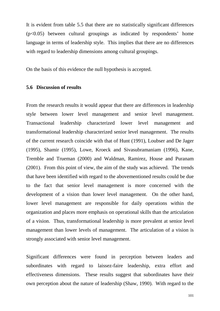It is evident from table 5.5 that there are no statistically significant differences  $(p<0.05)$  between cultural groupings as indicated by respondents' home language in terms of leadership style. This implies that there are no differences with regard to leadership dimensions among cultural groupings.

On the basis of this evidence the null hypothesis is accepted.

#### **5.6 Discussion of results**

From the research results it would appear that there are differences in leadership style between lower level management and senior level management. Transactional leadership characterized lower level management and transformational leadership characterized senior level management. The results of the current research coincide with that of Hunt (1991), Loubser and De Jager (1995), Shamir (1995), Lowe, Kroeck and Sivasubramaniam (1996), Kane, Tremble and Trueman (2000) and Waldman, Ramirez, House and Puranam (2001). From this point of view, the aim of the study was achieved. The trends that have been identified with regard to the abovementioned results could be due to the fact that senior level management is more concerned with the development of a vision than lower level management. On the other hand, lower level management are responsible for daily operations within the organization and places more emphasis on operational skills than the articulation of a vision. Thus, transformational leadership is more prevalent at senior level management than lower levels of management. The articulation of a vision is strongly associated with senior level management.

Significant differences were found in perception between leaders and subordinates with regard to laissez-faire leadership, extra effort and effectiveness dimensions. These results suggest that subordinates have their own perception about the nature of leadership (Shaw, 1990). With regard to the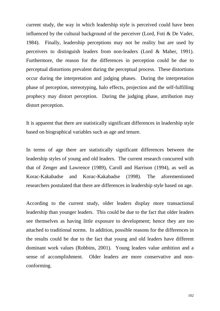current study, the way in which leadership style is perceived could have been influenced by the cultural background of the perceiver (Lord, Foti & De Vader, 1984). Finally, leadership perceptions may not be reality but are used by perceivers to distinguish leaders from non-leaders (Lord & Maher, 1991). Furthermore, the reason for the differences in perception could be due to perceptual distortions prevalent during the perceptual process. These distortions occur during the interpretation and judging phases. During the interpretation phase of perception, stereotyping, halo effects, projection and the self-fulfilling prophecy may distort perception. During the judging phase, attribution may distort perception.

It is apparent that there are statistically significant differences in leadership style based on biographical variables such as age and tenure.

In terms of age there are statistically significant differences between the leadership styles of young and old leaders. The current research concurred with that of Zenger and Lawrence (1989), Caroll and Harrison (1994), as well as Korac-Kakabadse and Korac-Kakabadse (1998). The aforementioned researchers postulated that there are differences in leadership style based on age.

According to the current study, older leaders display more transactional leadership than younger leaders. This could be due to the fact that older leaders see themselves as having little exposure to development; hence they are too attached to traditional norms. In addition, possible reasons for the differences in the results could be due to the fact that young and old leaders have different dominant work values (Robbins, 2001). Young leaders value ambition and a sense of accomplishment. Older leaders are more conservative and nonconforming.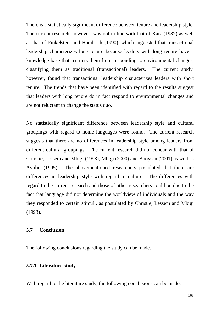There is a statistically significant difference between tenure and leadership style. The current research, however, was not in line with that of Katz (1982) as well as that of Finkelstein and Hambrick (1990), which suggested that transactional leadership characterizes long tenure because leaders with long tenure have a knowledge base that restricts them from responding to environmental changes, classifying them as traditional (transactional) leaders. The current study, however, found that transactional leadership characterizes leaders with short tenure. The trends that have been identified with regard to the results suggest that leaders with long tenure do in fact respond to environmental changes and are not reluctant to change the status quo.

No statistically significant difference between leadership style and cultural groupings with regard to home languages were found. The current research suggests that there are no differences in leadership style among leaders from different cultural groupings. The current research did not concur with that of Christie, Lessem and Mbigi (1993), Mbigi (2000) and Booysen (2001) as well as Avolio (1995). The abovementioned researchers postulated that there are differences in leadership style with regard to culture. The differences with regard to the current research and those of other researchers could be due to the fact that language did not determine the worldview of individuals and the way they responded to certain stimuli, as postulated by Christie, Lessem and Mbigi (1993).

#### **5.7 Conclusion**

The following conclusions regarding the study can be made.

#### **5.7.1 Literature study**

With regard to the literature study, the following conclusions can be made.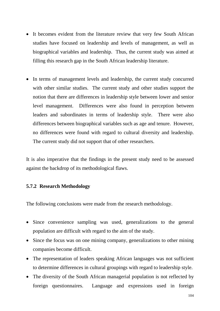- It becomes evident from the literature review that very few South African studies have focused on leadership and levels of management, as well as biographical variables and leadership. Thus, the current study was aimed at filling this research gap in the South African leadership literature.
- In terms of management levels and leadership, the current study concurred with other similar studies. The current study and other studies support the notion that there are differences in leadership style between lower and senior level management. Differences were also found in perception between leaders and subordinates in terms of leadership style. There were also differences between biographical variables such as age and tenure. However, no differences were found with regard to cultural diversity and leadership. The current study did not support that of other researchers.

It is also imperative that the findings in the present study need to be assessed against the backdrop of its methodological flaws.

#### **5.7.2 Research Methodology**

The following conclusions were made from the research methodology.

- Since convenience sampling was used, generalizations to the general population are difficult with regard to the aim of the study.
- Since the focus was on one mining company, generalizations to other mining companies become difficult.
- The representation of leaders speaking African languages was not sufficient to determine differences in cultural groupings with regard to leadership style.
- The diversity of the South African managerial population is not reflected by foreign questionnaires. Language and expressions used in foreign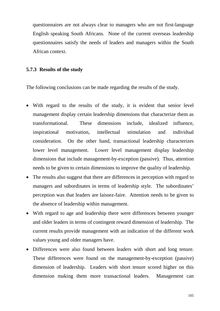questionnaires are not always clear to managers who are not first-language English speaking South Africans. None of the current overseas leadership questionnaires satisfy the needs of leaders and managers within the South African context.

#### **5.7.3 Results of the study**

The following conclusions can be made regarding the results of the study.

- With regard to the results of the study, it is evident that senior level management display certain leadership dimensions that characterize them as transformational. These dimensions include, idealized influence, inspirational motivation, intellectual stimulation and individual consideration. On the other hand, transactional leadership characterizes lower level management. Lower level management display leadership dimensions that include management-by-exception (passive). Thus, attention needs to be given to certain dimensions to improve the quality of leadership.
- The results also suggest that there are differences in perception with regard to managers and subordinates in terms of leadership style. The subordinates' perception was that leaders are laissez-faire. Attention needs to be given to the absence of leadership within management.
- With regard to age and leadership there were differences between younger and older leaders in terms of contingent reward dimension of leadership. The current results provide management with an indication of the different work values young and older managers have.
- Differences were also found between leaders with short and long tenure. These differences were found on the management-by-exception (passive) dimension of leadership. Leaders with short tenure scored higher on this dimension making them more transactional leaders. Management can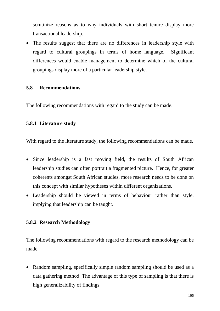scrutinize reasons as to why individuals with short tenure display more transactional leadership.

• The results suggest that there are no differences in leadership style with regard to cultural groupings in terms of home language. Significant differences would enable management to determine which of the cultural groupings display more of a particular leadership style.

#### **5.8 Recommendations**

The following recommendations with regard to the study can be made.

#### **5.8.1 Literature study**

With regard to the literature study, the following recommendations can be made.

- Since leadership is a fast moving field, the results of South African leadership studies can often portrait a fragmented picture. Hence, for greater coherents amongst South African studies, more research needs to be done on this concept with similar hypotheses within different organizations.
- Leadership should be viewed in terms of behaviour rather than style, implying that leadership can be taught.

#### **5.8.2 Research Methodology**

The following recommendations with regard to the research methodology can be made.

• Random sampling, specifically simple random sampling should be used as a data gathering method. The advantage of this type of sampling is that there is high generalizability of findings.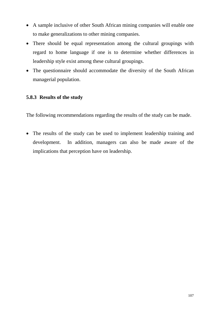- A sample inclusive of other South African mining companies will enable one to make generalizations to other mining companies.
- There should be equal representation among the cultural groupings with regard to home language if one is to determine whether differences in leadership style exist among these cultural groupings.
- The questionnaire should accommodate the diversity of the South African managerial population.

## **5.8.3 Results of the study**

The following recommendations regarding the results of the study can be made.

• The results of the study can be used to implement leadership training and development. In addition, managers can also be made aware of the implications that perception have on leadership.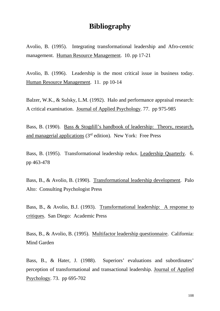# **Bibliography**

Avolio, B. (1995). Integrating transformational leadership and Afro-centric management. Human Resource Management. 10. pp 17-21

Avolio, B. (1996). Leadership is the most critical issue in business today. Human Resource Management. 11. pp 10-14

Balzer, W.K., & Sulsky, L.M. (1992). Halo and performance appraisal research: A critical examination. Journal of Applied Psychology. 77. pp 975-985

Bass, B. (1990). Bass & Stogdill's handbook of leadership: Theory, research, and managerial applications (3rd edition). New York: Free Press

Bass, B. (1995). Transformational leadership redux. Leadership Quarterly. 6. pp 463-478

Bass, B., & Avolio, B. (1990). Transformational leadership development. Palo Alto: Consulting Psychologist Press

Bass, B., & Avolio, B.J. (1993). Transformational leadership: A response to critiques. San Diego: Academic Press

Bass, B., & Avolio, B. (1995). Multifactor leadership questionnaire. California: Mind Garden

Bass, B., & Hater, J. (1988). Superiors' evaluations and subordinates' perception of transformational and transactional leadership. Journal of Applied Psychology. 73. pp 695-702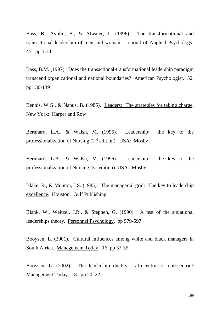Bass, B., Avolio, B., & Atwater, L. (1996). The transformational and transactional leadership of men and woman. Journal of Applied Psychology. 45. pp 5-34

Bass, B.M. (1997). Does the transactional-transformational leadership paradigm transcend organizational and national boundaries? American Psychologist. 52. pp 130-139

Bennis, W.G., & Nanus, B. (1985). Leaders: The strategies for taking charge. New York: Harper and Row

Bernhard, L.A., & Walsh, M. (1995). Leadership: the key to the professionalization of Nursing  $(2<sup>nd</sup>$  edition). USA: Mosby

Bernhard, L.A., & Walsh, M. (1996). Leadership: the key to the professionalization of Nursing (3rd edition). USA: Mosby

Blake, R., & Mouton, J.S. (1985). The managerial grid: The key to leadership excellence. Houston: Gulf Publishing

Blank, W., Weitzel, J.R., & Stephen, G. (1990). A test of the situational leaderships theory. Personnel Psychology. pp 579-597

Booysen, L. (2001). Cultural influences among white and black managers in South Africa. Management Today. 16. pp 32-35

Booysen, L. (2002). The leadership duality: afrocentric or eurocentric? Management Today. 18. pp 20–22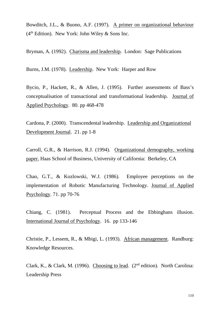Bowditch, J.L., & Buono, A.F. (1997). A primer on organizational behaviour  $(4<sup>th</sup> Edition)$ . New York: John Wiley & Sons Inc.

Bryman, A. (1992). Charisma and leadership. London: Sage Publications

Burns, J.M. (1978). Leadership. New York: Harper and Row

Bycio, P., Hackett, R., & Allen, J. (1995). Further assessments of Bass's conceptualisation of transactional and transformational leadership. Journal of Applied Psychology. 80. pp 468-478

Cardona, P. (2000). Transcendental leadership. Leadership and Organizational Development Journal. 21. pp 1-8

Carroll, G.R., & Harrison, R.J. (1994). Organizational demography, working paper, Haas School of Business, University of California: Berkeley, CA

Chao, G.T., & Kozlowski, W.J. (1986). Employee perceptions on the implementation of Robotic Manufacturing Technology. Journal of Applied Psychology. 71. pp 70-76

Chiang, C. (1981). Perceptual Process and the Ebbinghans illusion. International Journal of Psychology. 16. pp 133-146

Christie, P., Lessem, R., & Mbigi, L. (1993). African management. Randburg: Knowledge Resources.

Clark, K., & Clark, M. (1996). Choosing to lead. ( $2<sup>nd</sup>$  edition). North Carolina: Leadership Press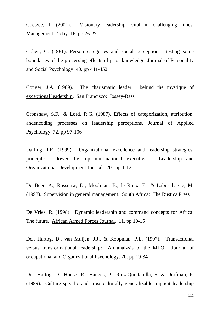Coetzee, J. (2001). Visionary leadership: vital in challenging times. Management Today. 16. pp 26-27

Cohen, C. (1981). Person categories and social perception: testing some boundaries of the processing effects of prior knowledge. Journal of Personality and Social Psychology. 40. pp 441-452

Conger, J.A. (1989). The charismatic leader: behind the mystique of exceptional leadership. San Francisco: Jossey-Bass

Cronshaw, S.F., & Lord, R.G. (1987). Effects of categorization, attribution, andencoding processes on leadership perceptions. Journal of Applied Psychology. 72. pp 97-106

Darling, J.R. (1999). Organizational excellence and leadership strategies: principles followed by top multinational executives. Leadership and Organizational Development Journal. 20. pp 1-12

De Beer, A., Rossouw, D., Moolman, B., le Roux, E., & Labuschagne, M. (1998). Supervision in general management. South Africa: The Rustica Press

De Vries, R. (1998). Dynamic leadership and command concepts for Africa: The future. African Armed Forces Journal. 11. pp 10-15

Den Hartog, D., van Muijen, J.J., & Koopman, P.L. (1997). Transactional versus transformational leadership: An analysis of the MLQ. Journal of occupational and Organizational Psychology. 70. pp 19-34

Den Hartog, D., House, R., Hanges, P., Ruiz-Quintanilla, S. & Dorfman, P. (1999). Culture specific and cross-culturally generalizable implicit leadership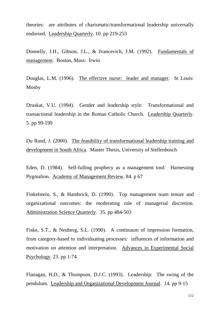theories: are attributes of charismatic/transformational leadership universally endorsed. Leadership Quarterly. 10. pp 219-253

Donnelly, J.H., Gibson, J.L., & Ivancevich, J.M. (1992). Fundamentals of management. Boston, Mass: Irwin

Douglas, L.M. (1996). The effective nurse: leader and manager. St Louis: Mosby

Druskat, V.U. (1994). Gender and leadership style: Transformational and transactional leadership in the Roman Catholic Church. Leadership Quarterly. 5. pp 99-199

Du Rand, J. (2000). The feasibility of transformational leadership training and development in South Africa. Master Thesis, University of Stellenbosch

Eden, D. (1984). Self-fulling prophecy as a management tool: Harnessing Pygmalion. Academy of Management Review. 84. p 67

Finkelstein, S., & Hambrick, D. (1990). Top management team tenure and organizational outcomes: the moderating role of managerial discretion. Administration Science Quarterly. 35. pp 484-503

Fiske, S.T., & Neuberg, S.L. (1990). A continuum of impression formation, from category-based to individuating processes: influences of information and motivation on attention and interpretation. Advances in Experimental Social Psychology. 23. pp 1-74

Flanagan, H.D., & Thompson, D.J.C. (1993). Leadership: The swing of the pendulum. Leadership and Organizational Development Journal. 14. pp 9-15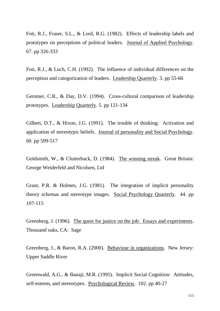Foti, R.J., Fraser, S.L., & Lord, R.G. (1982). Effects of leadership labels and prototypes on perceptions of political leaders. Journal of Applied Psychology. 67. pp 326-333

Foti, R.J., & Luch, C.H. (1992). The influence of individual differences on the perception and categorization of leaders. Leadership Quarterly. 3. pp 55-66

Gerstner, C.R., & Day, D.V. (1994). Cross-cultural comparison of leadership prototypes. Leadership Quarterly. 5. pp 121-134

Gilbert, D.T., & Hixon, J.G. (1991). The trouble of thinking: Activation and application of stereotypic beliefs. Journal of personality and Social Psychology. 60. pp 509-517

Goldsmith, W., & Clutterback, D. (1984). The winning streak. Great Britain: George Weiderfeld and Nicolsen, Ltd

Grant, P.R. & Holmes, J.G. (1981). The integration of implicit personality theory schemas and stereotype images. Social Psychology Quarterly. 44. pp 107-115

Greenberg, J. (1996). The quest for justice on the job: Essays and experiments. Thousand oaks, CA: Sage

Greenberg, J., & Baron, R.A. (2000). Behaviour in organizations. New Jersey: Upper Saddle River

Greenwald, A.G., & Banaji, M.R. (1995). Implicit Social Cognition: Attitudes, self-esteem, and stereotypes. Psychological Review. 102. pp 40-27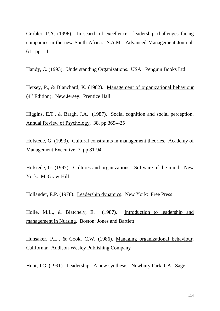Grobler, P.A. (1996). In search of excellence: leadership challenges facing companies in the new South Africa. S.A.M. Advanced Management Journal. 61. pp 1-11

Handy, C. (1993). Understanding Organizations. USA: Penguin Books Ltd

Hersey, P., & Blanchard, K. (1982). Management of organizational behaviour  $(4<sup>th</sup> Edition)$ . New Jersey: Prentice Hall

Higgins, E.T., & Bargh, J.A. (1987). Social cognition and social perception. Annual Review of Psychology. 38. pp 369-425

Hofstede, G. (1993). Cultural constraints in management theories. Academy of Management Executive. 7. pp 81-94

Hofstede, G. (1997). Cultures and organizations. Software of the mind. New York: McGraw-Hill

Hollander, E.P. (1978). Leadership dynamics. New York: Free Press

Holle, M.L., & Blatchely, E. (1987). Introduction to leadership and management in Nursing. Boston: Jones and Bartlett

Hunsaker, P.L., & Cook, C.W. (1986). Managing organizational behaviour. California: Addison-Wesley Publishing Company

Hunt, J.G. (1991). Leadership: A new synthesis. Newbury Park, CA: Sage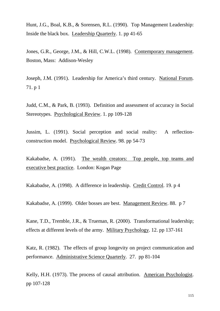Hunt, J.G., Boal, K.B., & Sorensen, R.L. (1990). Top Management Leadership: Inside the black box. Leadership Quarterly. 1. pp 41-65

Jones, G.R., George, J.M., & Hill, C.W.L. (1998). Contemporary management. Boston, Mass: Addison-Wesley

Joseph, J.M. (1991). Leadership for America's third century. National Forum. 71. p 1

Judd, C.M., & Park, B. (1993). Definition and assessment of accuracy in Social Stereotypes. Psychological Review. 1. pp 109-128

Jussim, L. (1991). Social perception and social reality: A reflectionconstruction model. Psychological Review. 98. pp 54-73

Kakabadse, A. (1991). The wealth creators: Top people, top teams and executive best practice. London: Kogan Page

Kakabadse, A. (1998). A difference in leadership. Credit Control. 19. p 4

Kakabadse, A. (1999). Older bosses are best. Management Review. 88. p 7

Kane, T.D., Tremble, J.R., & Trueman, R. (2000). Transformational leadership; effects at different levels of the army. Military Psychology. 12. pp 137-161

Katz, R. (1982). The effects of group longevity on project communication and performance. Administrative Science Quarterly. 27. pp 81-104

Kelly, H.H. (1973). The process of causal attribution. American Psychologist. pp 107-128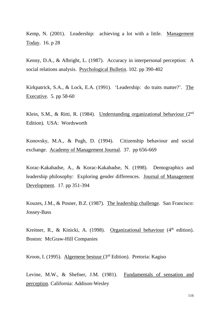Kemp, N. (2001). Leadership: achieving a lot with a little. Management Today. 16. p 28

Kenny, D.A., & Albright, L. (1987). Accuracy in interpersonal perception: A social relations analysis. Psychological Bulletin. 102. pp 390-402

Kirkpatrick, S.A., & Lock, E.A. (1991). 'Leadership: do traits matter?'. The Executive. 5. pp 58-60

Klein, S.M., & Ritti, R. (1984). Understanding organizational behaviour  $(2<sup>nd</sup>$ Edition). USA: Wordsworth

Konovsky, M.A., & Pugh, D. (1994). Citizenship behaviour and social exchange. Academy of Management Journal. 37. pp 656-669

Korac-Kakabadse, A., & Korac-Kakabadse, N. (1998). Demographics and leadership philosophy: Exploring gender differences. Journal of Management Development. 17. pp 351-394

Kouzes, J.M., & Posner, B.Z. (1987). The leadership challenge. San Francisco: Jossey-Bass

Kreitner, R., & Kinicki, A. (1998). Organizational behaviour  $(4<sup>th</sup>$  edition). Boston: McGraw-Hill Companies

Kroon, I. (1995). Algemene bestuur (3rd Edition). Pretoria: Kagiso

Levine, M.W., & Shefner, J.M. (1981). Fundamentals of sensation and perception. California: Addison-Wesley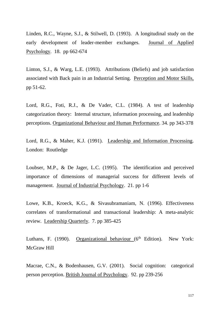Linden, R.C., Wayne, S.J., & Stilwell, D. (1993). A longitudinal study on the early development of leader-member exchanges. Journal of Applied Psychology. 18. pp 662-674

Linton, S.J., & Warg, L.E. (1993). Attributions (Beliefs) and job satisfaction associated with Back pain in an Industrial Setting. Perception and Motor Skills, pp 51-62.

Lord, R.G., Foti, R.J., & De Vader, C.L. (1984). A test of leadership categorization theory: Internal structure, information processing, and leadership perceptions. Organizational Behaviour and Human Performance. 34. pp 343-378

Lord, R.G., & Maher, K.J. (1991). Leadership and Information Processing. London: Routledge

Loubser, M.P., & De Jager, L.C. (1995). The identification and perceived importance of dimensions of managerial success for different levels of management. Journal of Industrial Psychology. 21. pp 1-6

Lowe, K.B., Kroeck, K.G., & Sivasubramaniam, N. (1996). Effectiveness correlates of transformational and transactional leadership: A meta-analytic review. Leadership Quarterly. 7. pp 385-425

Luthans, F. (1990). Organizational behaviour  $(6<sup>th</sup> Edition)$ . New York: McGraw Hill

Macrae, C.N., & Bodenhausen, G.V. (2001). Social cognition: categorical person perception. British Journal of Psychology. 92. pp 239-256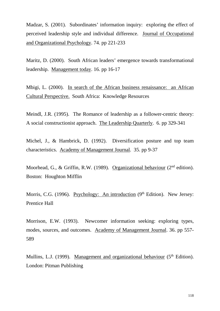Madzar, S. (2001). Subordinates' information inquiry: exploring the effect of perceived leadership style and individual difference. Journal of Occupational and Organizational Psychology. 74. pp 221-233

Maritz, D. (2000). South African leaders' emergence towards transformational leadership. Management today. 16. pp 16-17

Mbigi, L. (2000). In search of the African business renaissance: an African Cultural Perspective. South Africa: Knowledge Resources

Meindl, J.R. (1995). The Romance of leadership as a follower-centric theory: A social constructionist approach. The Leadership Quarterly. 6. pp 329-341

Michel, J., & Hambrick, D. (1992). Diversification posture and top team characteristics. Academy of Management Journal. 35. pp 9-37

Moorhead, G., & Griffin, R.W. (1989). Organizational behaviour (2<sup>nd</sup> edition). Boston: Houghton Mifflin

Morris, C.G. (1996). Psychology: An introduction (9<sup>th</sup> Edition). New Jersey: Prentice Hall

Morrison, E.W. (1993). Newcomer information seeking: exploring types, modes, sources, and outcomes. Academy of Management Journal. 36. pp 557- 589

Mullins, L.J. (1999). Management and organizational behaviour  $(5<sup>th</sup> Edition)$ . London: Pitman Publishing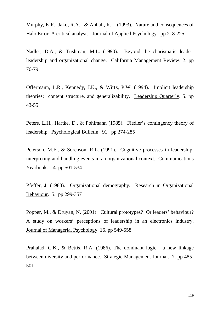Murphy, K.R., Jako, R.A., & Anhalt, R.L. (1993). Nature and consequences of Halo Error: A critical analysis. Journal of Applied Psychology. pp 218-225

Nadler, D.A., & Tushman, M.L. (1990). Beyond the charismatic leader: leadership and organizational change. California Management Review. 2. pp 76-79

Offermann, L.R., Kennedy, J.K., & Wirtz, P.W. (1994). Implicit leadership theories: content structure, and generalizability. Leadership Quarterly. 5. pp 43-55

Peters, L.H., Hartke, D., & Pohlmann (1985). Fiedler's contingency theory of leadership. Psychological Bulletin. 91. pp 274-285

Peterson, M.F., & Sorenson, R.L. (1991). Cognitive processes in leadership: interpreting and handling events in an organizational context. Communications Yearbook. 14. pp 501-534

Pfeffer, J. (1983). Organizational demography. Research in Organizational Behaviour. 5. pp 299-357

Popper, M., & Druyan, N. (2001). Cultural prototypes? Or leaders' behaviour? A study on workers' perceptions of leadership in an electronics industry. Journal of Managerial Psychology. 16. pp 549-558

Prahalad, C.K., & Bettis, R.A. (1986). The dominant logic: a new linkage between diversity and performance. Strategic Management Journal. 7. pp 485- 501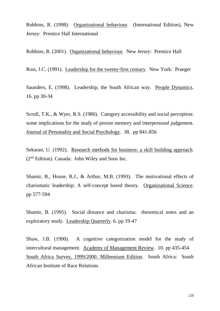Robbins, R. (1998). Organizational behaviour. (International Edition), New Jersey: Prentice Hall International

Robbins, R. (2001). Organizational behaviour. New Jersey: Prentice Hall

Rost, J.C. (1991). Leadership for the twenty-first century. New York: Praeger

Saunders, E. (1998). Leadership, the South African way. People Dynamics. 16. pp 30-34

Scrull, T.K., & Wyer, R.S. (1980). Category accessibility and social perception: some implications for the study of person memory and interpersonal judgement. Journal of Personality and Social Psychology. 38. pp 841-856

Sekaran, U. (1992). Research methods for business: a skill building approach. (2nd Edition). Canada: John Wiley and Sons Inc.

Shamir, B., House, R.J., & Arthur, M.B. (1993). The motivational effects of charismatic leadership; A self-concept based theory. Organizational Science. pp 577-594

Shamir, B. (1995). Social distance and charisma: theoretical notes and an exploratory study. Leadership Quarterly. 6. pp 19-47

Shaw, J.B. (1990). A cognitive categorization model for the study of intercultural management. Academy of Management Review. 10. pp 435-454 South Africa Survey, 1999/2000. Millennium Edition. South Africa: South African Institute of Race Relations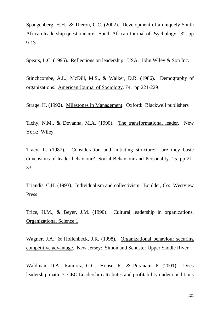Spangenberg, H.H., & Theron, C.C. (2002). Development of a uniquely South African leadership questionnaire. South African Journal of Psychology. 32. pp 9-13

Spears, L.C. (1995). Reflections on leadership. USA: John Wiley & Son Inc.

Stinchcombe, A.L., McDill, M.S., & Walker, D.R. (1986). Demography of organizations. American Journal of Sociology. 74. pp 221-229

Strage, H. (1992). Milestones in Management. Oxford: Blackwell publishers

Tichy, N.M., & Devanna, M.A. (1990). The transformational leader. New York: Wiley

Tracy, L. (1987). Consideration and initiating structure: are they basic dimensions of leader behaviour? Social Behaviour and Personality. 15. pp 21- 33

Triandis, C.H. (1993). Individualism and collectivism. Boulder, Co: Westview Press

Trice, H.M., & Beyer, J.M. (1990). Cultural leadership in organizations. Organizational Science 1

Wagner, J.A., & Hollenbeck, J.R. (1998). Organizational behaviour securing competitive advantage. New Jersey: Simon and Schuster Upper Saddle River

Waldman, D.A., Ramirez, G.G., House, R., & Puranam, P. (2001). Does leadership matter? CEO Leadership attributes and profitability under conditions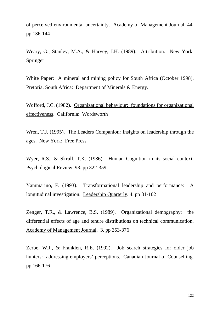of perceived environmental uncertainty. Academy of Management Journal. 44. pp 136-144

Weary, G., Stanley, M.A., & Harvey, J.H. (1989). Attribution. New York: Springer

White Paper: A mineral and mining policy for South Africa (October 1998). Pretoria, South Africa: Department of Minerals & Energy.

Wofford, J.C. (1982). Organizational behaviour: foundations for organizational effectiveness. California: Wordsworth

Wren, T.J. (1995). The Leaders Companion: Insights on leadership through the ages. New York: Free Press

Wyer, R.S., & Skrull, T.K. (1986). Human Cognition in its social context. Psychological Review. 93. pp 322-359

Yammarino, F. (1993). Transformational leadership and performance: A longitudinal investigation. Leadership Quarterly. 4. pp 81-102

Zenger, T.R., & Lawrence, B.S. (1989). Organizational demography: the differential effects of age and tenure distributions on technical communication. Academy of Management Journal. 3. pp 353-376

Zerbe, W.J., & Franklen, R.E. (1992). Job search strategies for older job hunters: addressing employers' perceptions. Canadian Journal of Counselling. pp 166-176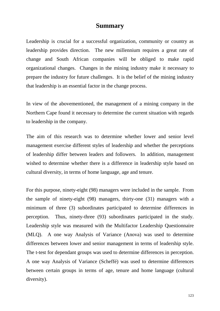## **Summary**

Leadership is crucial for a successful organization, community or country as leadership provides direction. The new millennium requires a great rate of change and South African companies will be obliged to make rapid organizational changes. Changes in the mining industry make it necessary to prepare the industry for future challenges. It is the belief of the mining industry that leadership is an essential factor in the change process.

In view of the abovementioned, the management of a mining company in the Northern Cape found it necessary to determine the current situation with regards to leadership in the company.

The aim of this research was to determine whether lower and senior level management exercise different styles of leadership and whether the perceptions of leadership differ between leaders and followers. In addition, management wished to determine whether there is a difference in leadership style based on cultural diversity, in terms of home language, age and tenure.

For this purpose, ninety-eight (98) managers were included in the sample. From the sample of ninety-eight (98) managers, thirty-one (31) managers with a minimum of three (3) subordinates participated to determine differences in perception. Thus, ninety-three (93) subordinates participated in the study. Leadership style was measured with the Multifactor Leadership Questionnaire (MLQ). A one way Analysis of Variance (Anova) was used to determine differences between lower and senior management in terms of leadership style. The t-test for dependant groups was used to determine differences in perception. A one way Analysis of Variance (Scheffé) was used to determine differences between certain groups in terms of age, tenure and home language (cultural diversity).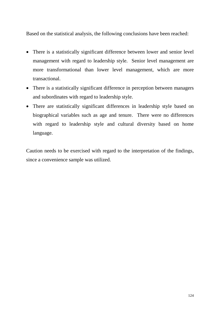Based on the statistical analysis, the following conclusions have been reached:

- There is a statistically significant difference between lower and senior level management with regard to leadership style. Senior level management are more transformational than lower level management, which are more transactional.
- There is a statistically significant difference in perception between managers and subordinates with regard to leadership style.
- There are statistically significant differences in leadership style based on biographical variables such as age and tenure. There were no differences with regard to leadership style and cultural diversity based on home language.

Caution needs to be exercised with regard to the interpretation of the findings, since a convenience sample was utilized.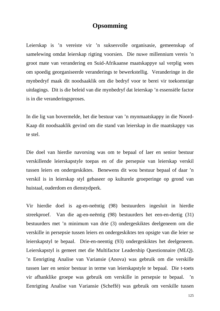## **Opsomming**

Leierskap is 'n vereiste vir 'n suksesvolle organisasie, gemeenskap of samelewing omdat leierskap rigting voorsien. Die nuwe millennium vereis 'n groot mate van verandering en Suid-Afrikaanse maatskappye sal verplig wees om spoedig georganiseerde veranderings te bewerkstellig. Veranderinge in die mynbedryf maak dit noodsaaklik om die bedryf voor te berei vir toekomstige uitdagings. Dit is die beleid van die mynbedryf dat leierskap 'n essensiële factor is in die veranderingsproses.

In die lig van bovermelde, het die bestuur van 'n mynmaatskappy in die Noord-Kaap dit noodsaaklik gevind om die stand van leierskap in die maatskappy vas te stel.

Die doel van hierdie navorsing was om te bepaal of laer en senior bestuur verskillende leierskapstyle toepas en of die persepsie van leierskap verskil tussen leiers en ondergeskiktes. Benewens dit wou bestuur bepaal of daar 'n verskil is in leierskap styl gebaseer op kulturele groeperinge op grond van huistaal, ouderdom en dienstydperk.

Vir hierdie doel is ag-en-neëntig (98) bestuurders ingesluit in hierdie streekproef. Van die ag-en-neëntig (98) bestuurders het een-en-dertig (31) bestuurders met 'n minimum van drie (3) ondergeskiktes deelgeneem om die verskille in persepsie tussen leiers en ondergeskiktes ten opsigte van die leier se leierskapstyl te bepaal. Drie-en-neentig (93) ondergeskiktes het deelgeneem. Leierskapstyl is gemeet met die Multifactor Leadership Questionnaire (MLQ). 'n Eenrigting Analise van Variansie (Anova) was gebruik om die verskille tussen laer en senior bestuur in terme van leierskapstyle te bepaal. Die t-toets vir afhanklike groepe was gebruik om verskille in persepsie te bepaal. 'n Eenrigting Analise van Variansie (Scheffé) was gebruik om verskille tussen